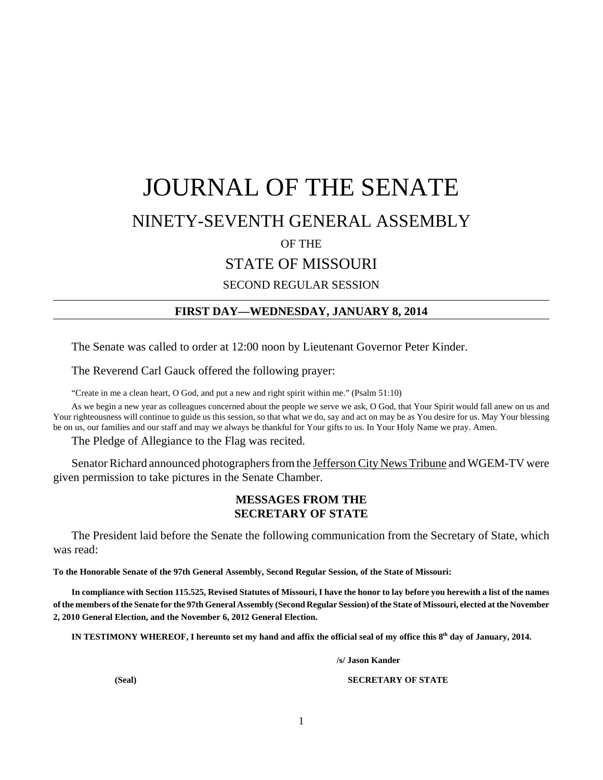# JOURNAL OF THE SENATE

# NINETY-SEVENTH GENERAL ASSEMBLY

OF THE

STATE OF MISSOURI

SECOND REGULAR SESSION

# **FIRST DAY—WEDNESDAY, JANUARY 8, 2014**

The Senate was called to order at 12:00 noon by Lieutenant Governor Peter Kinder.

The Reverend Carl Gauck offered the following prayer:

"Create in me a clean heart, O God, and put a new and right spirit within me." (Psalm 51:10)

As we begin a new year as colleagues concerned about the people we serve we ask, O God, that Your Spirit would fall anew on us and Your righteousness will continue to guide us this session, so that what we do, say and act on may be as You desire for us. May Your blessing be on us, our families and our staff and may we always be thankful for Your gifts to us. In Your Holy Name we pray. Amen.

The Pledge of Allegiance to the Flag was recited.

Senator Richard announced photographers from the Jefferson City News Tribune and WGEM-TV were given permission to take pictures in the Senate Chamber.

# **MESSAGES FROM THE SECRETARY OF STATE**

The President laid before the Senate the following communication from the Secretary of State, which was read:

**To the Honorable Senate of the 97th General Assembly, Second Regular Session, of the State of Missouri:**

**In compliance with Section 115.525, Revised Statutes of Missouri, I have the honor to lay before you herewith a list of the names of the members of the Senate for the 97th General Assembly (Second Regular Session) of the State of Missouri, elected at the November 2, 2010 General Election, and the November 6, 2012 General Election.**

**IN TESTIMONY WHEREOF, I hereunto set my hand and affix the official seal of my office this 8th day of January, 2014.**

**/s/ Jason Kander**

**(Seal) SECRETARY OF STATE**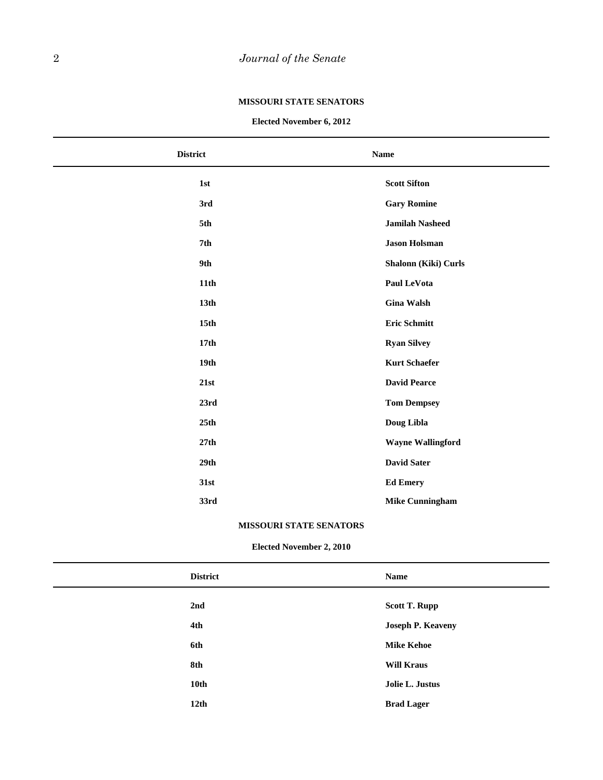#### **MISSOURI STATE SENATORS**

#### **Elected November 6, 2012**

| <b>District</b>  | <b>Name</b>              |
|------------------|--------------------------|
| 1st              | <b>Scott Sifton</b>      |
| 3rd              | <b>Gary Romine</b>       |
| 5th              | <b>Jamilah Nasheed</b>   |
| 7th              | <b>Jason Holsman</b>     |
| 9th              | Shalonn (Kiki) Curls     |
| 11th             | Paul LeVota              |
| 13 <sub>th</sub> | <b>Gina Walsh</b>        |
| 15 <sub>th</sub> | <b>Eric Schmitt</b>      |
| 17 <sub>th</sub> | <b>Ryan Silvey</b>       |
| 19 <sub>th</sub> | <b>Kurt Schaefer</b>     |
| 21st             | <b>David Pearce</b>      |
| 23rd             | <b>Tom Dempsey</b>       |
| 25th             | Doug Libla               |
| 27th             | <b>Wayne Wallingford</b> |
| 29th             | <b>David Sater</b>       |
| 31st             | <b>Ed Emery</b>          |
| 33rd             | <b>Mike Cunningham</b>   |
|                  |                          |

### **MISSOURI STATE SENATORS**

### **Elected November 2, 2010**

| <b>District</b>  | <b>Name</b>              |
|------------------|--------------------------|
| 2nd              | <b>Scott T. Rupp</b>     |
| 4th              | <b>Joseph P. Keaveny</b> |
| 6th              | <b>Mike Kehoe</b>        |
| 8th              | <b>Will Kraus</b>        |
| 10th             | Jolie L. Justus          |
| 12 <sub>th</sub> | <b>Brad Lager</b>        |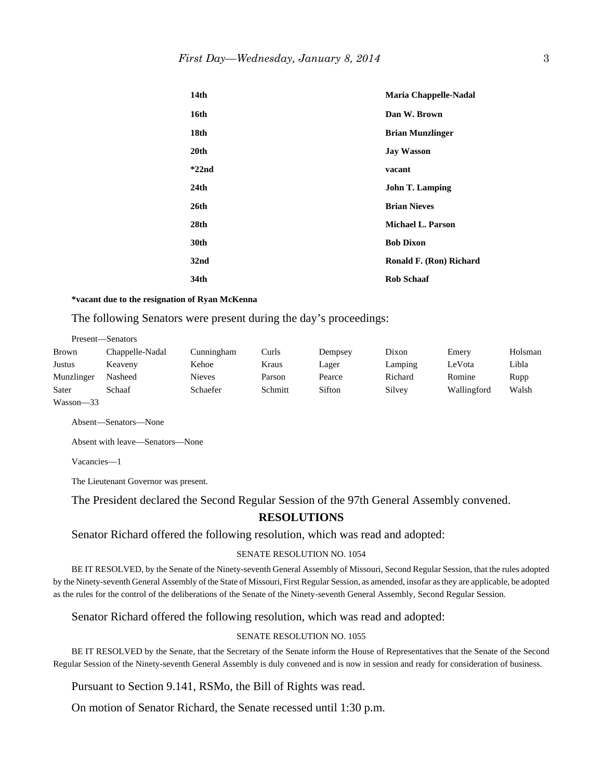| 14 <sub>th</sub> | <b>Maria Chappelle-Nadal</b> |
|------------------|------------------------------|
| 16th             | Dan W. Brown                 |
| 18th             | <b>Brian Munzlinger</b>      |
| 20 <sub>th</sub> | <b>Jay Wasson</b>            |
| $*22nd$          | vacant                       |
| 24 <sub>th</sub> | <b>John T. Lamping</b>       |
| 26th             | <b>Brian Nieves</b>          |
| 28th             | <b>Michael L. Parson</b>     |
| 30th             | <b>Bob Dixon</b>             |
| 32 <sub>nd</sub> | Ronald F. (Ron) Richard      |
| 34th             | <b>Rob Schaaf</b>            |

#### **\*vacant due to the resignation of Ryan McKenna**

The following Senators were present during the day's proceedings:

|            | Present—Senators |               |         |         |         |             |         |
|------------|------------------|---------------|---------|---------|---------|-------------|---------|
| Brown      | Chappelle-Nadal  | Cunningham    | Curls   | Dempsey | Dixon   | Emery       | Holsman |
| Justus     | Keaveny          | Kehoe         | Kraus   | Lager   | Lamping | LeVota      | Libla   |
| Munzlinger | Nasheed          | <b>Nieves</b> | Parson  | Pearce  | Richard | Romine      | Rupp    |
| Sater      | Schaaf           | Schaefer      | Schmitt | Sifton  | Silvey  | Wallingford | Walsh   |
|            |                  |               |         |         |         |             |         |

Absent—Senators—None

Absent with leave—Senators—None

Vacancies—1

Wasson—33

The Lieutenant Governor was present.

The President declared the Second Regular Session of the 97th General Assembly convened.

#### **RESOLUTIONS**

Senator Richard offered the following resolution, which was read and adopted:

#### SENATE RESOLUTION NO. 1054

BE IT RESOLVED, by the Senate of the Ninety-seventh General Assembly of Missouri, Second Regular Session, that the rules adopted by the Ninety-seventh General Assembly of the State of Missouri, First Regular Session, as amended, insofar as they are applicable, be adopted as the rules for the control of the deliberations of the Senate of the Ninety-seventh General Assembly, Second Regular Session.

Senator Richard offered the following resolution, which was read and adopted:

#### SENATE RESOLUTION NO. 1055

BE IT RESOLVED by the Senate, that the Secretary of the Senate inform the House of Representatives that the Senate of the Second Regular Session of the Ninety-seventh General Assembly is duly convened and is now in session and ready for consideration of business.

Pursuant to Section 9.141, RSMo, the Bill of Rights was read.

On motion of Senator Richard, the Senate recessed until 1:30 p.m.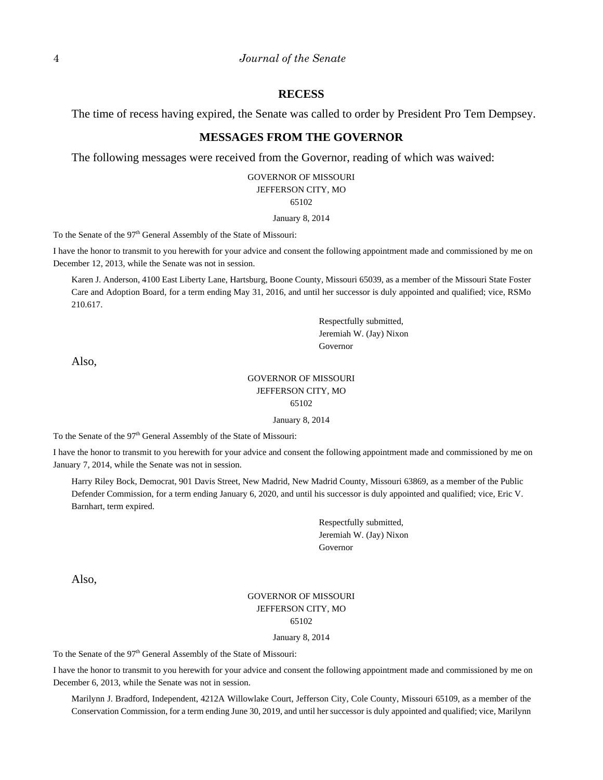#### **RECESS**

The time of recess having expired, the Senate was called to order by President Pro Tem Dempsey.

# **MESSAGES FROM THE GOVERNOR**

The following messages were received from the Governor, reading of which was waived:

#### GOVERNOR OF MISSOURI JEFFERSON CITY, MO 65102

#### January 8, 2014

To the Senate of the 97<sup>th</sup> General Assembly of the State of Missouri:

I have the honor to transmit to you herewith for your advice and consent the following appointment made and commissioned by me on December 12, 2013, while the Senate was not in session.

Karen J. Anderson, 4100 East Liberty Lane, Hartsburg, Boone County, Missouri 65039, as a member of the Missouri State Foster Care and Adoption Board, for a term ending May 31, 2016, and until her successor is duly appointed and qualified; vice, RSMo 210.617.

> Respectfully submitted, Jeremiah W. (Jay) Nixon Governor

Also,

#### GOVERNOR OF MISSOURI JEFFERSON CITY, MO 65102

January 8, 2014

To the Senate of the 97<sup>th</sup> General Assembly of the State of Missouri:

I have the honor to transmit to you herewith for your advice and consent the following appointment made and commissioned by me on January 7, 2014, while the Senate was not in session.

Harry Riley Bock, Democrat, 901 Davis Street, New Madrid, New Madrid County, Missouri 63869, as a member of the Public Defender Commission, for a term ending January 6, 2020, and until his successor is duly appointed and qualified; vice, Eric V. Barnhart, term expired.

> Respectfully submitted, Jeremiah W. (Jay) Nixon Governor

Also,

### GOVERNOR OF MISSOURI JEFFERSON CITY, MO 65102

#### January 8, 2014

To the Senate of the 97<sup>th</sup> General Assembly of the State of Missouri:

I have the honor to transmit to you herewith for your advice and consent the following appointment made and commissioned by me on December 6, 2013, while the Senate was not in session.

Marilynn J. Bradford, Independent, 4212A Willowlake Court, Jefferson City, Cole County, Missouri 65109, as a member of the Conservation Commission, for a term ending June 30, 2019, and until her successor is duly appointed and qualified; vice, Marilynn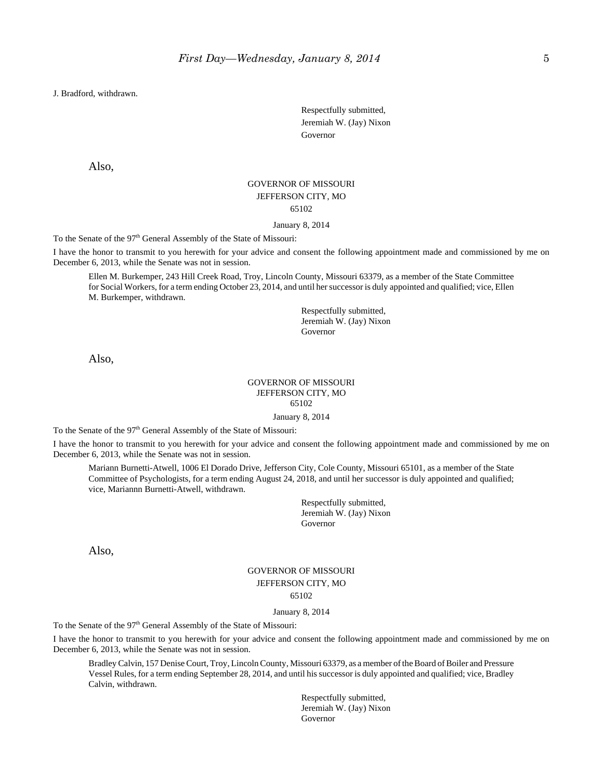J. Bradford, withdrawn.

Respectfully submitted, Jeremiah W. (Jay) Nixon Governor

Also,

### GOVERNOR OF MISSOURI JEFFERSON CITY, MO 65102

January 8, 2014

To the Senate of the 97<sup>th</sup> General Assembly of the State of Missouri:

I have the honor to transmit to you herewith for your advice and consent the following appointment made and commissioned by me on December 6, 2013, while the Senate was not in session.

Ellen M. Burkemper, 243 Hill Creek Road, Troy, Lincoln County, Missouri 63379, as a member of the State Committee for Social Workers, for a term ending October 23, 2014, and until her successor is duly appointed and qualified; vice, Ellen M. Burkemper, withdrawn.

> Respectfully submitted, Jeremiah W. (Jay) Nixon Governor

Also,

#### GOVERNOR OF MISSOURI JEFFERSON CITY, MO 65102

January 8, 2014

To the Senate of the 97<sup>th</sup> General Assembly of the State of Missouri:

I have the honor to transmit to you herewith for your advice and consent the following appointment made and commissioned by me on December 6, 2013, while the Senate was not in session.

Mariann Burnetti-Atwell, 1006 El Dorado Drive, Jefferson City, Cole County, Missouri 65101, as a member of the State Committee of Psychologists, for a term ending August 24, 2018, and until her successor is duly appointed and qualified; vice, Mariannn Burnetti-Atwell, withdrawn.

> Respectfully submitted, Jeremiah W. (Jay) Nixon Governor

Also,

### GOVERNOR OF MISSOURI JEFFERSON CITY, MO 65102

#### January 8, 2014

To the Senate of the 97<sup>th</sup> General Assembly of the State of Missouri:

I have the honor to transmit to you herewith for your advice and consent the following appointment made and commissioned by me on December 6, 2013, while the Senate was not in session.

Bradley Calvin, 157 Denise Court, Troy, Lincoln County, Missouri 63379, as a member of the Board of Boiler and Pressure Vessel Rules, for a term ending September 28, 2014, and until his successor is duly appointed and qualified; vice, Bradley Calvin, withdrawn.

> Respectfully submitted, Jeremiah W. (Jay) Nixon Governor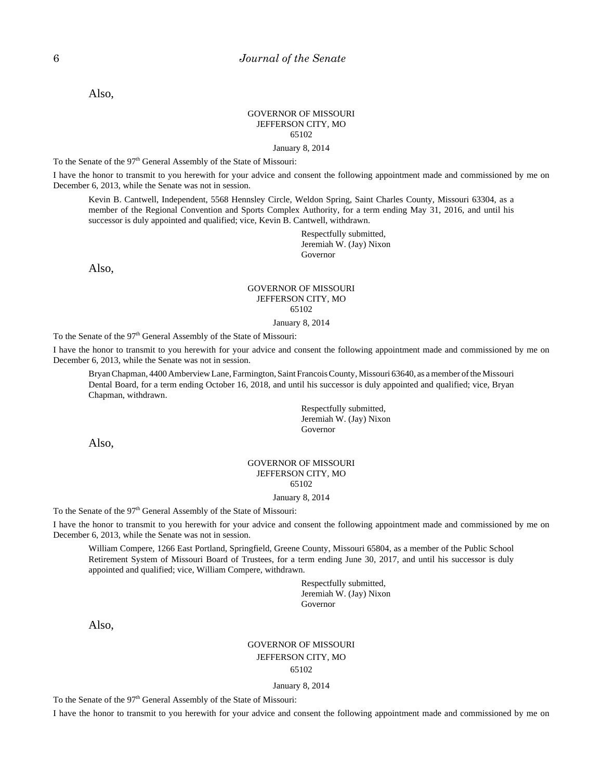Also,

#### GOVERNOR OF MISSOURI JEFFERSON CITY, MO 65102

January 8, 2014

To the Senate of the 97<sup>th</sup> General Assembly of the State of Missouri:

I have the honor to transmit to you herewith for your advice and consent the following appointment made and commissioned by me on December 6, 2013, while the Senate was not in session.

Kevin B. Cantwell, Independent, 5568 Hennsley Circle, Weldon Spring, Saint Charles County, Missouri 63304, as a member of the Regional Convention and Sports Complex Authority, for a term ending May 31, 2016, and until his successor is duly appointed and qualified; vice, Kevin B. Cantwell, withdrawn.

> Respectfully submitted, Jeremiah W. (Jay) Nixon Governor

Also,

#### GOVERNOR OF MISSOURI JEFFERSON CITY, MO 65102

January 8, 2014

To the Senate of the 97<sup>th</sup> General Assembly of the State of Missouri:

I have the honor to transmit to you herewith for your advice and consent the following appointment made and commissioned by me on December 6, 2013, while the Senate was not in session.

Bryan Chapman, 4400 Amberview Lane, Farmington, Saint Francois County, Missouri 63640, as a member of the Missouri Dental Board, for a term ending October 16, 2018, and until his successor is duly appointed and qualified; vice, Bryan Chapman, withdrawn.

> Respectfully submitted, Jeremiah W. (Jay) Nixon Governor

Also,

#### GOVERNOR OF MISSOURI JEFFERSON CITY, MO 65102

#### January 8, 2014

To the Senate of the 97<sup>th</sup> General Assembly of the State of Missouri:

I have the honor to transmit to you herewith for your advice and consent the following appointment made and commissioned by me on December 6, 2013, while the Senate was not in session.

William Compere, 1266 East Portland, Springfield, Greene County, Missouri 65804, as a member of the Public School Retirement System of Missouri Board of Trustees, for a term ending June 30, 2017, and until his successor is duly appointed and qualified; vice, William Compere, withdrawn.

> Respectfully submitted, Jeremiah W. (Jay) Nixon Governor

Also,

### GOVERNOR OF MISSOURI JEFFERSON CITY, MO 65102

January 8, 2014

To the Senate of the 97<sup>th</sup> General Assembly of the State of Missouri:

I have the honor to transmit to you herewith for your advice and consent the following appointment made and commissioned by me on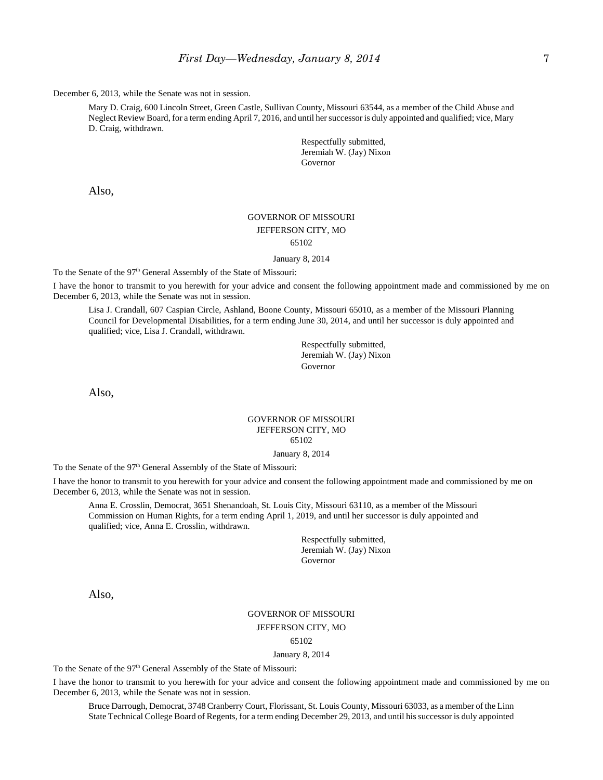December 6, 2013, while the Senate was not in session.

Mary D. Craig, 600 Lincoln Street, Green Castle, Sullivan County, Missouri 63544, as a member of the Child Abuse and Neglect Review Board, for a term ending April 7, 2016, and until her successor is duly appointed and qualified; vice, Mary D. Craig, withdrawn.

> Respectfully submitted, Jeremiah W. (Jay) Nixon Governor

Also,

### GOVERNOR OF MISSOURI JEFFERSON CITY, MO 65102

January 8, 2014

To the Senate of the 97<sup>th</sup> General Assembly of the State of Missouri:

I have the honor to transmit to you herewith for your advice and consent the following appointment made and commissioned by me on December 6, 2013, while the Senate was not in session.

Lisa J. Crandall, 607 Caspian Circle, Ashland, Boone County, Missouri 65010, as a member of the Missouri Planning Council for Developmental Disabilities, for a term ending June 30, 2014, and until her successor is duly appointed and qualified; vice, Lisa J. Crandall, withdrawn.

> Respectfully submitted, Jeremiah W. (Jay) Nixon Governor

Also,

#### GOVERNOR OF MISSOURI JEFFERSON CITY, MO 65102

January 8, 2014

To the Senate of the 97<sup>th</sup> General Assembly of the State of Missouri:

I have the honor to transmit to you herewith for your advice and consent the following appointment made and commissioned by me on December 6, 2013, while the Senate was not in session.

Anna E. Crosslin, Democrat, 3651 Shenandoah, St. Louis City, Missouri 63110, as a member of the Missouri Commission on Human Rights, for a term ending April 1, 2019, and until her successor is duly appointed and qualified; vice, Anna E. Crosslin, withdrawn.

> Respectfully submitted, Jeremiah W. (Jay) Nixon Governor

Also,

#### GOVERNOR OF MISSOURI

JEFFERSON CITY, MO

65102

January 8, 2014

To the Senate of the 97<sup>th</sup> General Assembly of the State of Missouri:

I have the honor to transmit to you herewith for your advice and consent the following appointment made and commissioned by me on December 6, 2013, while the Senate was not in session.

Bruce Darrough, Democrat, 3748 Cranberry Court, Florissant, St. Louis County, Missouri 63033, as a member of the Linn State Technical College Board of Regents, for a term ending December 29, 2013, and until his successor is duly appointed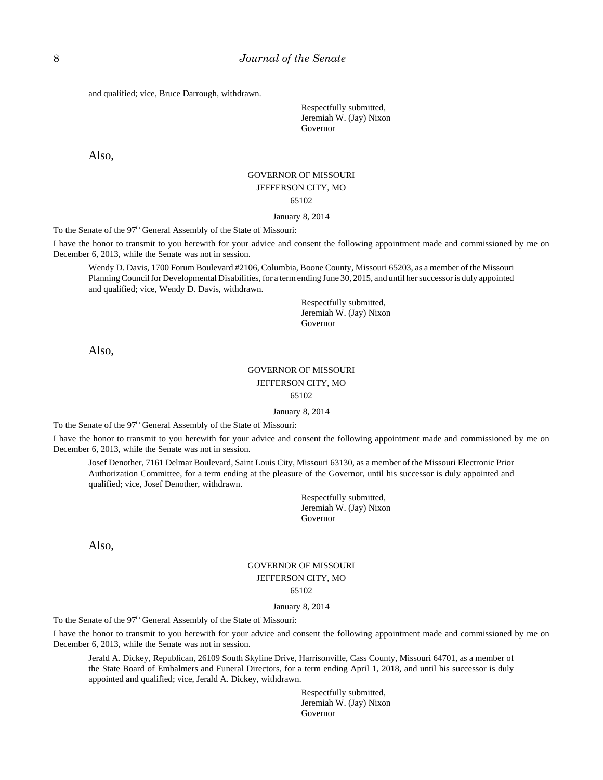and qualified; vice, Bruce Darrough, withdrawn.

Respectfully submitted, Jeremiah W. (Jay) Nixon Governor

Also,

# GOVERNOR OF MISSOURI JEFFERSON CITY, MO 65102

January 8, 2014

To the Senate of the 97<sup>th</sup> General Assembly of the State of Missouri:

I have the honor to transmit to you herewith for your advice and consent the following appointment made and commissioned by me on December 6, 2013, while the Senate was not in session.

Wendy D. Davis, 1700 Forum Boulevard #2106, Columbia, Boone County, Missouri 65203, as a member of the Missouri Planning Council for Developmental Disabilities, for a term ending June 30, 2015, and until her successor is duly appointed and qualified; vice, Wendy D. Davis, withdrawn.

> Respectfully submitted, Jeremiah W. (Jay) Nixon Governor

Also,

### GOVERNOR OF MISSOURI JEFFERSON CITY, MO 65102

#### January 8, 2014

To the Senate of the 97<sup>th</sup> General Assembly of the State of Missouri:

I have the honor to transmit to you herewith for your advice and consent the following appointment made and commissioned by me on December 6, 2013, while the Senate was not in session.

Josef Denother, 7161 Delmar Boulevard, Saint Louis City, Missouri 63130, as a member of the Missouri Electronic Prior Authorization Committee, for a term ending at the pleasure of the Governor, until his successor is duly appointed and qualified; vice, Josef Denother, withdrawn.

> Respectfully submitted, Jeremiah W. (Jay) Nixon Governor

Also,

### GOVERNOR OF MISSOURI JEFFERSON CITY, MO 65102

#### January 8, 2014

To the Senate of the 97<sup>th</sup> General Assembly of the State of Missouri:

I have the honor to transmit to you herewith for your advice and consent the following appointment made and commissioned by me on December 6, 2013, while the Senate was not in session.

Jerald A. Dickey, Republican, 26109 South Skyline Drive, Harrisonville, Cass County, Missouri 64701, as a member of the State Board of Embalmers and Funeral Directors, for a term ending April 1, 2018, and until his successor is duly appointed and qualified; vice, Jerald A. Dickey, withdrawn.

> Respectfully submitted, Jeremiah W. (Jay) Nixon Governor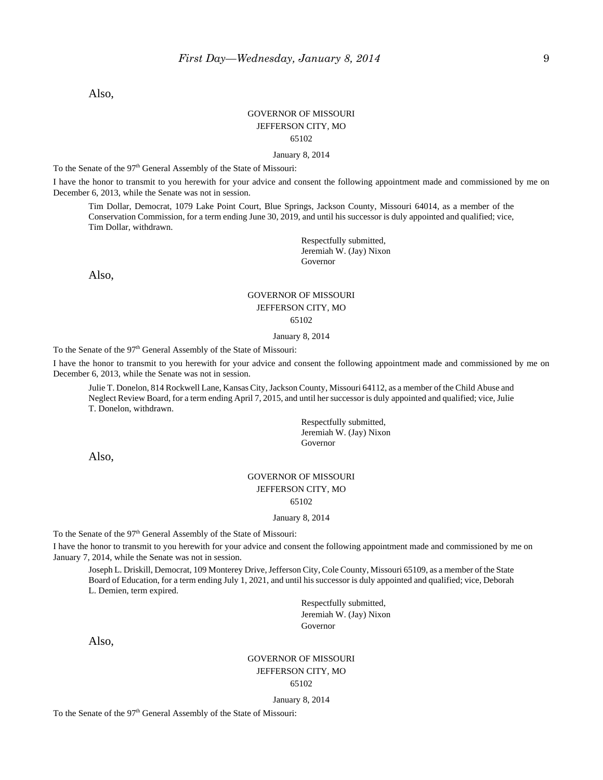Also,

### GOVERNOR OF MISSOURI JEFFERSON CITY, MO 65102

January 8, 2014

To the Senate of the 97<sup>th</sup> General Assembly of the State of Missouri:

I have the honor to transmit to you herewith for your advice and consent the following appointment made and commissioned by me on December 6, 2013, while the Senate was not in session.

Tim Dollar, Democrat, 1079 Lake Point Court, Blue Springs, Jackson County, Missouri 64014, as a member of the Conservation Commission, for a term ending June 30, 2019, and until his successor is duly appointed and qualified; vice, Tim Dollar, withdrawn.

> Respectfully submitted, Jeremiah W. (Jay) Nixon Governor

Also,

# GOVERNOR OF MISSOURI JEFFERSON CITY, MO

65102

#### January 8, 2014

To the Senate of the 97<sup>th</sup> General Assembly of the State of Missouri:

I have the honor to transmit to you herewith for your advice and consent the following appointment made and commissioned by me on December 6, 2013, while the Senate was not in session.

Julie T. Donelon, 814 Rockwell Lane, Kansas City, Jackson County, Missouri 64112, as a member of the Child Abuse and Neglect Review Board, for a term ending April 7, 2015, and until her successor is duly appointed and qualified; vice, Julie T. Donelon, withdrawn.

> Respectfully submitted, Jeremiah W. (Jay) Nixon Governor

Also,

# GOVERNOR OF MISSOURI JEFFERSON CITY, MO

65102

January 8, 2014

To the Senate of the 97<sup>th</sup> General Assembly of the State of Missouri:

I have the honor to transmit to you herewith for your advice and consent the following appointment made and commissioned by me on January 7, 2014, while the Senate was not in session.

Joseph L. Driskill, Democrat, 109 Monterey Drive, Jefferson City, Cole County, Missouri 65109, as a member of the State Board of Education, for a term ending July 1, 2021, and until his successor is duly appointed and qualified; vice, Deborah L. Demien, term expired.

> Respectfully submitted, Jeremiah W. (Jay) Nixon Governor

Also,

# GOVERNOR OF MISSOURI JEFFERSON CITY, MO

65102

#### January 8, 2014

To the Senate of the 97<sup>th</sup> General Assembly of the State of Missouri: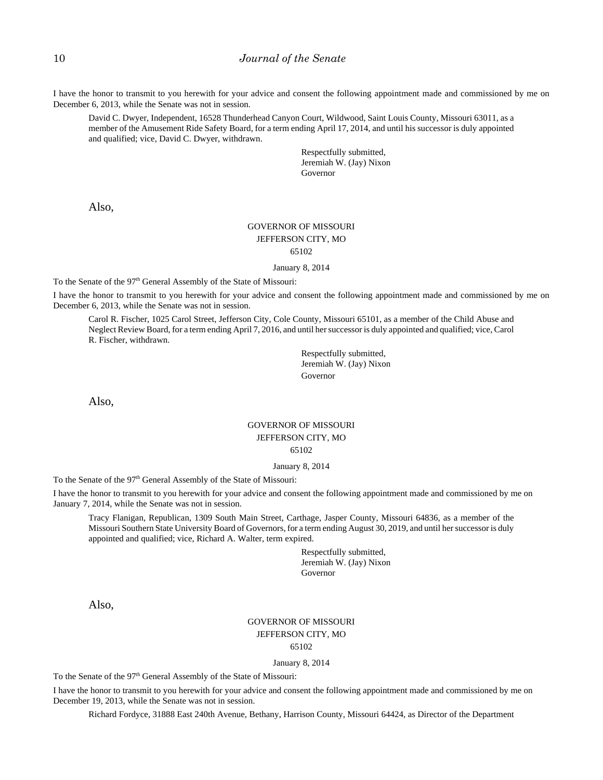I have the honor to transmit to you herewith for your advice and consent the following appointment made and commissioned by me on December 6, 2013, while the Senate was not in session.

David C. Dwyer, Independent, 16528 Thunderhead Canyon Court, Wildwood, Saint Louis County, Missouri 63011, as a member of the Amusement Ride Safety Board, for a term ending April 17, 2014, and until his successor is duly appointed and qualified; vice, David C. Dwyer, withdrawn.

> Respectfully submitted, Jeremiah W. (Jay) Nixon Governor

Also,

### GOVERNOR OF MISSOURI JEFFERSON CITY, MO 65102

January 8, 2014

To the Senate of the 97<sup>th</sup> General Assembly of the State of Missouri:

I have the honor to transmit to you herewith for your advice and consent the following appointment made and commissioned by me on December 6, 2013, while the Senate was not in session.

Carol R. Fischer, 1025 Carol Street, Jefferson City, Cole County, Missouri 65101, as a member of the Child Abuse and Neglect Review Board, for a term ending April 7, 2016, and until her successor is duly appointed and qualified; vice, Carol R. Fischer, withdrawn.

> Respectfully submitted, Jeremiah W. (Jay) Nixon Governor

Also,

### GOVERNOR OF MISSOURI JEFFERSON CITY, MO 65102

#### January 8, 2014

To the Senate of the 97<sup>th</sup> General Assembly of the State of Missouri:

I have the honor to transmit to you herewith for your advice and consent the following appointment made and commissioned by me on January 7, 2014, while the Senate was not in session.

Tracy Flanigan, Republican, 1309 South Main Street, Carthage, Jasper County, Missouri 64836, as a member of the Missouri Southern State University Board of Governors, for a term ending August 30, 2019, and until her successor is duly appointed and qualified; vice, Richard A. Walter, term expired.

> Respectfully submitted, Jeremiah W. (Jay) Nixon Governor

Also,

# GOVERNOR OF MISSOURI JEFFERSON CITY, MO

### 65102

#### January 8, 2014

To the Senate of the 97<sup>th</sup> General Assembly of the State of Missouri:

I have the honor to transmit to you herewith for your advice and consent the following appointment made and commissioned by me on December 19, 2013, while the Senate was not in session.

Richard Fordyce, 31888 East 240th Avenue, Bethany, Harrison County, Missouri 64424, as Director of the Department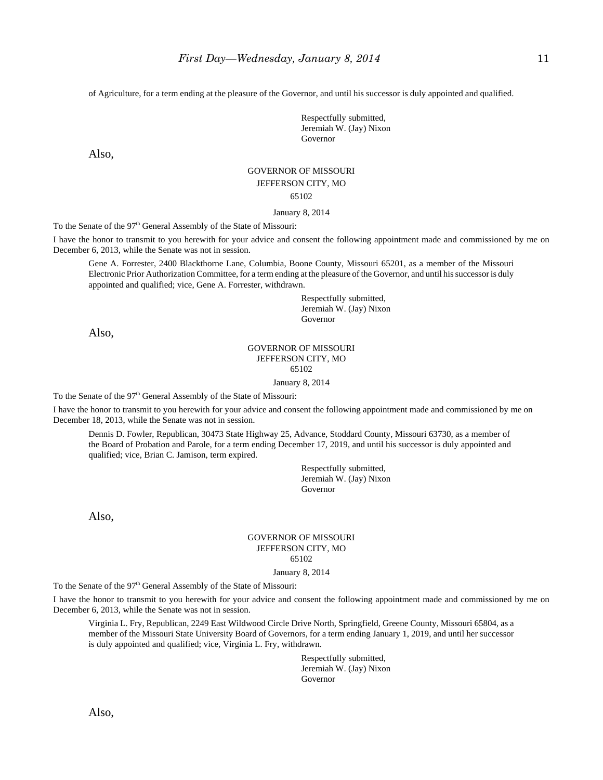of Agriculture, for a term ending at the pleasure of the Governor, and until his successor is duly appointed and qualified.

Respectfully submitted, Jeremiah W. (Jay) Nixon Governor

Also,

# GOVERNOR OF MISSOURI

### JEFFERSON CITY, MO

65102

January 8, 2014

To the Senate of the 97<sup>th</sup> General Assembly of the State of Missouri:

I have the honor to transmit to you herewith for your advice and consent the following appointment made and commissioned by me on December 6, 2013, while the Senate was not in session.

Gene A. Forrester, 2400 Blackthorne Lane, Columbia, Boone County, Missouri 65201, as a member of the Missouri Electronic Prior Authorization Committee, for a term ending at the pleasure of the Governor, and until his successor is duly appointed and qualified; vice, Gene A. Forrester, withdrawn.

> Respectfully submitted, Jeremiah W. (Jay) Nixon Governor

Also,

#### GOVERNOR OF MISSOURI JEFFERSON CITY, MO 65102

January 8, 2014

To the Senate of the 97<sup>th</sup> General Assembly of the State of Missouri:

I have the honor to transmit to you herewith for your advice and consent the following appointment made and commissioned by me on December 18, 2013, while the Senate was not in session.

Dennis D. Fowler, Republican, 30473 State Highway 25, Advance, Stoddard County, Missouri 63730, as a member of the Board of Probation and Parole, for a term ending December 17, 2019, and until his successor is duly appointed and qualified; vice, Brian C. Jamison, term expired.

> Respectfully submitted, Jeremiah W. (Jay) Nixon Governor

Also,

#### GOVERNOR OF MISSOURI JEFFERSON CITY, MO 65102

January 8, 2014

To the Senate of the 97<sup>th</sup> General Assembly of the State of Missouri:

I have the honor to transmit to you herewith for your advice and consent the following appointment made and commissioned by me on December 6, 2013, while the Senate was not in session.

Virginia L. Fry, Republican, 2249 East Wildwood Circle Drive North, Springfield, Greene County, Missouri 65804, as a member of the Missouri State University Board of Governors, for a term ending January 1, 2019, and until her successor is duly appointed and qualified; vice, Virginia L. Fry, withdrawn.

> Respectfully submitted, Jeremiah W. (Jay) Nixon Governor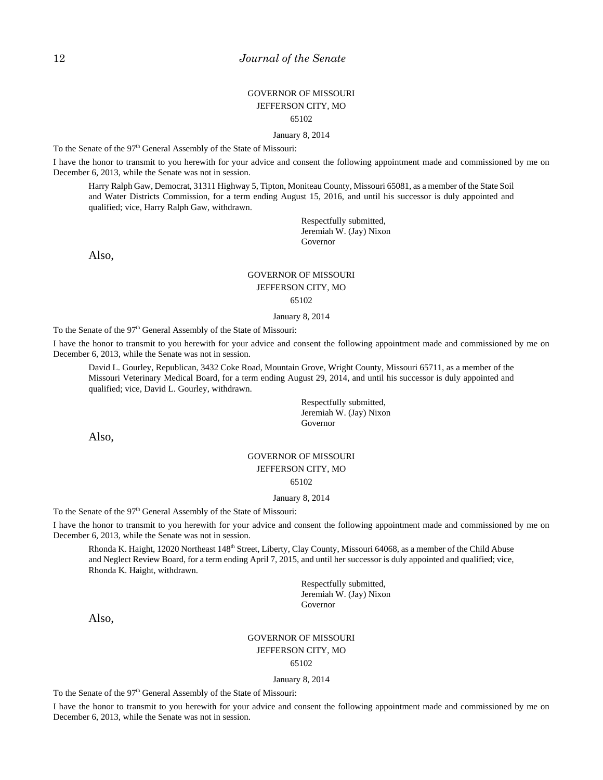### GOVERNOR OF MISSOURI JEFFERSON CITY, MO 65102

January 8, 2014

To the Senate of the 97<sup>th</sup> General Assembly of the State of Missouri:

I have the honor to transmit to you herewith for your advice and consent the following appointment made and commissioned by me on December 6, 2013, while the Senate was not in session.

Harry Ralph Gaw, Democrat, 31311 Highway 5, Tipton, Moniteau County, Missouri 65081, as a member of the State Soil and Water Districts Commission, for a term ending August 15, 2016, and until his successor is duly appointed and qualified; vice, Harry Ralph Gaw, withdrawn.

> Respectfully submitted, Jeremiah W. (Jay) Nixon Governor

Also,

### GOVERNOR OF MISSOURI JEFFERSON CITY, MO 65102

January 8, 2014

To the Senate of the 97<sup>th</sup> General Assembly of the State of Missouri:

I have the honor to transmit to you herewith for your advice and consent the following appointment made and commissioned by me on December 6, 2013, while the Senate was not in session.

David L. Gourley, Republican, 3432 Coke Road, Mountain Grove, Wright County, Missouri 65711, as a member of the Missouri Veterinary Medical Board, for a term ending August 29, 2014, and until his successor is duly appointed and qualified; vice, David L. Gourley, withdrawn.

> Respectfully submitted, Jeremiah W. (Jay) Nixon Governor

Also,

### GOVERNOR OF MISSOURI JEFFERSON CITY, MO 65102

#### January 8, 2014

To the Senate of the 97<sup>th</sup> General Assembly of the State of Missouri:

I have the honor to transmit to you herewith for your advice and consent the following appointment made and commissioned by me on December 6, 2013, while the Senate was not in session.

Rhonda K. Haight, 12020 Northeast 148<sup>th</sup> Street, Liberty, Clay County, Missouri 64068, as a member of the Child Abuse and Neglect Review Board, for a term ending April 7, 2015, and until her successor is duly appointed and qualified; vice, Rhonda K. Haight, withdrawn.

> Respectfully submitted, Jeremiah W. (Jay) Nixon Governor

Also,

#### GOVERNOR OF MISSOURI JEFFERSON CITY, MO

65102

#### January 8, 2014

To the Senate of the 97<sup>th</sup> General Assembly of the State of Missouri:

I have the honor to transmit to you herewith for your advice and consent the following appointment made and commissioned by me on December 6, 2013, while the Senate was not in session.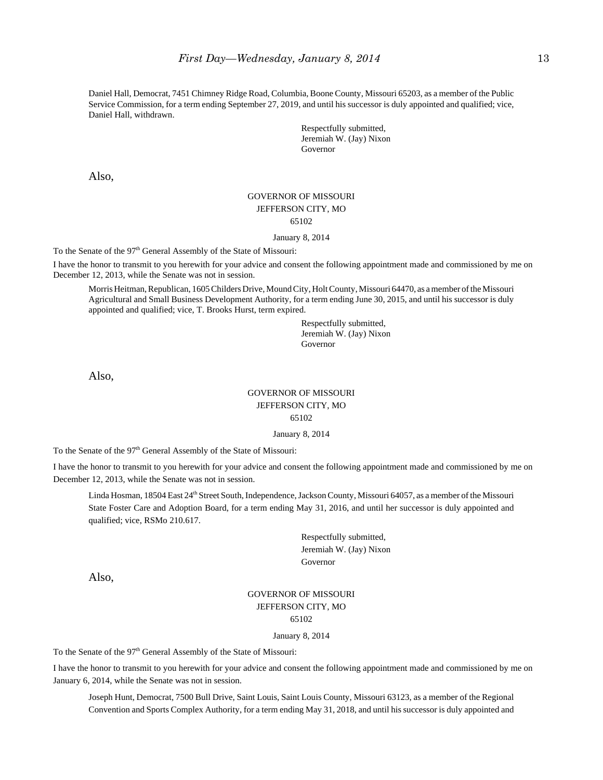Daniel Hall, Democrat, 7451 Chimney Ridge Road, Columbia, Boone County, Missouri 65203, as a member of the Public Service Commission, for a term ending September 27, 2019, and until his successor is duly appointed and qualified; vice, Daniel Hall, withdrawn.

> Respectfully submitted, Jeremiah W. (Jay) Nixon Governor

Also,

#### GOVERNOR OF MISSOURI JEFFERSON CITY, MO 65102

#### January 8, 2014

To the Senate of the 97<sup>th</sup> General Assembly of the State of Missouri:

I have the honor to transmit to you herewith for your advice and consent the following appointment made and commissioned by me on December 12, 2013, while the Senate was not in session.

Morris Heitman, Republican, 1605 Childers Drive, Mound City, Holt County, Missouri 64470, as a member of the Missouri Agricultural and Small Business Development Authority, for a term ending June 30, 2015, and until his successor is duly appointed and qualified; vice, T. Brooks Hurst, term expired.

> Respectfully submitted, Jeremiah W. (Jay) Nixon Governor

Also,

### GOVERNOR OF MISSOURI JEFFERSON CITY, MO 65102

January 8, 2014

To the Senate of the 97<sup>th</sup> General Assembly of the State of Missouri:

I have the honor to transmit to you herewith for your advice and consent the following appointment made and commissioned by me on December 12, 2013, while the Senate was not in session.

Linda Hosman, 18504 East 24<sup>th</sup> Street South, Independence, Jackson County, Missouri 64057, as a member of the Missouri State Foster Care and Adoption Board, for a term ending May 31, 2016, and until her successor is duly appointed and qualified; vice, RSMo 210.617.

> Respectfully submitted, Jeremiah W. (Jay) Nixon Governor

Also,

#### GOVERNOR OF MISSOURI JEFFERSON CITY, MO 65102

#### January 8, 2014

To the Senate of the 97<sup>th</sup> General Assembly of the State of Missouri:

I have the honor to transmit to you herewith for your advice and consent the following appointment made and commissioned by me on January 6, 2014, while the Senate was not in session.

Joseph Hunt, Democrat, 7500 Bull Drive, Saint Louis, Saint Louis County, Missouri 63123, as a member of the Regional Convention and Sports Complex Authority, for a term ending May 31, 2018, and until his successor is duly appointed and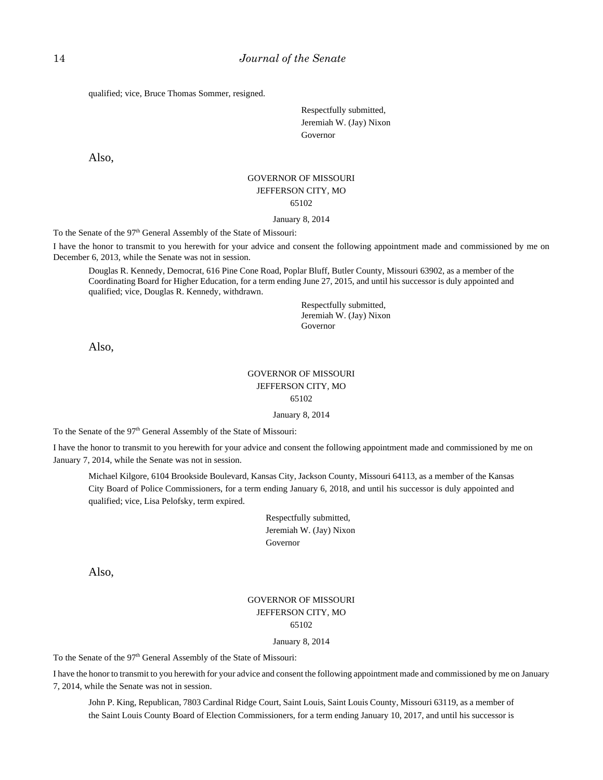qualified; vice, Bruce Thomas Sommer, resigned.

Respectfully submitted, Jeremiah W. (Jay) Nixon Governor

Also,

# GOVERNOR OF MISSOURI JEFFERSON CITY, MO 65102

#### January 8, 2014

To the Senate of the 97<sup>th</sup> General Assembly of the State of Missouri:

I have the honor to transmit to you herewith for your advice and consent the following appointment made and commissioned by me on December 6, 2013, while the Senate was not in session.

Douglas R. Kennedy, Democrat, 616 Pine Cone Road, Poplar Bluff, Butler County, Missouri 63902, as a member of the Coordinating Board for Higher Education, for a term ending June 27, 2015, and until his successor is duly appointed and qualified; vice, Douglas R. Kennedy, withdrawn.

> Respectfully submitted, Jeremiah W. (Jay) Nixon Governor

Also,

### GOVERNOR OF MISSOURI JEFFERSON CITY, MO 65102

#### January 8, 2014

To the Senate of the 97<sup>th</sup> General Assembly of the State of Missouri:

I have the honor to transmit to you herewith for your advice and consent the following appointment made and commissioned by me on January 7, 2014, while the Senate was not in session.

Michael Kilgore, 6104 Brookside Boulevard, Kansas City, Jackson County, Missouri 64113, as a member of the Kansas City Board of Police Commissioners, for a term ending January 6, 2018, and until his successor is duly appointed and qualified; vice, Lisa Pelofsky, term expired.

> Respectfully submitted, Jeremiah W. (Jay) Nixon Governor

Also,

### GOVERNOR OF MISSOURI JEFFERSON CITY, MO 65102

#### January 8, 2014

To the Senate of the 97<sup>th</sup> General Assembly of the State of Missouri:

I have the honor to transmit to you herewith for your advice and consent the following appointment made and commissioned by me on January 7, 2014, while the Senate was not in session.

John P. King, Republican, 7803 Cardinal Ridge Court, Saint Louis, Saint Louis County, Missouri 63119, as a member of the Saint Louis County Board of Election Commissioners, for a term ending January 10, 2017, and until his successor is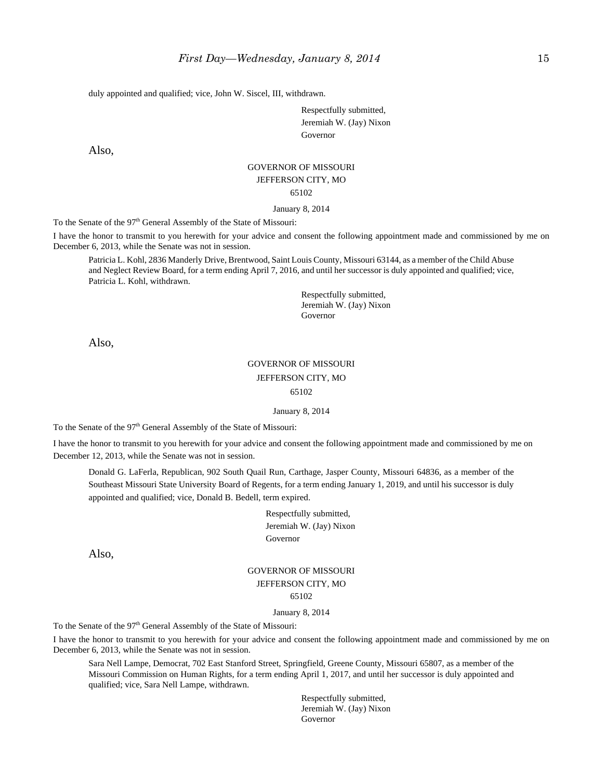duly appointed and qualified; vice, John W. Siscel, III, withdrawn.

Respectfully submitted, Jeremiah W. (Jay) Nixon Governor

Also,

#### GOVERNOR OF MISSOURI JEFFERSON CITY, MO

65102

#### January 8, 2014

To the Senate of the 97<sup>th</sup> General Assembly of the State of Missouri:

I have the honor to transmit to you herewith for your advice and consent the following appointment made and commissioned by me on December 6, 2013, while the Senate was not in session.

Patricia L. Kohl, 2836 Manderly Drive, Brentwood, Saint Louis County, Missouri 63144, as a member of the Child Abuse and Neglect Review Board, for a term ending April 7, 2016, and until her successor is duly appointed and qualified; vice, Patricia L. Kohl, withdrawn.

> Respectfully submitted, Jeremiah W. (Jay) Nixon Governor

Also,

### GOVERNOR OF MISSOURI JEFFERSON CITY, MO 65102

January 8, 2014

To the Senate of the 97<sup>th</sup> General Assembly of the State of Missouri:

I have the honor to transmit to you herewith for your advice and consent the following appointment made and commissioned by me on December 12, 2013, while the Senate was not in session.

Donald G. LaFerla, Republican, 902 South Quail Run, Carthage, Jasper County, Missouri 64836, as a member of the Southeast Missouri State University Board of Regents, for a term ending January 1, 2019, and until his successor is duly appointed and qualified; vice, Donald B. Bedell, term expired.

> Respectfully submitted, Jeremiah W. (Jay) Nixon Governor

Also,

### GOVERNOR OF MISSOURI JEFFERSON CITY, MO 65102

#### January 8, 2014

To the Senate of the 97<sup>th</sup> General Assembly of the State of Missouri:

I have the honor to transmit to you herewith for your advice and consent the following appointment made and commissioned by me on December 6, 2013, while the Senate was not in session.

Sara Nell Lampe, Democrat, 702 East Stanford Street, Springfield, Greene County, Missouri 65807, as a member of the Missouri Commission on Human Rights, for a term ending April 1, 2017, and until her successor is duly appointed and qualified; vice, Sara Nell Lampe, withdrawn.

> Respectfully submitted, Jeremiah W. (Jay) Nixon Governor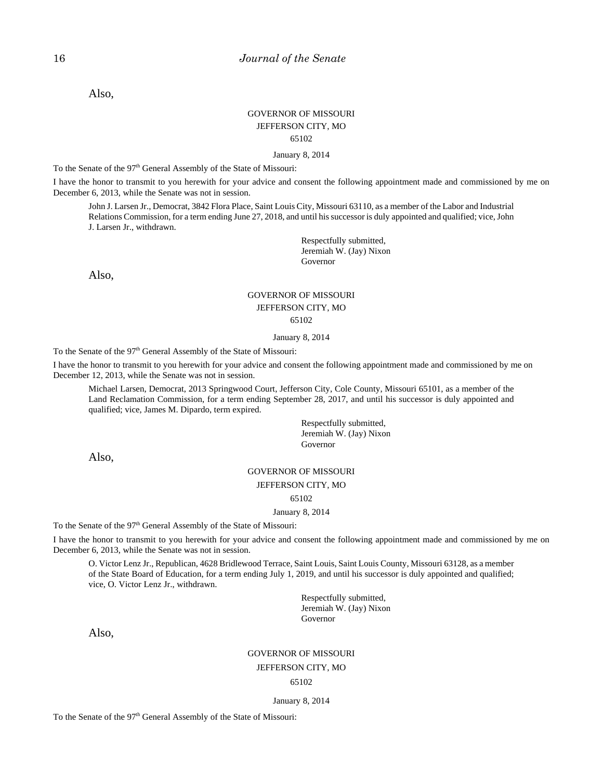Also,

### GOVERNOR OF MISSOURI JEFFERSON CITY, MO 65102

January 8, 2014

To the Senate of the 97<sup>th</sup> General Assembly of the State of Missouri:

I have the honor to transmit to you herewith for your advice and consent the following appointment made and commissioned by me on December 6, 2013, while the Senate was not in session.

John J. Larsen Jr., Democrat, 3842 Flora Place, Saint Louis City, Missouri 63110, as a member of the Labor and Industrial Relations Commission, for a term ending June 27, 2018, and until his successor is duly appointed and qualified; vice, John J. Larsen Jr., withdrawn.

> Respectfully submitted, Jeremiah W. (Jay) Nixon Governor

Also,

#### GOVERNOR OF MISSOURI JEFFERSON CITY, MO 65102

#### January 8, 2014

To the Senate of the 97<sup>th</sup> General Assembly of the State of Missouri:

I have the honor to transmit to you herewith for your advice and consent the following appointment made and commissioned by me on December 12, 2013, while the Senate was not in session.

Michael Larsen, Democrat, 2013 Springwood Court, Jefferson City, Cole County, Missouri 65101, as a member of the Land Reclamation Commission, for a term ending September 28, 2017, and until his successor is duly appointed and qualified; vice, James M. Dipardo, term expired.

> Respectfully submitted, Jeremiah W. (Jay) Nixon Governor

Also,

#### GOVERNOR OF MISSOURI

JEFFERSON CITY, MO

65102

#### January 8, 2014

To the Senate of the 97<sup>th</sup> General Assembly of the State of Missouri:

I have the honor to transmit to you herewith for your advice and consent the following appointment made and commissioned by me on December 6, 2013, while the Senate was not in session.

O. Victor Lenz Jr., Republican, 4628 Bridlewood Terrace, Saint Louis, Saint Louis County, Missouri 63128, as a member of the State Board of Education, for a term ending July 1, 2019, and until his successor is duly appointed and qualified; vice, O. Victor Lenz Jr., withdrawn.

> Respectfully submitted, Jeremiah W. (Jay) Nixon Governor

Also,

#### GOVERNOR OF MISSOURI

#### JEFFERSON CITY, MO

#### 65102

January 8, 2014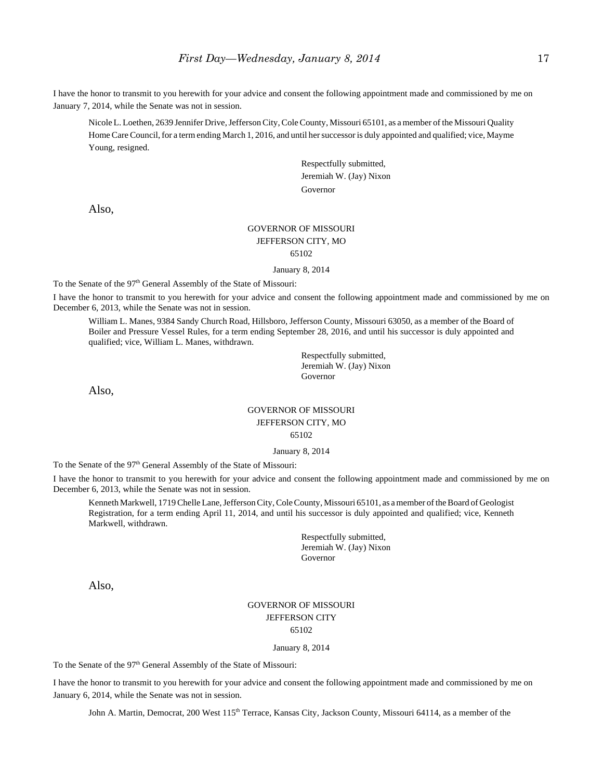I have the honor to transmit to you herewith for your advice and consent the following appointment made and commissioned by me on January 7, 2014, while the Senate was not in session.

Nicole L. Loethen, 2639 Jennifer Drive, Jefferson City, Cole County, Missouri 65101, as a member of the Missouri Quality Home Care Council, for a term ending March 1, 2016, and until her successor is duly appointed and qualified; vice, Mayme Young, resigned.

> Respectfully submitted, Jeremiah W. (Jay) Nixon Governor

Also,

### GOVERNOR OF MISSOURI JEFFERSON CITY, MO 65102

January 8, 2014

To the Senate of the 97<sup>th</sup> General Assembly of the State of Missouri:

I have the honor to transmit to you herewith for your advice and consent the following appointment made and commissioned by me on December 6, 2013, while the Senate was not in session.

William L. Manes, 9384 Sandy Church Road, Hillsboro, Jefferson County, Missouri 63050, as a member of the Board of Boiler and Pressure Vessel Rules, for a term ending September 28, 2016, and until his successor is duly appointed and qualified; vice, William L. Manes, withdrawn.

> Respectfully submitted, Jeremiah W. (Jay) Nixon Governor

Also,

#### GOVERNOR OF MISSOURI JEFFERSON CITY, MO 65102

January 8, 2014

To the Senate of the 97<sup>th</sup> General Assembly of the State of Missouri:

I have the honor to transmit to you herewith for your advice and consent the following appointment made and commissioned by me on December 6, 2013, while the Senate was not in session.

Kenneth Markwell, 1719 Chelle Lane, Jefferson City, Cole County, Missouri 65101, as a member of the Board of Geologist Registration, for a term ending April 11, 2014, and until his successor is duly appointed and qualified; vice, Kenneth Markwell, withdrawn.

> Respectfully submitted, Jeremiah W. (Jay) Nixon Governor

Also,

### GOVERNOR OF MISSOURI JEFFERSON CITY 65102

#### January 8, 2014

To the Senate of the 97<sup>th</sup> General Assembly of the State of Missouri:

I have the honor to transmit to you herewith for your advice and consent the following appointment made and commissioned by me on January 6, 2014, while the Senate was not in session.

John A. Martin, Democrat, 200 West 115<sup>th</sup> Terrace, Kansas City, Jackson County, Missouri 64114, as a member of the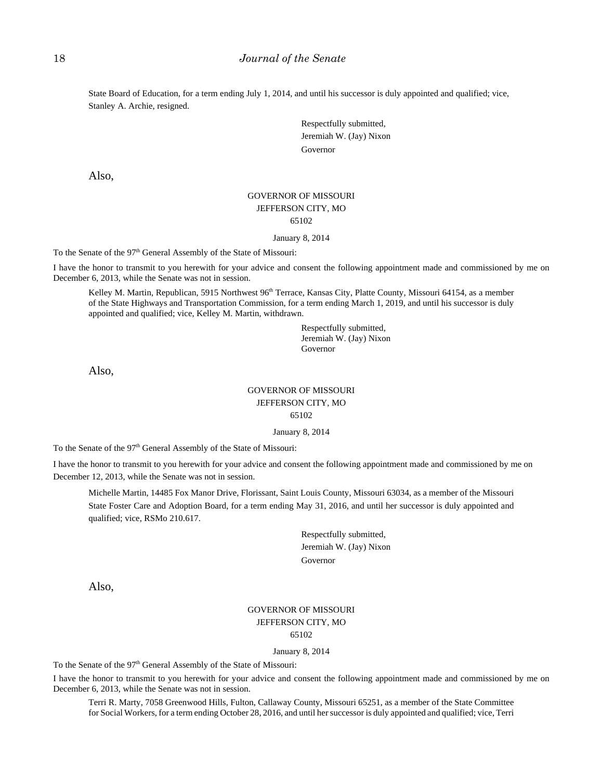State Board of Education, for a term ending July 1, 2014, and until his successor is duly appointed and qualified; vice, Stanley A. Archie, resigned.

> Respectfully submitted, Jeremiah W. (Jay) Nixon Governor

Also,

### GOVERNOR OF MISSOURI JEFFERSON CITY, MO 65102

#### January 8, 2014

To the Senate of the 97<sup>th</sup> General Assembly of the State of Missouri:

I have the honor to transmit to you herewith for your advice and consent the following appointment made and commissioned by me on December 6, 2013, while the Senate was not in session.

Kelley M. Martin, Republican, 5915 Northwest 96<sup>th</sup> Terrace, Kansas City, Platte County, Missouri 64154, as a member of the State Highways and Transportation Commission, for a term ending March 1, 2019, and until his successor is duly appointed and qualified; vice, Kelley M. Martin, withdrawn.

> Respectfully submitted, Jeremiah W. (Jay) Nixon Governor

Also,

### GOVERNOR OF MISSOURI JEFFERSON CITY, MO 65102

January 8, 2014

To the Senate of the 97<sup>th</sup> General Assembly of the State of Missouri:

I have the honor to transmit to you herewith for your advice and consent the following appointment made and commissioned by me on December 12, 2013, while the Senate was not in session.

Michelle Martin, 14485 Fox Manor Drive, Florissant, Saint Louis County, Missouri 63034, as a member of the Missouri State Foster Care and Adoption Board, for a term ending May 31, 2016, and until her successor is duly appointed and qualified; vice, RSMo 210.617.

> Respectfully submitted, Jeremiah W. (Jay) Nixon Governor

Also,

#### GOVERNOR OF MISSOURI JEFFERSON CITY, MO 65102

January 8, 2014

To the Senate of the 97<sup>th</sup> General Assembly of the State of Missouri:

I have the honor to transmit to you herewith for your advice and consent the following appointment made and commissioned by me on December 6, 2013, while the Senate was not in session.

Terri R. Marty, 7058 Greenwood Hills, Fulton, Callaway County, Missouri 65251, as a member of the State Committee for Social Workers, for a term ending October 28, 2016, and until her successor is duly appointed and qualified; vice, Terri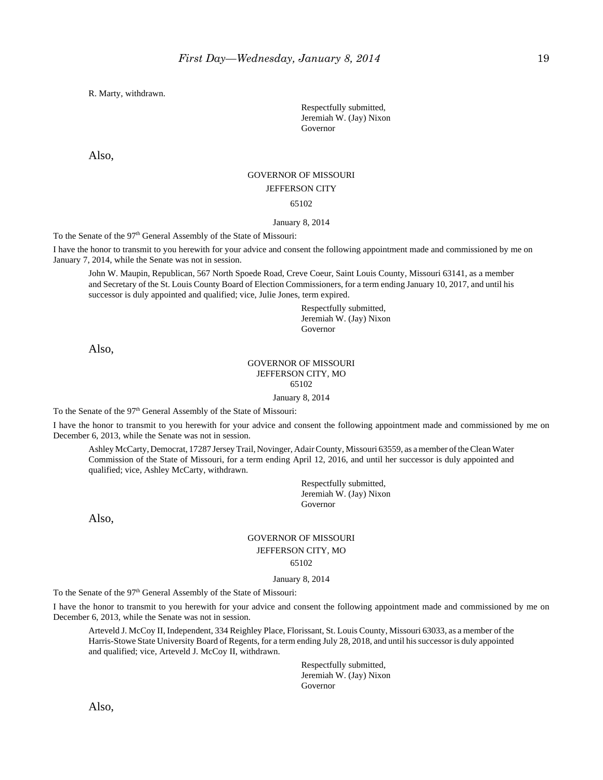R. Marty, withdrawn.

Respectfully submitted, Jeremiah W. (Jay) Nixon Governor

Also,

#### GOVERNOR OF MISSOURI

#### JEFFERSON CITY

65102

#### January 8, 2014

To the Senate of the 97<sup>th</sup> General Assembly of the State of Missouri:

I have the honor to transmit to you herewith for your advice and consent the following appointment made and commissioned by me on January 7, 2014, while the Senate was not in session.

John W. Maupin, Republican, 567 North Spoede Road, Creve Coeur, Saint Louis County, Missouri 63141, as a member and Secretary of the St. Louis County Board of Election Commissioners, for a term ending January 10, 2017, and until his successor is duly appointed and qualified; vice, Julie Jones, term expired.

> Respectfully submitted, Jeremiah W. (Jay) Nixon Governor

Also,

#### GOVERNOR OF MISSOURI JEFFERSON CITY, MO 65102

January 8, 2014

To the Senate of the 97<sup>th</sup> General Assembly of the State of Missouri:

I have the honor to transmit to you herewith for your advice and consent the following appointment made and commissioned by me on December 6, 2013, while the Senate was not in session.

Ashley McCarty, Democrat, 17287 Jersey Trail, Novinger, Adair County, Missouri 63559, as a member of the Clean Water Commission of the State of Missouri, for a term ending April 12, 2016, and until her successor is duly appointed and qualified; vice, Ashley McCarty, withdrawn.

> Respectfully submitted, Jeremiah W. (Jay) Nixon Governor

Also,

### GOVERNOR OF MISSOURI JEFFERSON CITY, MO 65102

January 8, 2014

To the Senate of the 97<sup>th</sup> General Assembly of the State of Missouri:

I have the honor to transmit to you herewith for your advice and consent the following appointment made and commissioned by me on December 6, 2013, while the Senate was not in session.

Arteveld J. McCoy II, Independent, 334 Reighley Place, Florissant, St. Louis County, Missouri 63033, as a member of the Harris-Stowe State University Board of Regents, for a term ending July 28, 2018, and until his successor is duly appointed and qualified; vice, Arteveld J. McCoy II, withdrawn.

> Respectfully submitted, Jeremiah W. (Jay) Nixon Governor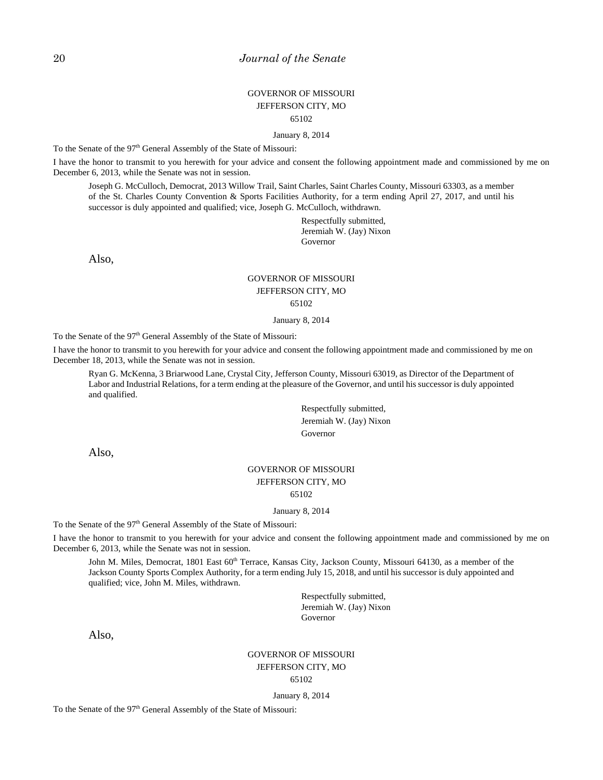### GOVERNOR OF MISSOURI JEFFERSON CITY, MO 65102

January 8, 2014

To the Senate of the 97<sup>th</sup> General Assembly of the State of Missouri:

I have the honor to transmit to you herewith for your advice and consent the following appointment made and commissioned by me on December 6, 2013, while the Senate was not in session.

Joseph G. McCulloch, Democrat, 2013 Willow Trail, Saint Charles, Saint Charles County, Missouri 63303, as a member of the St. Charles County Convention & Sports Facilities Authority, for a term ending April 27, 2017, and until his successor is duly appointed and qualified; vice, Joseph G. McCulloch, withdrawn.

> Respectfully submitted, Jeremiah W. (Jay) Nixon Governor

Also,

# GOVERNOR OF MISSOURI JEFFERSON CITY, MO 65102

January 8, 2014

To the Senate of the 97<sup>th</sup> General Assembly of the State of Missouri:

I have the honor to transmit to you herewith for your advice and consent the following appointment made and commissioned by me on December 18, 2013, while the Senate was not in session.

Ryan G. McKenna, 3 Briarwood Lane, Crystal City, Jefferson County, Missouri 63019, as Director of the Department of Labor and Industrial Relations, for a term ending at the pleasure of the Governor, and until his successor is duly appointed and qualified.

> Respectfully submitted, Jeremiah W. (Jay) Nixon Governor

Also,

#### GOVERNOR OF MISSOURI JEFFERSON CITY, MO 65102

January 8, 2014

To the Senate of the 97<sup>th</sup> General Assembly of the State of Missouri:

I have the honor to transmit to you herewith for your advice and consent the following appointment made and commissioned by me on December 6, 2013, while the Senate was not in session.

John M. Miles, Democrat, 1801 East 60<sup>th</sup> Terrace, Kansas City, Jackson County, Missouri 64130, as a member of the Jackson County Sports Complex Authority, for a term ending July 15, 2018, and until his successor is duly appointed and qualified; vice, John M. Miles, withdrawn.

> Respectfully submitted, Jeremiah W. (Jay) Nixon Governor

Also,

#### GOVERNOR OF MISSOURI JEFFERSON CITY, MO 65102

January 8, 2014

To the Senate of the 97<sup>th</sup> General Assembly of the State of Missouri: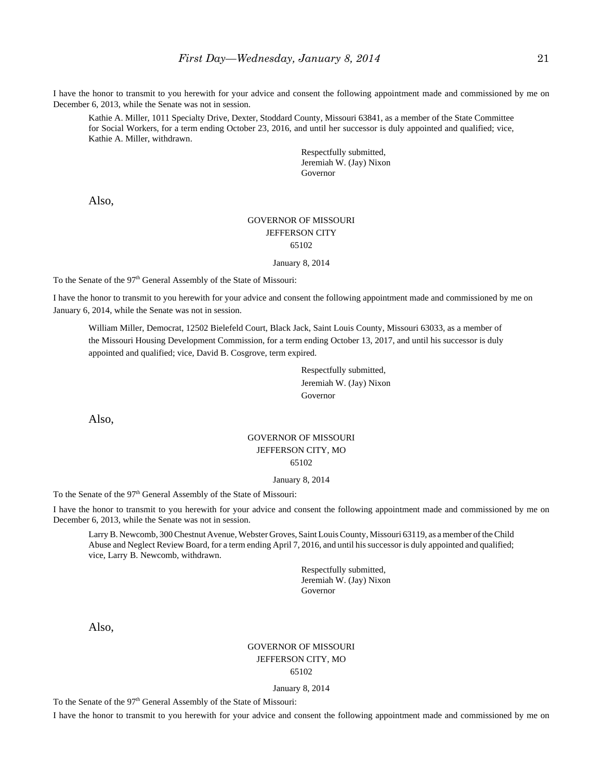I have the honor to transmit to you herewith for your advice and consent the following appointment made and commissioned by me on December 6, 2013, while the Senate was not in session.

Kathie A. Miller, 1011 Specialty Drive, Dexter, Stoddard County, Missouri 63841, as a member of the State Committee for Social Workers, for a term ending October 23, 2016, and until her successor is duly appointed and qualified; vice, Kathie A. Miller, withdrawn.

> Respectfully submitted, Jeremiah W. (Jay) Nixon Governor

Also,

#### GOVERNOR OF MISSOURI JEFFERSON CITY 65102

January 8, 2014

To the Senate of the 97<sup>th</sup> General Assembly of the State of Missouri:

I have the honor to transmit to you herewith for your advice and consent the following appointment made and commissioned by me on January 6, 2014, while the Senate was not in session.

William Miller, Democrat, 12502 Bielefeld Court, Black Jack, Saint Louis County, Missouri 63033, as a member of the Missouri Housing Development Commission, for a term ending October 13, 2017, and until his successor is duly appointed and qualified; vice, David B. Cosgrove, term expired.

> Respectfully submitted, Jeremiah W. (Jay) Nixon Governor

Also,

### GOVERNOR OF MISSOURI JEFFERSON CITY, MO 65102

#### January 8, 2014

To the Senate of the 97<sup>th</sup> General Assembly of the State of Missouri:

I have the honor to transmit to you herewith for your advice and consent the following appointment made and commissioned by me on December 6, 2013, while the Senate was not in session.

Larry B. Newcomb, 300 Chestnut Avenue, Webster Groves, Saint Louis County, Missouri 63119, as a member of the Child Abuse and Neglect Review Board, for a term ending April 7, 2016, and until his successor is duly appointed and qualified; vice, Larry B. Newcomb, withdrawn.

> Respectfully submitted, Jeremiah W. (Jay) Nixon Governor

Also,

#### GOVERNOR OF MISSOURI JEFFERSON CITY, MO 65102

January 8, 2014

To the Senate of the 97<sup>th</sup> General Assembly of the State of Missouri:

I have the honor to transmit to you herewith for your advice and consent the following appointment made and commissioned by me on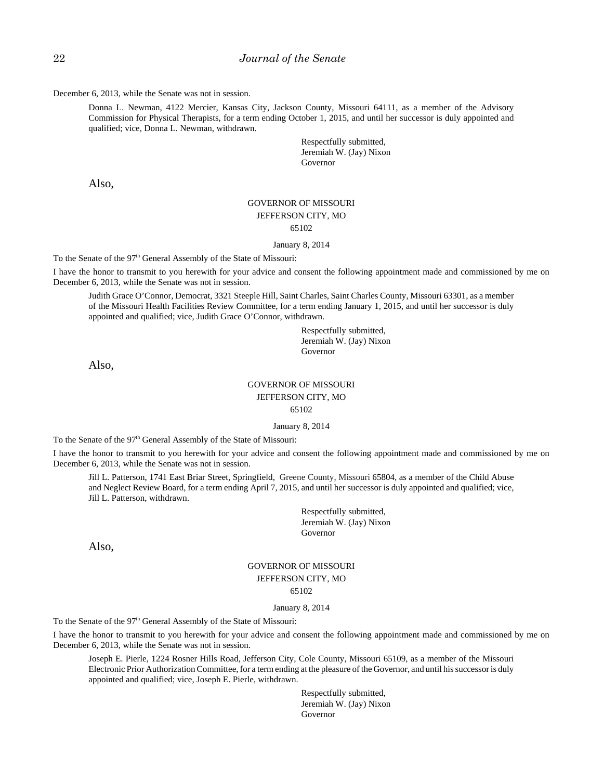December 6, 2013, while the Senate was not in session.

Donna L. Newman, 4122 Mercier, Kansas City, Jackson County, Missouri 64111, as a member of the Advisory Commission for Physical Therapists, for a term ending October 1, 2015, and until her successor is duly appointed and qualified; vice, Donna L. Newman, withdrawn.

> Respectfully submitted, Jeremiah W. (Jay) Nixon Governor

Also,

### GOVERNOR OF MISSOURI JEFFERSON CITY, MO 65102

January 8, 2014

To the Senate of the 97<sup>th</sup> General Assembly of the State of Missouri:

I have the honor to transmit to you herewith for your advice and consent the following appointment made and commissioned by me on December 6, 2013, while the Senate was not in session.

Judith Grace O'Connor, Democrat, 3321 Steeple Hill, Saint Charles, Saint Charles County, Missouri 63301, as a member of the Missouri Health Facilities Review Committee, for a term ending January 1, 2015, and until her successor is duly appointed and qualified; vice, Judith Grace O'Connor, withdrawn.

> Respectfully submitted, Jeremiah W. (Jay) Nixon Governor

Also,

# GOVERNOR OF MISSOURI JEFFERSON CITY, MO

65102

January 8, 2014

To the Senate of the 97<sup>th</sup> General Assembly of the State of Missouri:

I have the honor to transmit to you herewith for your advice and consent the following appointment made and commissioned by me on December 6, 2013, while the Senate was not in session.

Jill L. Patterson, 1741 East Briar Street, Springfield, Greene County, Missouri 65804, as a member of the Child Abuse and Neglect Review Board, for a term ending April 7, 2015, and until her successor is duly appointed and qualified; vice, Jill L. Patterson, withdrawn.

> Respectfully submitted, Jeremiah W. (Jay) Nixon Governor

Also,

#### GOVERNOR OF MISSOURI JEFFERSON CITY, MO 65102

#### January 8, 2014

To the Senate of the 97<sup>th</sup> General Assembly of the State of Missouri:

I have the honor to transmit to you herewith for your advice and consent the following appointment made and commissioned by me on December 6, 2013, while the Senate was not in session.

Joseph E. Pierle, 1224 Rosner Hills Road, Jefferson City, Cole County, Missouri 65109, as a member of the Missouri Electronic Prior Authorization Committee, for a term ending at the pleasure of the Governor, and until his successor is duly appointed and qualified; vice, Joseph E. Pierle, withdrawn.

> Respectfully submitted, Jeremiah W. (Jay) Nixon Governor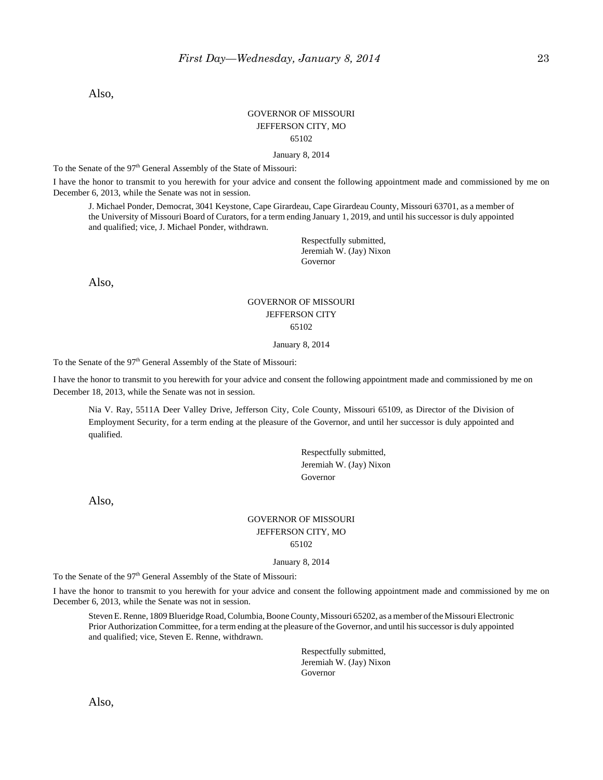Also,

### GOVERNOR OF MISSOURI JEFFERSON CITY, MO 65102

January 8, 2014

To the Senate of the 97<sup>th</sup> General Assembly of the State of Missouri:

I have the honor to transmit to you herewith for your advice and consent the following appointment made and commissioned by me on December 6, 2013, while the Senate was not in session.

J. Michael Ponder, Democrat, 3041 Keystone, Cape Girardeau, Cape Girardeau County, Missouri 63701, as a member of the University of Missouri Board of Curators, for a term ending January 1, 2019, and until his successor is duly appointed and qualified; vice, J. Michael Ponder, withdrawn.

> Respectfully submitted, Jeremiah W. (Jay) Nixon Governor

Also,

### GOVERNOR OF MISSOURI JEFFERSON CITY 65102

#### January 8, 2014

To the Senate of the 97<sup>th</sup> General Assembly of the State of Missouri:

I have the honor to transmit to you herewith for your advice and consent the following appointment made and commissioned by me on December 18, 2013, while the Senate was not in session.

Nia V. Ray, 5511A Deer Valley Drive, Jefferson City, Cole County, Missouri 65109, as Director of the Division of Employment Security, for a term ending at the pleasure of the Governor, and until her successor is duly appointed and qualified.

> Respectfully submitted, Jeremiah W. (Jay) Nixon Governor

Also,

#### GOVERNOR OF MISSOURI JEFFERSON CITY, MO 65102

January 8, 2014

To the Senate of the 97<sup>th</sup> General Assembly of the State of Missouri:

I have the honor to transmit to you herewith for your advice and consent the following appointment made and commissioned by me on December 6, 2013, while the Senate was not in session.

Steven E. Renne, 1809 Blueridge Road, Columbia, Boone County, Missouri 65202, as a member of the Missouri Electronic Prior Authorization Committee, for a term ending at the pleasure of the Governor, and until his successor is duly appointed and qualified; vice, Steven E. Renne, withdrawn.

> Respectfully submitted, Jeremiah W. (Jay) Nixon Governor

Also,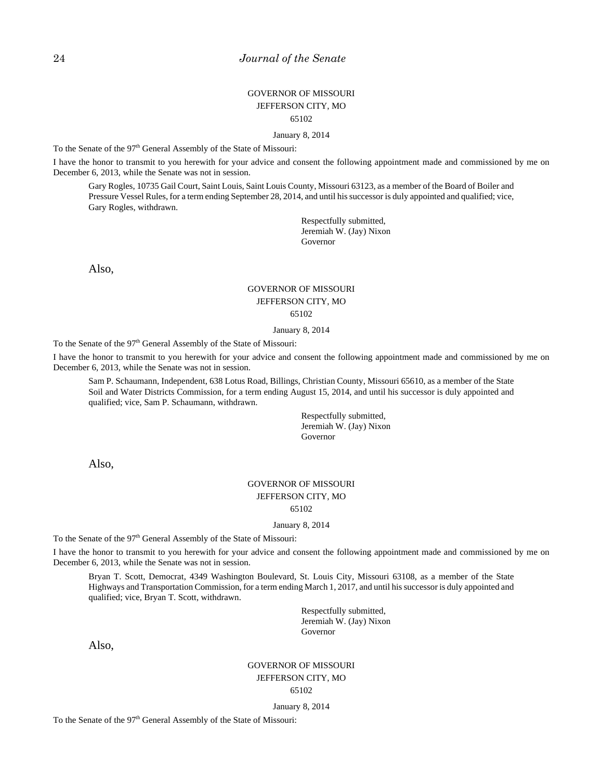### GOVERNOR OF MISSOURI JEFFERSON CITY, MO 65102

January 8, 2014

To the Senate of the 97<sup>th</sup> General Assembly of the State of Missouri:

I have the honor to transmit to you herewith for your advice and consent the following appointment made and commissioned by me on December 6, 2013, while the Senate was not in session.

Gary Rogles, 10735 Gail Court, Saint Louis, Saint Louis County, Missouri 63123, as a member of the Board of Boiler and Pressure Vessel Rules, for a term ending September 28, 2014, and until his successor is duly appointed and qualified; vice, Gary Rogles, withdrawn.

> Respectfully submitted, Jeremiah W. (Jay) Nixon Governor

Also,

### GOVERNOR OF MISSOURI JEFFERSON CITY, MO 65102

January 8, 2014

To the Senate of the 97<sup>th</sup> General Assembly of the State of Missouri:

I have the honor to transmit to you herewith for your advice and consent the following appointment made and commissioned by me on December 6, 2013, while the Senate was not in session.

Sam P. Schaumann, Independent, 638 Lotus Road, Billings, Christian County, Missouri 65610, as a member of the State Soil and Water Districts Commission, for a term ending August 15, 2014, and until his successor is duly appointed and qualified; vice, Sam P. Schaumann, withdrawn.

> Respectfully submitted, Jeremiah W. (Jay) Nixon Governor

Also,

### GOVERNOR OF MISSOURI JEFFERSON CITY, MO 65102

#### January 8, 2014

To the Senate of the 97<sup>th</sup> General Assembly of the State of Missouri:

I have the honor to transmit to you herewith for your advice and consent the following appointment made and commissioned by me on December 6, 2013, while the Senate was not in session.

Bryan T. Scott, Democrat, 4349 Washington Boulevard, St. Louis City, Missouri 63108, as a member of the State Highways and Transportation Commission, for a term ending March 1, 2017, and until his successor is duly appointed and qualified; vice, Bryan T. Scott, withdrawn.

> Respectfully submitted, Jeremiah W. (Jay) Nixon Governor

Also,

#### GOVERNOR OF MISSOURI JEFFERSON CITY, MO 65102

#### January 8, 2014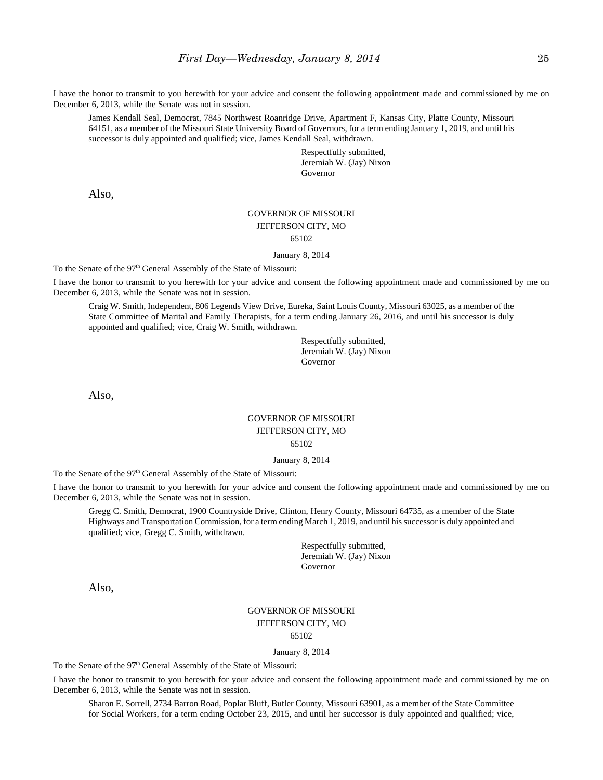I have the honor to transmit to you herewith for your advice and consent the following appointment made and commissioned by me on December 6, 2013, while the Senate was not in session.

James Kendall Seal, Democrat, 7845 Northwest Roanridge Drive, Apartment F, Kansas City, Platte County, Missouri 64151, as a member of the Missouri State University Board of Governors, for a term ending January 1, 2019, and until his successor is duly appointed and qualified; vice, James Kendall Seal, withdrawn.

> Respectfully submitted, Jeremiah W. (Jay) Nixon Governor

Also,

# GOVERNOR OF MISSOURI JEFFERSON CITY, MO

65102

January 8, 2014

To the Senate of the 97<sup>th</sup> General Assembly of the State of Missouri:

I have the honor to transmit to you herewith for your advice and consent the following appointment made and commissioned by me on December 6, 2013, while the Senate was not in session.

Craig W. Smith, Independent, 806 Legends View Drive, Eureka, Saint Louis County, Missouri 63025, as a member of the State Committee of Marital and Family Therapists, for a term ending January 26, 2016, and until his successor is duly appointed and qualified; vice, Craig W. Smith, withdrawn.

> Respectfully submitted, Jeremiah W. (Jay) Nixon Governor

Also,

### GOVERNOR OF MISSOURI JEFFERSON CITY, MO 65102

#### January 8, 2014

To the Senate of the 97<sup>th</sup> General Assembly of the State of Missouri:

I have the honor to transmit to you herewith for your advice and consent the following appointment made and commissioned by me on December 6, 2013, while the Senate was not in session.

Gregg C. Smith, Democrat, 1900 Countryside Drive, Clinton, Henry County, Missouri 64735, as a member of the State Highways and Transportation Commission, for a term ending March 1, 2019, and until his successor is duly appointed and qualified; vice, Gregg C. Smith, withdrawn.

> Respectfully submitted, Jeremiah W. (Jay) Nixon Governor

Also,

### GOVERNOR OF MISSOURI JEFFERSON CITY, MO 65102

January 8, 2014

To the Senate of the 97<sup>th</sup> General Assembly of the State of Missouri:

I have the honor to transmit to you herewith for your advice and consent the following appointment made and commissioned by me on December 6, 2013, while the Senate was not in session.

Sharon E. Sorrell, 2734 Barron Road, Poplar Bluff, Butler County, Missouri 63901, as a member of the State Committee for Social Workers, for a term ending October 23, 2015, and until her successor is duly appointed and qualified; vice,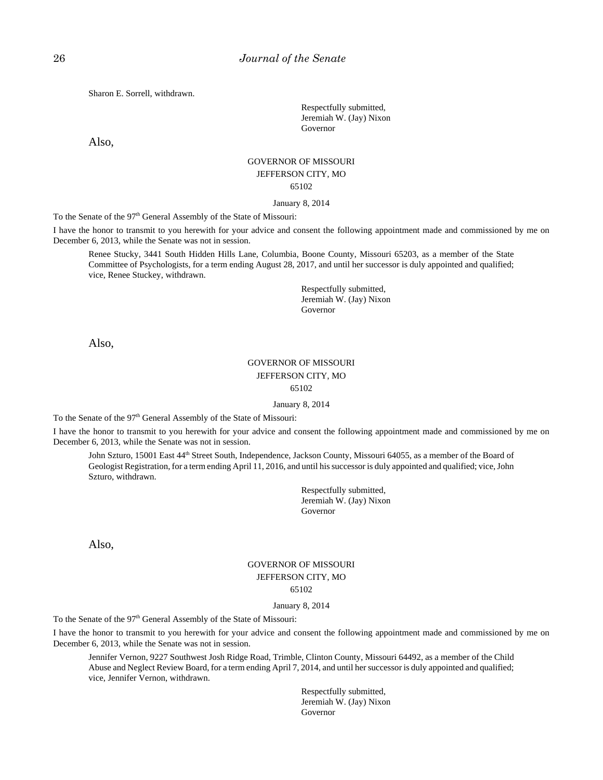Sharon E. Sorrell, withdrawn.

Respectfully submitted, Jeremiah W. (Jay) Nixon Governor

Also,

### GOVERNOR OF MISSOURI JEFFERSON CITY, MO 65102

#### January 8, 2014

To the Senate of the 97<sup>th</sup> General Assembly of the State of Missouri:

I have the honor to transmit to you herewith for your advice and consent the following appointment made and commissioned by me on December 6, 2013, while the Senate was not in session.

Renee Stucky, 3441 South Hidden Hills Lane, Columbia, Boone County, Missouri 65203, as a member of the State Committee of Psychologists, for a term ending August 28, 2017, and until her successor is duly appointed and qualified; vice, Renee Stuckey, withdrawn.

> Respectfully submitted, Jeremiah W. (Jay) Nixon Governor

Also,

#### GOVERNOR OF MISSOURI JEFFERSON CITY, MO 65102

#### January 8, 2014

To the Senate of the 97<sup>th</sup> General Assembly of the State of Missouri:

I have the honor to transmit to you herewith for your advice and consent the following appointment made and commissioned by me on December 6, 2013, while the Senate was not in session.

John Szturo, 15001 East 44<sup>th</sup> Street South, Independence, Jackson County, Missouri 64055, as a member of the Board of Geologist Registration, for a term ending April 11, 2016, and until his successor is duly appointed and qualified; vice, John Szturo, withdrawn.

> Respectfully submitted, Jeremiah W. (Jay) Nixon Governor

Also,

### GOVERNOR OF MISSOURI JEFFERSON CITY, MO 65102

#### January 8, 2014

To the Senate of the 97<sup>th</sup> General Assembly of the State of Missouri:

I have the honor to transmit to you herewith for your advice and consent the following appointment made and commissioned by me on December 6, 2013, while the Senate was not in session.

Jennifer Vernon, 9227 Southwest Josh Ridge Road, Trimble, Clinton County, Missouri 64492, as a member of the Child Abuse and Neglect Review Board, for a term ending April 7, 2014, and until her successor is duly appointed and qualified; vice, Jennifer Vernon, withdrawn.

> Respectfully submitted, Jeremiah W. (Jay) Nixon Governor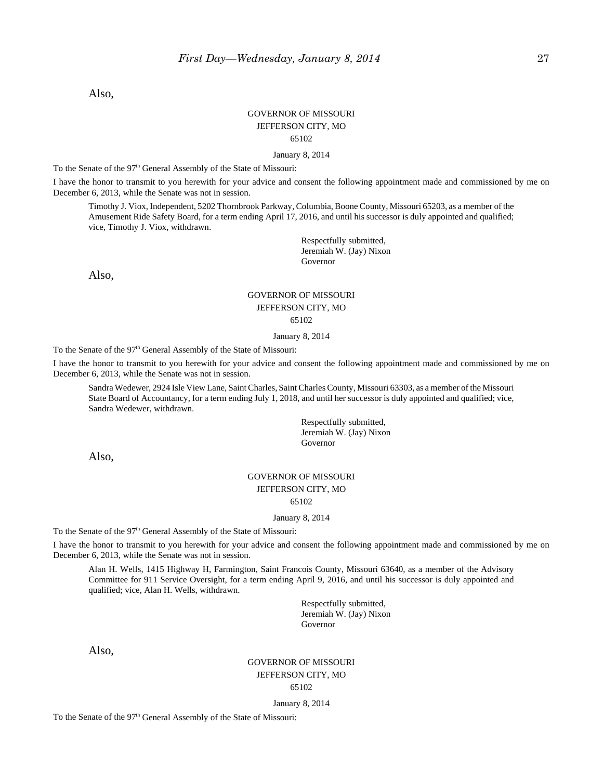Also,

### GOVERNOR OF MISSOURI JEFFERSON CITY, MO 65102

January 8, 2014

To the Senate of the 97<sup>th</sup> General Assembly of the State of Missouri:

I have the honor to transmit to you herewith for your advice and consent the following appointment made and commissioned by me on December 6, 2013, while the Senate was not in session.

Timothy J. Viox, Independent, 5202 Thornbrook Parkway, Columbia, Boone County, Missouri 65203, as a member of the Amusement Ride Safety Board, for a term ending April 17, 2016, and until his successor is duly appointed and qualified; vice, Timothy J. Viox, withdrawn.

> Respectfully submitted, Jeremiah W. (Jay) Nixon Governor

Also,

# GOVERNOR OF MISSOURI JEFFERSON CITY, MO

65102

#### January 8, 2014

To the Senate of the 97<sup>th</sup> General Assembly of the State of Missouri:

I have the honor to transmit to you herewith for your advice and consent the following appointment made and commissioned by me on December 6, 2013, while the Senate was not in session.

Sandra Wedewer, 2924 Isle View Lane, Saint Charles, Saint Charles County, Missouri 63303, as a member of the Missouri State Board of Accountancy, for a term ending July 1, 2018, and until her successor is duly appointed and qualified; vice, Sandra Wedewer, withdrawn.

> Respectfully submitted, Jeremiah W. (Jay) Nixon Governor

Also,

# GOVERNOR OF MISSOURI JEFFERSON CITY, MO

65102

January 8, 2014

To the Senate of the 97<sup>th</sup> General Assembly of the State of Missouri:

I have the honor to transmit to you herewith for your advice and consent the following appointment made and commissioned by me on December 6, 2013, while the Senate was not in session.

Alan H. Wells, 1415 Highway H, Farmington, Saint Francois County, Missouri 63640, as a member of the Advisory Committee for 911 Service Oversight, for a term ending April 9, 2016, and until his successor is duly appointed and qualified; vice, Alan H. Wells, withdrawn.

> Respectfully submitted, Jeremiah W. (Jay) Nixon Governor

Also,

### GOVERNOR OF MISSOURI JEFFERSON CITY, MO 65102

January 8, 2014

To the Senate of the 97<sup>th</sup> General Assembly of the State of Missouri: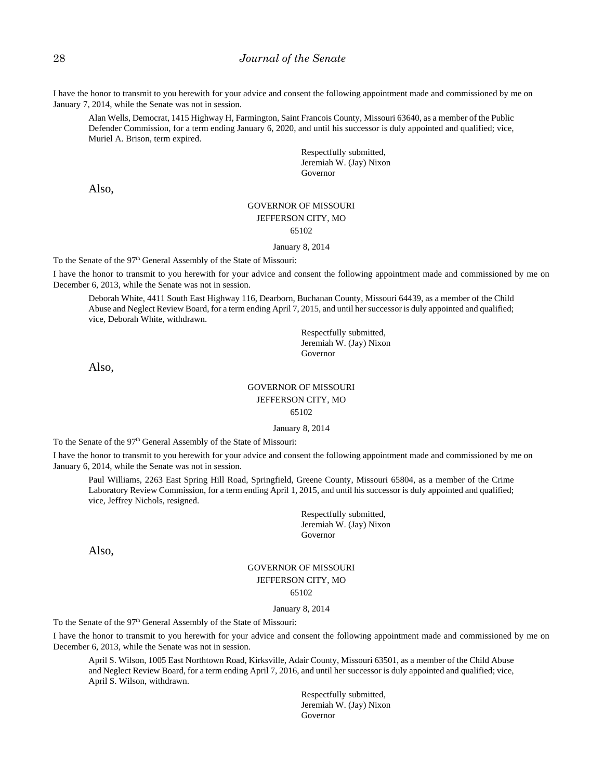I have the honor to transmit to you herewith for your advice and consent the following appointment made and commissioned by me on January 7, 2014, while the Senate was not in session.

Alan Wells, Democrat, 1415 Highway H, Farmington, Saint Francois County, Missouri 63640, as a member of the Public Defender Commission, for a term ending January 6, 2020, and until his successor is duly appointed and qualified; vice, Muriel A. Brison, term expired.

> Respectfully submitted, Jeremiah W. (Jay) Nixon Governor

Also,

#### GOVERNOR OF MISSOURI JEFFERSON CITY, MO 65102

#### January 8, 2014

To the Senate of the 97<sup>th</sup> General Assembly of the State of Missouri:

I have the honor to transmit to you herewith for your advice and consent the following appointment made and commissioned by me on December 6, 2013, while the Senate was not in session.

Deborah White, 4411 South East Highway 116, Dearborn, Buchanan County, Missouri 64439, as a member of the Child Abuse and Neglect Review Board, for a term ending April 7, 2015, and until her successor is duly appointed and qualified; vice, Deborah White, withdrawn.

> Respectfully submitted, Jeremiah W. (Jay) Nixon Governor

Also,

### GOVERNOR OF MISSOURI JEFFERSON CITY, MO

65102

January 8, 2014

To the Senate of the  $97<sup>th</sup>$  General Assembly of the State of Missouri:

I have the honor to transmit to you herewith for your advice and consent the following appointment made and commissioned by me on January 6, 2014, while the Senate was not in session.

Paul Williams, 2263 East Spring Hill Road, Springfield, Greene County, Missouri 65804, as a member of the Crime Laboratory Review Commission, for a term ending April 1, 2015, and until his successor is duly appointed and qualified; vice, Jeffrey Nichols, resigned.

> Respectfully submitted, Jeremiah W. (Jay) Nixon Governor

Also,

#### GOVERNOR OF MISSOURI JEFFERSON CITY, MO 65102

#### January 8, 2014

To the Senate of the 97<sup>th</sup> General Assembly of the State of Missouri:

I have the honor to transmit to you herewith for your advice and consent the following appointment made and commissioned by me on December 6, 2013, while the Senate was not in session.

April S. Wilson, 1005 East Northtown Road, Kirksville, Adair County, Missouri 63501, as a member of the Child Abuse and Neglect Review Board, for a term ending April 7, 2016, and until her successor is duly appointed and qualified; vice, April S. Wilson, withdrawn.

> Respectfully submitted, Jeremiah W. (Jay) Nixon Governor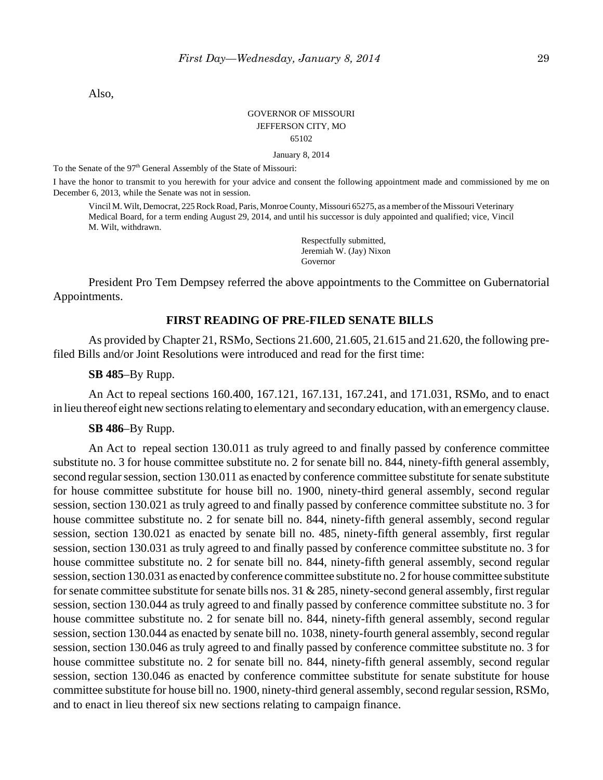Also,

### GOVERNOR OF MISSOURI JEFFERSON CITY, MO 65102

January 8, 2014

To the Senate of the 97<sup>th</sup> General Assembly of the State of Missouri:

I have the honor to transmit to you herewith for your advice and consent the following appointment made and commissioned by me on December 6, 2013, while the Senate was not in session.

Vincil M. Wilt, Democrat, 225 Rock Road, Paris, Monroe County, Missouri 65275, as a member of the Missouri Veterinary Medical Board, for a term ending August 29, 2014, and until his successor is duly appointed and qualified; vice, Vincil M. Wilt, withdrawn.

> Respectfully submitted, Jeremiah W. (Jay) Nixon Governor

President Pro Tem Dempsey referred the above appointments to the Committee on Gubernatorial Appointments.

### **FIRST READING OF PRE-FILED SENATE BILLS**

As provided by Chapter 21, RSMo, Sections 21.600, 21.605, 21.615 and 21.620, the following prefiled Bills and/or Joint Resolutions were introduced and read for the first time:

**SB 485**–By Rupp.

An Act to repeal sections 160.400, 167.121, 167.131, 167.241, and 171.031, RSMo, and to enact in lieu thereof eight new sections relating to elementary and secondary education, with an emergency clause.

### **SB 486**–By Rupp.

An Act to repeal section 130.011 as truly agreed to and finally passed by conference committee substitute no. 3 for house committee substitute no. 2 for senate bill no. 844, ninety-fifth general assembly, second regular session, section 130.011 as enacted by conference committee substitute for senate substitute for house committee substitute for house bill no. 1900, ninety-third general assembly, second regular session, section 130.021 as truly agreed to and finally passed by conference committee substitute no. 3 for house committee substitute no. 2 for senate bill no. 844, ninety-fifth general assembly, second regular session, section 130.021 as enacted by senate bill no. 485, ninety-fifth general assembly, first regular session, section 130.031 as truly agreed to and finally passed by conference committee substitute no. 3 for house committee substitute no. 2 for senate bill no. 844, ninety-fifth general assembly, second regular session, section 130.031 as enacted by conference committee substitute no. 2 for house committee substitute for senate committee substitute for senate bills nos. 31 & 285, ninety-second general assembly, first regular session, section 130.044 as truly agreed to and finally passed by conference committee substitute no. 3 for house committee substitute no. 2 for senate bill no. 844, ninety-fifth general assembly, second regular session, section 130.044 as enacted by senate bill no. 1038, ninety-fourth general assembly, second regular session, section 130.046 as truly agreed to and finally passed by conference committee substitute no. 3 for house committee substitute no. 2 for senate bill no. 844, ninety-fifth general assembly, second regular session, section 130.046 as enacted by conference committee substitute for senate substitute for house committee substitute for house bill no. 1900, ninety-third general assembly, second regular session, RSMo, and to enact in lieu thereof six new sections relating to campaign finance.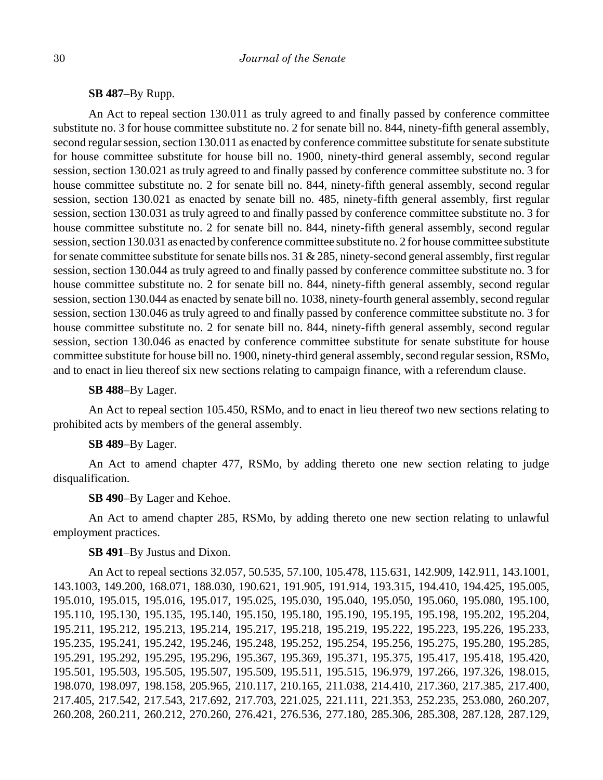# **SB 487**–By Rupp.

An Act to repeal section 130.011 as truly agreed to and finally passed by conference committee substitute no. 3 for house committee substitute no. 2 for senate bill no. 844, ninety-fifth general assembly, second regular session, section 130.011 as enacted by conference committee substitute for senate substitute for house committee substitute for house bill no. 1900, ninety-third general assembly, second regular session, section 130.021 as truly agreed to and finally passed by conference committee substitute no. 3 for house committee substitute no. 2 for senate bill no. 844, ninety-fifth general assembly, second regular session, section 130.021 as enacted by senate bill no. 485, ninety-fifth general assembly, first regular session, section 130.031 as truly agreed to and finally passed by conference committee substitute no. 3 for house committee substitute no. 2 for senate bill no. 844, ninety-fifth general assembly, second regular session, section 130.031 as enacted by conference committee substitute no. 2 for house committee substitute for senate committee substitute for senate bills nos. 31 & 285, ninety-second general assembly, first regular session, section 130.044 as truly agreed to and finally passed by conference committee substitute no. 3 for house committee substitute no. 2 for senate bill no. 844, ninety-fifth general assembly, second regular session, section 130.044 as enacted by senate bill no. 1038, ninety-fourth general assembly, second regular session, section 130.046 as truly agreed to and finally passed by conference committee substitute no. 3 for house committee substitute no. 2 for senate bill no. 844, ninety-fifth general assembly, second regular session, section 130.046 as enacted by conference committee substitute for senate substitute for house committee substitute for house bill no. 1900, ninety-third general assembly, second regular session, RSMo, and to enact in lieu thereof six new sections relating to campaign finance, with a referendum clause.

### **SB 488**–By Lager.

An Act to repeal section 105.450, RSMo, and to enact in lieu thereof two new sections relating to prohibited acts by members of the general assembly.

### **SB 489**–By Lager.

An Act to amend chapter 477, RSMo, by adding thereto one new section relating to judge disqualification.

# **SB 490**–By Lager and Kehoe.

An Act to amend chapter 285, RSMo, by adding thereto one new section relating to unlawful employment practices.

# **SB 491**–By Justus and Dixon.

An Act to repeal sections 32.057, 50.535, 57.100, 105.478, 115.631, 142.909, 142.911, 143.1001, 143.1003, 149.200, 168.071, 188.030, 190.621, 191.905, 191.914, 193.315, 194.410, 194.425, 195.005, 195.010, 195.015, 195.016, 195.017, 195.025, 195.030, 195.040, 195.050, 195.060, 195.080, 195.100, 195.110, 195.130, 195.135, 195.140, 195.150, 195.180, 195.190, 195.195, 195.198, 195.202, 195.204, 195.211, 195.212, 195.213, 195.214, 195.217, 195.218, 195.219, 195.222, 195.223, 195.226, 195.233, 195.235, 195.241, 195.242, 195.246, 195.248, 195.252, 195.254, 195.256, 195.275, 195.280, 195.285, 195.291, 195.292, 195.295, 195.296, 195.367, 195.369, 195.371, 195.375, 195.417, 195.418, 195.420, 195.501, 195.503, 195.505, 195.507, 195.509, 195.511, 195.515, 196.979, 197.266, 197.326, 198.015, 198.070, 198.097, 198.158, 205.965, 210.117, 210.165, 211.038, 214.410, 217.360, 217.385, 217.400, 217.405, 217.542, 217.543, 217.692, 217.703, 221.025, 221.111, 221.353, 252.235, 253.080, 260.207, 260.208, 260.211, 260.212, 270.260, 276.421, 276.536, 277.180, 285.306, 285.308, 287.128, 287.129,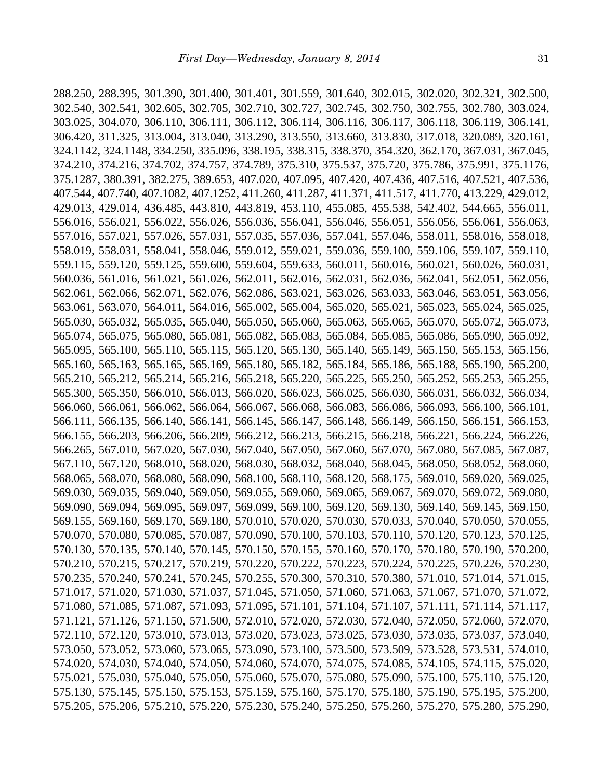288.250, 288.395, 301.390, 301.400, 301.401, 301.559, 301.640, 302.015, 302.020, 302.321, 302.500, 302.540, 302.541, 302.605, 302.705, 302.710, 302.727, 302.745, 302.750, 302.755, 302.780, 303.024, 303.025, 304.070, 306.110, 306.111, 306.112, 306.114, 306.116, 306.117, 306.118, 306.119, 306.141, 306.420, 311.325, 313.004, 313.040, 313.290, 313.550, 313.660, 313.830, 317.018, 320.089, 320.161, 324.1142, 324.1148, 334.250, 335.096, 338.195, 338.315, 338.370, 354.320, 362.170, 367.031, 367.045, 374.210, 374.216, 374.702, 374.757, 374.789, 375.310, 375.537, 375.720, 375.786, 375.991, 375.1176, 375.1287, 380.391, 382.275, 389.653, 407.020, 407.095, 407.420, 407.436, 407.516, 407.521, 407.536, 407.544, 407.740, 407.1082, 407.1252, 411.260, 411.287, 411.371, 411.517, 411.770, 413.229, 429.012, 429.013, 429.014, 436.485, 443.810, 443.819, 453.110, 455.085, 455.538, 542.402, 544.665, 556.011, 556.016, 556.021, 556.022, 556.026, 556.036, 556.041, 556.046, 556.051, 556.056, 556.061, 556.063, 557.016, 557.021, 557.026, 557.031, 557.035, 557.036, 557.041, 557.046, 558.011, 558.016, 558.018, 558.019, 558.031, 558.041, 558.046, 559.012, 559.021, 559.036, 559.100, 559.106, 559.107, 559.110, 559.115, 559.120, 559.125, 559.600, 559.604, 559.633, 560.011, 560.016, 560.021, 560.026, 560.031, 560.036, 561.016, 561.021, 561.026, 562.011, 562.016, 562.031, 562.036, 562.041, 562.051, 562.056, 562.061, 562.066, 562.071, 562.076, 562.086, 563.021, 563.026, 563.033, 563.046, 563.051, 563.056, 563.061, 563.070, 564.011, 564.016, 565.002, 565.004, 565.020, 565.021, 565.023, 565.024, 565.025, 565.030, 565.032, 565.035, 565.040, 565.050, 565.060, 565.063, 565.065, 565.070, 565.072, 565.073, 565.074, 565.075, 565.080, 565.081, 565.082, 565.083, 565.084, 565.085, 565.086, 565.090, 565.092, 565.095, 565.100, 565.110, 565.115, 565.120, 565.130, 565.140, 565.149, 565.150, 565.153, 565.156, 565.160, 565.163, 565.165, 565.169, 565.180, 565.182, 565.184, 565.186, 565.188, 565.190, 565.200, 565.210, 565.212, 565.214, 565.216, 565.218, 565.220, 565.225, 565.250, 565.252, 565.253, 565.255, 565.300, 565.350, 566.010, 566.013, 566.020, 566.023, 566.025, 566.030, 566.031, 566.032, 566.034, 566.060, 566.061, 566.062, 566.064, 566.067, 566.068, 566.083, 566.086, 566.093, 566.100, 566.101, 566.111, 566.135, 566.140, 566.141, 566.145, 566.147, 566.148, 566.149, 566.150, 566.151, 566.153, 566.155, 566.203, 566.206, 566.209, 566.212, 566.213, 566.215, 566.218, 566.221, 566.224, 566.226, 566.265, 567.010, 567.020, 567.030, 567.040, 567.050, 567.060, 567.070, 567.080, 567.085, 567.087, 567.110, 567.120, 568.010, 568.020, 568.030, 568.032, 568.040, 568.045, 568.050, 568.052, 568.060, 568.065, 568.070, 568.080, 568.090, 568.100, 568.110, 568.120, 568.175, 569.010, 569.020, 569.025, 569.030, 569.035, 569.040, 569.050, 569.055, 569.060, 569.065, 569.067, 569.070, 569.072, 569.080, 569.090, 569.094, 569.095, 569.097, 569.099, 569.100, 569.120, 569.130, 569.140, 569.145, 569.150, 569.155, 569.160, 569.170, 569.180, 570.010, 570.020, 570.030, 570.033, 570.040, 570.050, 570.055, 570.070, 570.080, 570.085, 570.087, 570.090, 570.100, 570.103, 570.110, 570.120, 570.123, 570.125, 570.130, 570.135, 570.140, 570.145, 570.150, 570.155, 570.160, 570.170, 570.180, 570.190, 570.200, 570.210, 570.215, 570.217, 570.219, 570.220, 570.222, 570.223, 570.224, 570.225, 570.226, 570.230, 570.235, 570.240, 570.241, 570.245, 570.255, 570.300, 570.310, 570.380, 571.010, 571.014, 571.015, 571.017, 571.020, 571.030, 571.037, 571.045, 571.050, 571.060, 571.063, 571.067, 571.070, 571.072, 571.080, 571.085, 571.087, 571.093, 571.095, 571.101, 571.104, 571.107, 571.111, 571.114, 571.117, 571.121, 571.126, 571.150, 571.500, 572.010, 572.020, 572.030, 572.040, 572.050, 572.060, 572.070, 572.110, 572.120, 573.010, 573.013, 573.020, 573.023, 573.025, 573.030, 573.035, 573.037, 573.040, 573.050, 573.052, 573.060, 573.065, 573.090, 573.100, 573.500, 573.509, 573.528, 573.531, 574.010, 574.020, 574.030, 574.040, 574.050, 574.060, 574.070, 574.075, 574.085, 574.105, 574.115, 575.020, 575.021, 575.030, 575.040, 575.050, 575.060, 575.070, 575.080, 575.090, 575.100, 575.110, 575.120, 575.130, 575.145, 575.150, 575.153, 575.159, 575.160, 575.170, 575.180, 575.190, 575.195, 575.200, 575.205, 575.206, 575.210, 575.220, 575.230, 575.240, 575.250, 575.260, 575.270, 575.280, 575.290,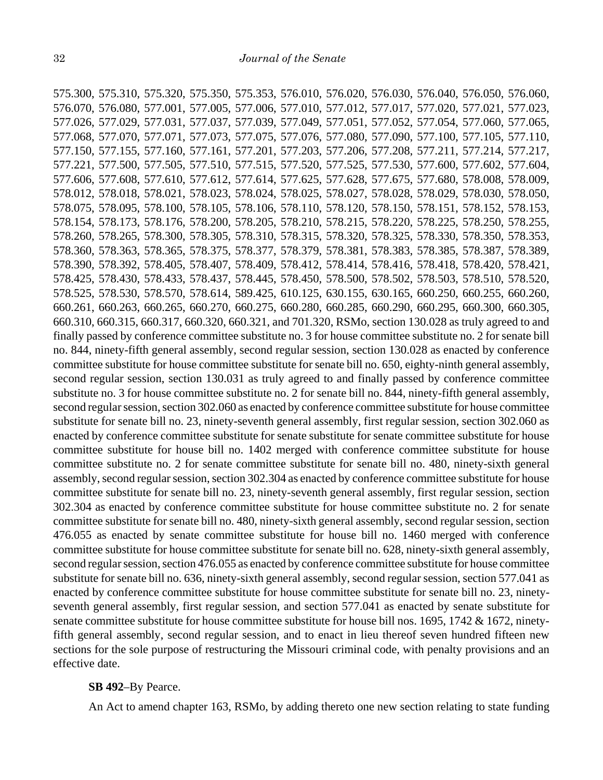575.300, 575.310, 575.320, 575.350, 575.353, 576.010, 576.020, 576.030, 576.040, 576.050, 576.060, 576.070, 576.080, 577.001, 577.005, 577.006, 577.010, 577.012, 577.017, 577.020, 577.021, 577.023, 577.026, 577.029, 577.031, 577.037, 577.039, 577.049, 577.051, 577.052, 577.054, 577.060, 577.065, 577.068, 577.070, 577.071, 577.073, 577.075, 577.076, 577.080, 577.090, 577.100, 577.105, 577.110, 577.150, 577.155, 577.160, 577.161, 577.201, 577.203, 577.206, 577.208, 577.211, 577.214, 577.217, 577.221, 577.500, 577.505, 577.510, 577.515, 577.520, 577.525, 577.530, 577.600, 577.602, 577.604, 577.606, 577.608, 577.610, 577.612, 577.614, 577.625, 577.628, 577.675, 577.680, 578.008, 578.009, 578.012, 578.018, 578.021, 578.023, 578.024, 578.025, 578.027, 578.028, 578.029, 578.030, 578.050, 578.075, 578.095, 578.100, 578.105, 578.106, 578.110, 578.120, 578.150, 578.151, 578.152, 578.153, 578.154, 578.173, 578.176, 578.200, 578.205, 578.210, 578.215, 578.220, 578.225, 578.250, 578.255, 578.260, 578.265, 578.300, 578.305, 578.310, 578.315, 578.320, 578.325, 578.330, 578.350, 578.353, 578.360, 578.363, 578.365, 578.375, 578.377, 578.379, 578.381, 578.383, 578.385, 578.387, 578.389, 578.390, 578.392, 578.405, 578.407, 578.409, 578.412, 578.414, 578.416, 578.418, 578.420, 578.421, 578.425, 578.430, 578.433, 578.437, 578.445, 578.450, 578.500, 578.502, 578.503, 578.510, 578.520, 578.525, 578.530, 578.570, 578.614, 589.425, 610.125, 630.155, 630.165, 660.250, 660.255, 660.260, 660.261, 660.263, 660.265, 660.270, 660.275, 660.280, 660.285, 660.290, 660.295, 660.300, 660.305, 660.310, 660.315, 660.317, 660.320, 660.321, and 701.320, RSMo, section 130.028 as truly agreed to and finally passed by conference committee substitute no. 3 for house committee substitute no. 2 for senate bill no. 844, ninety-fifth general assembly, second regular session, section 130.028 as enacted by conference committee substitute for house committee substitute for senate bill no. 650, eighty-ninth general assembly, second regular session, section 130.031 as truly agreed to and finally passed by conference committee substitute no. 3 for house committee substitute no. 2 for senate bill no. 844, ninety-fifth general assembly, second regular session, section 302.060 as enacted by conference committee substitute for house committee substitute for senate bill no. 23, ninety-seventh general assembly, first regular session, section 302.060 as enacted by conference committee substitute for senate substitute for senate committee substitute for house committee substitute for house bill no. 1402 merged with conference committee substitute for house committee substitute no. 2 for senate committee substitute for senate bill no. 480, ninety-sixth general assembly, second regular session, section 302.304 as enacted by conference committee substitute for house committee substitute for senate bill no. 23, ninety-seventh general assembly, first regular session, section 302.304 as enacted by conference committee substitute for house committee substitute no. 2 for senate committee substitute for senate bill no. 480, ninety-sixth general assembly, second regular session, section 476.055 as enacted by senate committee substitute for house bill no. 1460 merged with conference committee substitute for house committee substitute for senate bill no. 628, ninety-sixth general assembly, second regular session, section 476.055 as enacted by conference committee substitute for house committee substitute for senate bill no. 636, ninety-sixth general assembly, second regular session, section 577.041 as enacted by conference committee substitute for house committee substitute for senate bill no. 23, ninetyseventh general assembly, first regular session, and section 577.041 as enacted by senate substitute for senate committee substitute for house committee substitute for house bill nos. 1695, 1742 & 1672, ninetyfifth general assembly, second regular session, and to enact in lieu thereof seven hundred fifteen new sections for the sole purpose of restructuring the Missouri criminal code, with penalty provisions and an effective date.

### **SB 492**–By Pearce.

An Act to amend chapter 163, RSMo, by adding thereto one new section relating to state funding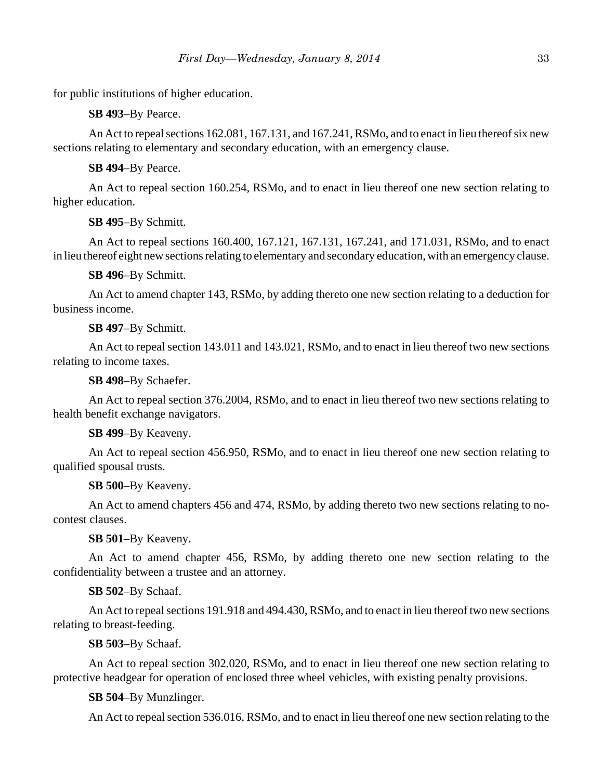for public institutions of higher education.

**SB 493**–By Pearce.

An Act to repeal sections 162.081, 167.131, and 167.241, RSMo, and to enact in lieu thereof six new sections relating to elementary and secondary education, with an emergency clause.

**SB 494**–By Pearce.

An Act to repeal section 160.254, RSMo, and to enact in lieu thereof one new section relating to higher education.

**SB 495**–By Schmitt.

An Act to repeal sections 160.400, 167.121, 167.131, 167.241, and 171.031, RSMo, and to enact in lieu thereof eight new sections relating to elementary and secondary education, with an emergency clause.

**SB 496**–By Schmitt.

An Act to amend chapter 143, RSMo, by adding thereto one new section relating to a deduction for business income.

**SB 497**–By Schmitt.

An Act to repeal section 143.011 and 143.021, RSMo, and to enact in lieu thereof two new sections relating to income taxes.

**SB 498**–By Schaefer.

An Act to repeal section 376.2004, RSMo, and to enact in lieu thereof two new sections relating to health benefit exchange navigators.

**SB 499**–By Keaveny.

An Act to repeal section 456.950, RSMo, and to enact in lieu thereof one new section relating to qualified spousal trusts.

**SB 500**–By Keaveny.

An Act to amend chapters 456 and 474, RSMo, by adding thereto two new sections relating to nocontest clauses.

**SB 501**–By Keaveny.

An Act to amend chapter 456, RSMo, by adding thereto one new section relating to the confidentiality between a trustee and an attorney.

**SB 502**–By Schaaf.

An Act to repeal sections 191.918 and 494.430, RSMo, and to enact in lieu thereof two new sections relating to breast-feeding.

**SB 503**–By Schaaf.

An Act to repeal section 302.020, RSMo, and to enact in lieu thereof one new section relating to protective headgear for operation of enclosed three wheel vehicles, with existing penalty provisions.

**SB 504**–By Munzlinger.

An Act to repeal section 536.016, RSMo, and to enact in lieu thereof one new section relating to the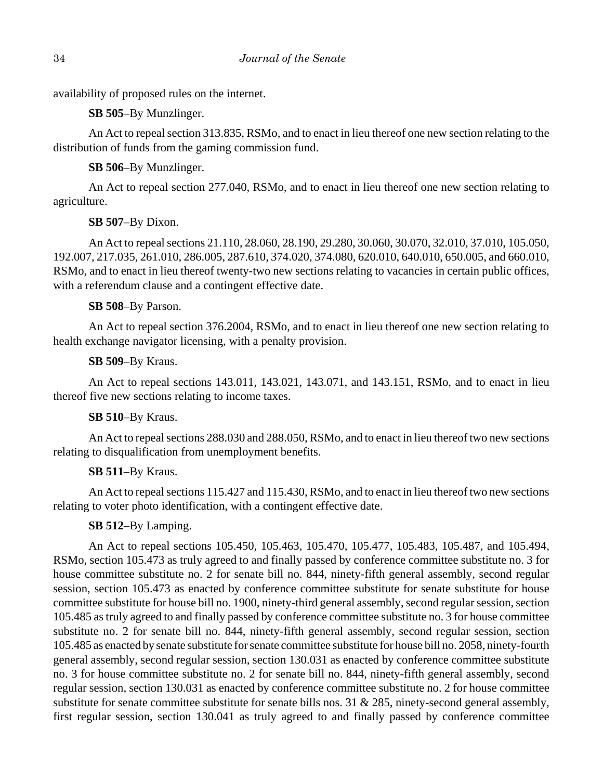availability of proposed rules on the internet.

**SB 505**–By Munzlinger.

An Act to repeal section 313.835, RSMo, and to enact in lieu thereof one new section relating to the distribution of funds from the gaming commission fund.

**SB 506**–By Munzlinger.

An Act to repeal section 277.040, RSMo, and to enact in lieu thereof one new section relating to agriculture.

**SB 507**–By Dixon.

An Act to repeal sections 21.110, 28.060, 28.190, 29.280, 30.060, 30.070, 32.010, 37.010, 105.050, 192.007, 217.035, 261.010, 286.005, 287.610, 374.020, 374.080, 620.010, 640.010, 650.005, and 660.010, RSMo, and to enact in lieu thereof twenty-two new sections relating to vacancies in certain public offices, with a referendum clause and a contingent effective date.

# **SB 508**–By Parson.

An Act to repeal section 376.2004, RSMo, and to enact in lieu thereof one new section relating to health exchange navigator licensing, with a penalty provision.

# **SB 509**–By Kraus.

An Act to repeal sections 143.011, 143.021, 143.071, and 143.151, RSMo, and to enact in lieu thereof five new sections relating to income taxes.

# **SB 510**–By Kraus.

An Act to repeal sections 288.030 and 288.050, RSMo, and to enact in lieu thereof two new sections relating to disqualification from unemployment benefits.

# **SB 511**–By Kraus.

An Act to repeal sections 115.427 and 115.430, RSMo, and to enact in lieu thereof two new sections relating to voter photo identification, with a contingent effective date.

# **SB 512**–By Lamping.

An Act to repeal sections 105.450, 105.463, 105.470, 105.477, 105.483, 105.487, and 105.494, RSMo, section 105.473 as truly agreed to and finally passed by conference committee substitute no. 3 for house committee substitute no. 2 for senate bill no. 844, ninety-fifth general assembly, second regular session, section 105.473 as enacted by conference committee substitute for senate substitute for house committee substitute for house bill no. 1900, ninety-third general assembly, second regular session, section 105.485 as truly agreed to and finally passed by conference committee substitute no. 3 for house committee substitute no. 2 for senate bill no. 844, ninety-fifth general assembly, second regular session, section 105.485 as enacted by senate substitute for senate committee substitute for house bill no. 2058, ninety-fourth general assembly, second regular session, section 130.031 as enacted by conference committee substitute no. 3 for house committee substitute no. 2 for senate bill no. 844, ninety-fifth general assembly, second regular session, section 130.031 as enacted by conference committee substitute no. 2 for house committee substitute for senate committee substitute for senate bills nos. 31 & 285, ninety-second general assembly, first regular session, section 130.041 as truly agreed to and finally passed by conference committee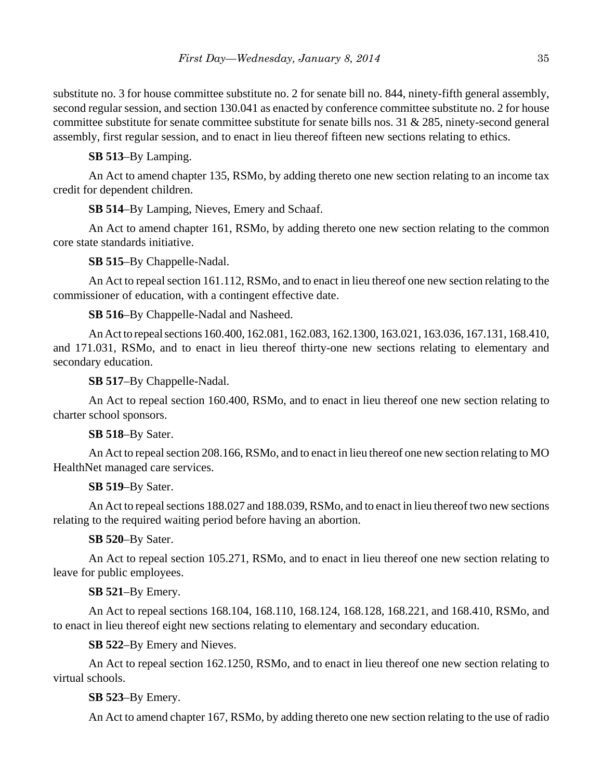substitute no. 3 for house committee substitute no. 2 for senate bill no. 844, ninety-fifth general assembly, second regular session, and section 130.041 as enacted by conference committee substitute no. 2 for house committee substitute for senate committee substitute for senate bills nos. 31  $\&$  285, ninety-second general assembly, first regular session, and to enact in lieu thereof fifteen new sections relating to ethics.

**SB 513**–By Lamping.

An Act to amend chapter 135, RSMo, by adding thereto one new section relating to an income tax credit for dependent children.

**SB 514**–By Lamping, Nieves, Emery and Schaaf.

An Act to amend chapter 161, RSMo, by adding thereto one new section relating to the common core state standards initiative.

**SB 515**–By Chappelle-Nadal.

An Act to repeal section 161.112, RSMo, and to enact in lieu thereof one new section relating to the commissioner of education, with a contingent effective date.

**SB 516**–By Chappelle-Nadal and Nasheed.

An Act to repeal sections 160.400, 162.081, 162.083, 162.1300, 163.021, 163.036, 167.131, 168.410, and 171.031, RSMo, and to enact in lieu thereof thirty-one new sections relating to elementary and secondary education.

**SB 517**–By Chappelle-Nadal.

An Act to repeal section 160.400, RSMo, and to enact in lieu thereof one new section relating to charter school sponsors.

**SB 518**–By Sater.

An Act to repeal section 208.166, RSMo, and to enact in lieu thereof one new section relating to MO HealthNet managed care services.

**SB 519**–By Sater.

An Act to repeal sections 188.027 and 188.039, RSMo, and to enact in lieu thereof two new sections relating to the required waiting period before having an abortion.

**SB 520**–By Sater.

An Act to repeal section 105.271, RSMo, and to enact in lieu thereof one new section relating to leave for public employees.

# **SB 521**–By Emery.

An Act to repeal sections 168.104, 168.110, 168.124, 168.128, 168.221, and 168.410, RSMo, and to enact in lieu thereof eight new sections relating to elementary and secondary education.

**SB 522**–By Emery and Nieves.

An Act to repeal section 162.1250, RSMo, and to enact in lieu thereof one new section relating to virtual schools.

**SB 523**–By Emery.

An Act to amend chapter 167, RSMo, by adding thereto one new section relating to the use of radio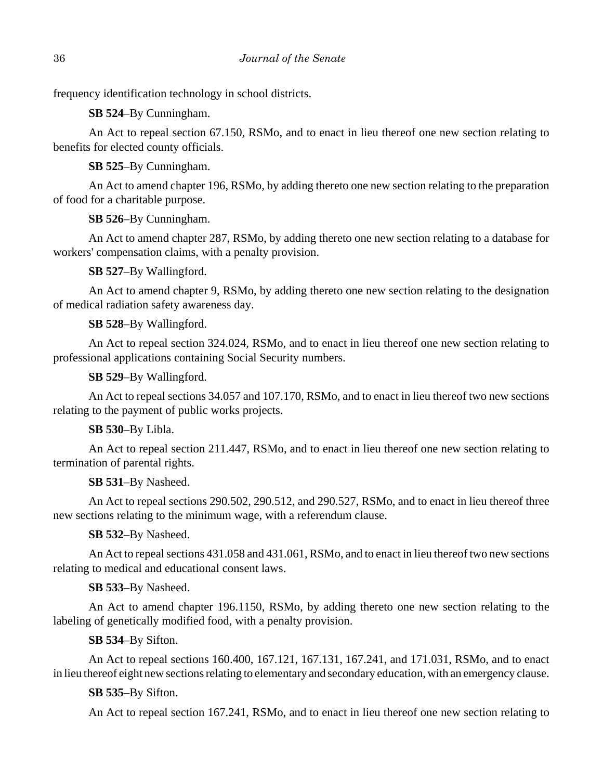frequency identification technology in school districts.

**SB 524**–By Cunningham.

An Act to repeal section 67.150, RSMo, and to enact in lieu thereof one new section relating to benefits for elected county officials.

**SB 525**–By Cunningham.

An Act to amend chapter 196, RSMo, by adding thereto one new section relating to the preparation of food for a charitable purpose.

**SB 526**–By Cunningham.

An Act to amend chapter 287, RSMo, by adding thereto one new section relating to a database for workers' compensation claims, with a penalty provision.

**SB 527**–By Wallingford.

An Act to amend chapter 9, RSMo, by adding thereto one new section relating to the designation of medical radiation safety awareness day.

**SB 528**–By Wallingford.

An Act to repeal section 324.024, RSMo, and to enact in lieu thereof one new section relating to professional applications containing Social Security numbers.

**SB 529**–By Wallingford.

An Act to repeal sections 34.057 and 107.170, RSMo, and to enact in lieu thereof two new sections relating to the payment of public works projects.

**SB 530**–By Libla.

An Act to repeal section 211.447, RSMo, and to enact in lieu thereof one new section relating to termination of parental rights.

**SB 531**–By Nasheed.

An Act to repeal sections 290.502, 290.512, and 290.527, RSMo, and to enact in lieu thereof three new sections relating to the minimum wage, with a referendum clause.

**SB 532**–By Nasheed.

An Act to repeal sections 431.058 and 431.061, RSMo, and to enact in lieu thereof two new sections relating to medical and educational consent laws.

# **SB 533**–By Nasheed.

An Act to amend chapter 196.1150, RSMo, by adding thereto one new section relating to the labeling of genetically modified food, with a penalty provision.

**SB 534**–By Sifton.

An Act to repeal sections 160.400, 167.121, 167.131, 167.241, and 171.031, RSMo, and to enact in lieu thereof eight new sections relating to elementary and secondary education, with an emergency clause.

**SB 535**–By Sifton.

An Act to repeal section 167.241, RSMo, and to enact in lieu thereof one new section relating to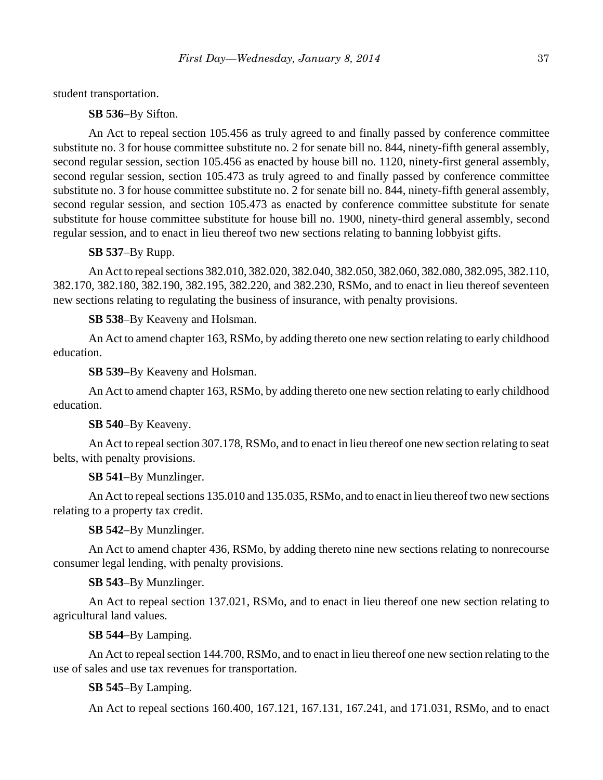student transportation.

**SB 536**–By Sifton.

An Act to repeal section 105.456 as truly agreed to and finally passed by conference committee substitute no. 3 for house committee substitute no. 2 for senate bill no. 844, ninety-fifth general assembly, second regular session, section 105.456 as enacted by house bill no. 1120, ninety-first general assembly, second regular session, section 105.473 as truly agreed to and finally passed by conference committee substitute no. 3 for house committee substitute no. 2 for senate bill no. 844, ninety-fifth general assembly, second regular session, and section 105.473 as enacted by conference committee substitute for senate substitute for house committee substitute for house bill no. 1900, ninety-third general assembly, second regular session, and to enact in lieu thereof two new sections relating to banning lobbyist gifts.

#### **SB 537**–By Rupp.

An Act to repeal sections 382.010, 382.020, 382.040, 382.050, 382.060, 382.080, 382.095, 382.110, 382.170, 382.180, 382.190, 382.195, 382.220, and 382.230, RSMo, and to enact in lieu thereof seventeen new sections relating to regulating the business of insurance, with penalty provisions.

**SB 538**–By Keaveny and Holsman.

An Act to amend chapter 163, RSMo, by adding thereto one new section relating to early childhood education.

**SB 539**–By Keaveny and Holsman.

An Act to amend chapter 163, RSMo, by adding thereto one new section relating to early childhood education.

**SB 540**–By Keaveny.

An Act to repeal section 307.178, RSMo, and to enact in lieu thereof one new section relating to seat belts, with penalty provisions.

**SB 541**–By Munzlinger.

An Act to repeal sections 135.010 and 135.035, RSMo, and to enact in lieu thereof two new sections relating to a property tax credit.

**SB 542**–By Munzlinger.

An Act to amend chapter 436, RSMo, by adding thereto nine new sections relating to nonrecourse consumer legal lending, with penalty provisions.

**SB 543**–By Munzlinger.

An Act to repeal section 137.021, RSMo, and to enact in lieu thereof one new section relating to agricultural land values.

**SB 544**–By Lamping.

An Act to repeal section 144.700, RSMo, and to enact in lieu thereof one new section relating to the use of sales and use tax revenues for transportation.

**SB 545**–By Lamping.

An Act to repeal sections 160.400, 167.121, 167.131, 167.241, and 171.031, RSMo, and to enact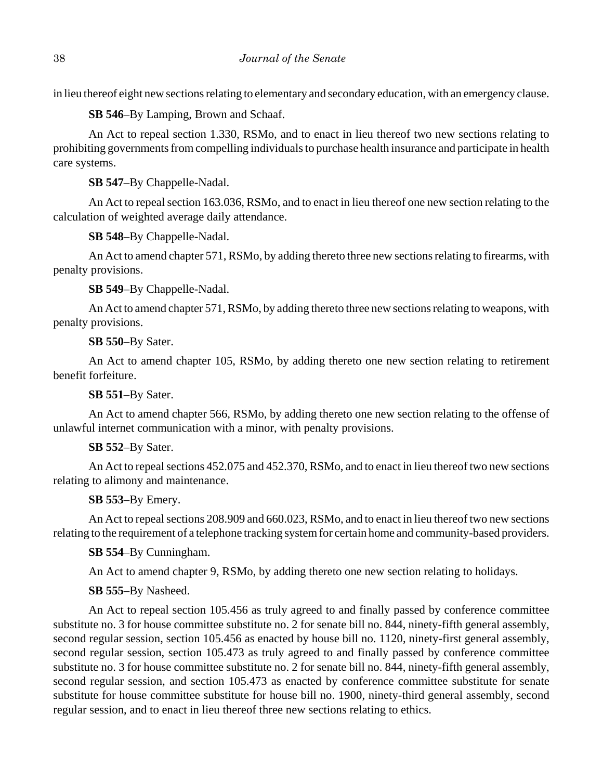in lieu thereof eight new sections relating to elementary and secondary education, with an emergency clause.

**SB 546**–By Lamping, Brown and Schaaf.

An Act to repeal section 1.330, RSMo, and to enact in lieu thereof two new sections relating to prohibiting governments from compelling individuals to purchase health insurance and participate in health care systems.

**SB 547**–By Chappelle-Nadal.

An Act to repeal section 163.036, RSMo, and to enact in lieu thereof one new section relating to the calculation of weighted average daily attendance.

**SB 548**–By Chappelle-Nadal.

An Act to amend chapter 571, RSMo, by adding thereto three new sections relating to firearms, with penalty provisions.

**SB 549**–By Chappelle-Nadal.

An Act to amend chapter 571, RSMo, by adding thereto three new sections relating to weapons, with penalty provisions.

**SB 550**–By Sater.

An Act to amend chapter 105, RSMo, by adding thereto one new section relating to retirement benefit forfeiture.

**SB 551**–By Sater.

An Act to amend chapter 566, RSMo, by adding thereto one new section relating to the offense of unlawful internet communication with a minor, with penalty provisions.

**SB 552**–By Sater.

An Act to repeal sections 452.075 and 452.370, RSMo, and to enact in lieu thereof two new sections relating to alimony and maintenance.

**SB 553**–By Emery.

An Act to repeal sections 208.909 and 660.023, RSMo, and to enact in lieu thereof two new sections relating to the requirement of a telephone tracking system for certain home and community-based providers.

**SB 554**–By Cunningham.

An Act to amend chapter 9, RSMo, by adding thereto one new section relating to holidays.

**SB 555**–By Nasheed.

An Act to repeal section 105.456 as truly agreed to and finally passed by conference committee substitute no. 3 for house committee substitute no. 2 for senate bill no. 844, ninety-fifth general assembly, second regular session, section 105.456 as enacted by house bill no. 1120, ninety-first general assembly, second regular session, section 105.473 as truly agreed to and finally passed by conference committee substitute no. 3 for house committee substitute no. 2 for senate bill no. 844, ninety-fifth general assembly, second regular session, and section 105.473 as enacted by conference committee substitute for senate substitute for house committee substitute for house bill no. 1900, ninety-third general assembly, second regular session, and to enact in lieu thereof three new sections relating to ethics.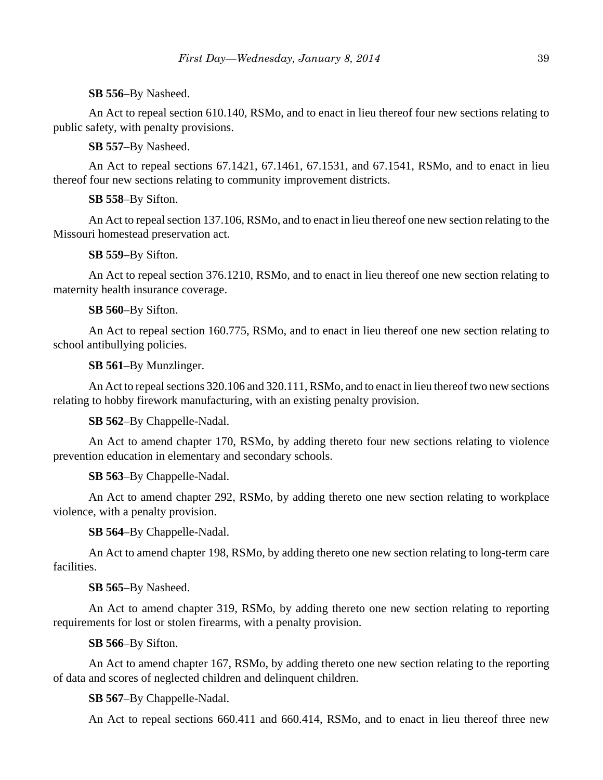**SB 556**–By Nasheed.

An Act to repeal section 610.140, RSMo, and to enact in lieu thereof four new sections relating to public safety, with penalty provisions.

**SB 557**–By Nasheed.

An Act to repeal sections 67.1421, 67.1461, 67.1531, and 67.1541, RSMo, and to enact in lieu thereof four new sections relating to community improvement districts.

**SB 558**–By Sifton.

An Act to repeal section 137.106, RSMo, and to enact in lieu thereof one new section relating to the Missouri homestead preservation act.

**SB 559**–By Sifton.

An Act to repeal section 376.1210, RSMo, and to enact in lieu thereof one new section relating to maternity health insurance coverage.

**SB 560**–By Sifton.

An Act to repeal section 160.775, RSMo, and to enact in lieu thereof one new section relating to school antibullying policies.

**SB 561**–By Munzlinger.

An Act to repeal sections 320.106 and 320.111, RSMo, and to enact in lieu thereof two new sections relating to hobby firework manufacturing, with an existing penalty provision.

**SB 562**–By Chappelle-Nadal.

An Act to amend chapter 170, RSMo, by adding thereto four new sections relating to violence prevention education in elementary and secondary schools.

**SB 563**–By Chappelle-Nadal.

An Act to amend chapter 292, RSMo, by adding thereto one new section relating to workplace violence, with a penalty provision.

**SB 564**–By Chappelle-Nadal.

An Act to amend chapter 198, RSMo, by adding thereto one new section relating to long-term care facilities.

**SB 565**–By Nasheed.

An Act to amend chapter 319, RSMo, by adding thereto one new section relating to reporting requirements for lost or stolen firearms, with a penalty provision.

**SB 566**–By Sifton.

An Act to amend chapter 167, RSMo, by adding thereto one new section relating to the reporting of data and scores of neglected children and delinquent children.

**SB 567**–By Chappelle-Nadal.

An Act to repeal sections 660.411 and 660.414, RSMo, and to enact in lieu thereof three new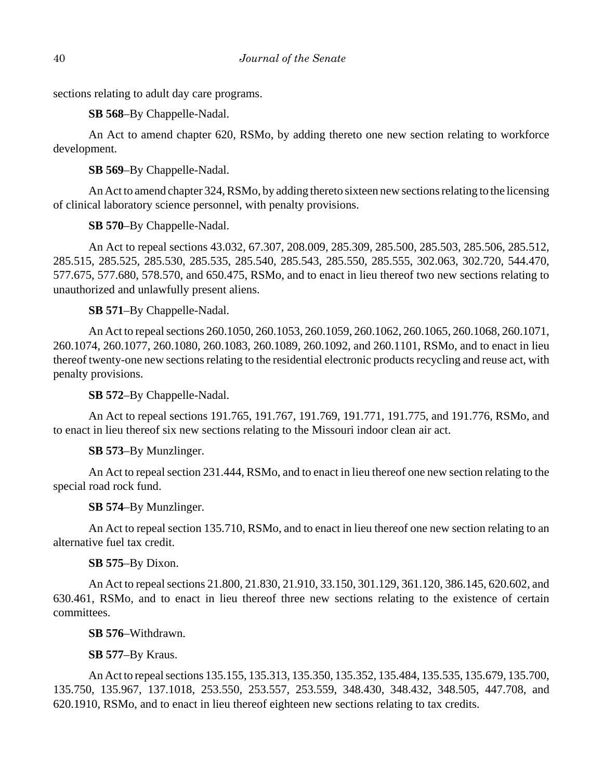sections relating to adult day care programs.

**SB 568**–By Chappelle-Nadal.

An Act to amend chapter 620, RSMo, by adding thereto one new section relating to workforce development.

**SB 569**–By Chappelle-Nadal.

An Act to amend chapter 324, RSMo, by adding thereto sixteen new sections relating to the licensing of clinical laboratory science personnel, with penalty provisions.

**SB 570**–By Chappelle-Nadal.

An Act to repeal sections 43.032, 67.307, 208.009, 285.309, 285.500, 285.503, 285.506, 285.512, 285.515, 285.525, 285.530, 285.535, 285.540, 285.543, 285.550, 285.555, 302.063, 302.720, 544.470, 577.675, 577.680, 578.570, and 650.475, RSMo, and to enact in lieu thereof two new sections relating to unauthorized and unlawfully present aliens.

**SB 571**–By Chappelle-Nadal.

An Act to repeal sections 260.1050, 260.1053, 260.1059, 260.1062, 260.1065, 260.1068, 260.1071, 260.1074, 260.1077, 260.1080, 260.1083, 260.1089, 260.1092, and 260.1101, RSMo, and to enact in lieu thereof twenty-one new sections relating to the residential electronic products recycling and reuse act, with penalty provisions.

**SB 572**–By Chappelle-Nadal.

An Act to repeal sections 191.765, 191.767, 191.769, 191.771, 191.775, and 191.776, RSMo, and to enact in lieu thereof six new sections relating to the Missouri indoor clean air act.

**SB 573**–By Munzlinger.

An Act to repeal section 231.444, RSMo, and to enact in lieu thereof one new section relating to the special road rock fund.

**SB 574**–By Munzlinger.

An Act to repeal section 135.710, RSMo, and to enact in lieu thereof one new section relating to an alternative fuel tax credit.

**SB 575**–By Dixon.

An Act to repeal sections 21.800, 21.830, 21.910, 33.150, 301.129, 361.120, 386.145, 620.602, and 630.461, RSMo, and to enact in lieu thereof three new sections relating to the existence of certain committees.

**SB 576**–Withdrawn.

**SB 577**–By Kraus.

An Act to repeal sections 135.155, 135.313, 135.350, 135.352, 135.484, 135.535, 135.679, 135.700, 135.750, 135.967, 137.1018, 253.550, 253.557, 253.559, 348.430, 348.432, 348.505, 447.708, and 620.1910, RSMo, and to enact in lieu thereof eighteen new sections relating to tax credits.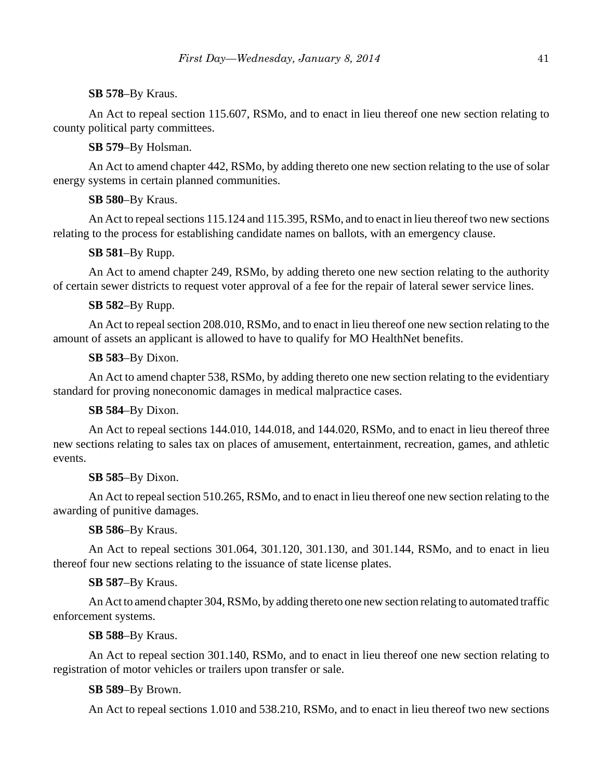# **SB 578**–By Kraus.

An Act to repeal section 115.607, RSMo, and to enact in lieu thereof one new section relating to county political party committees.

**SB 579**–By Holsman.

An Act to amend chapter 442, RSMo, by adding thereto one new section relating to the use of solar energy systems in certain planned communities.

# **SB 580**–By Kraus.

An Act to repeal sections 115.124 and 115.395, RSMo, and to enact in lieu thereof two new sections relating to the process for establishing candidate names on ballots, with an emergency clause.

**SB 581**–By Rupp.

An Act to amend chapter 249, RSMo, by adding thereto one new section relating to the authority of certain sewer districts to request voter approval of a fee for the repair of lateral sewer service lines.

# **SB 582**–By Rupp.

An Act to repeal section 208.010, RSMo, and to enact in lieu thereof one new section relating to the amount of assets an applicant is allowed to have to qualify for MO HealthNet benefits.

# **SB 583**–By Dixon.

An Act to amend chapter 538, RSMo, by adding thereto one new section relating to the evidentiary standard for proving noneconomic damages in medical malpractice cases.

# **SB 584**–By Dixon.

An Act to repeal sections 144.010, 144.018, and 144.020, RSMo, and to enact in lieu thereof three new sections relating to sales tax on places of amusement, entertainment, recreation, games, and athletic events.

# **SB 585**–By Dixon.

An Act to repeal section 510.265, RSMo, and to enact in lieu thereof one new section relating to the awarding of punitive damages.

# **SB 586**–By Kraus.

An Act to repeal sections 301.064, 301.120, 301.130, and 301.144, RSMo, and to enact in lieu thereof four new sections relating to the issuance of state license plates.

# **SB 587**–By Kraus.

An Act to amend chapter 304, RSMo, by adding thereto one new section relating to automated traffic enforcement systems.

### **SB 588**–By Kraus.

An Act to repeal section 301.140, RSMo, and to enact in lieu thereof one new section relating to registration of motor vehicles or trailers upon transfer or sale.

# **SB 589**–By Brown.

An Act to repeal sections 1.010 and 538.210, RSMo, and to enact in lieu thereof two new sections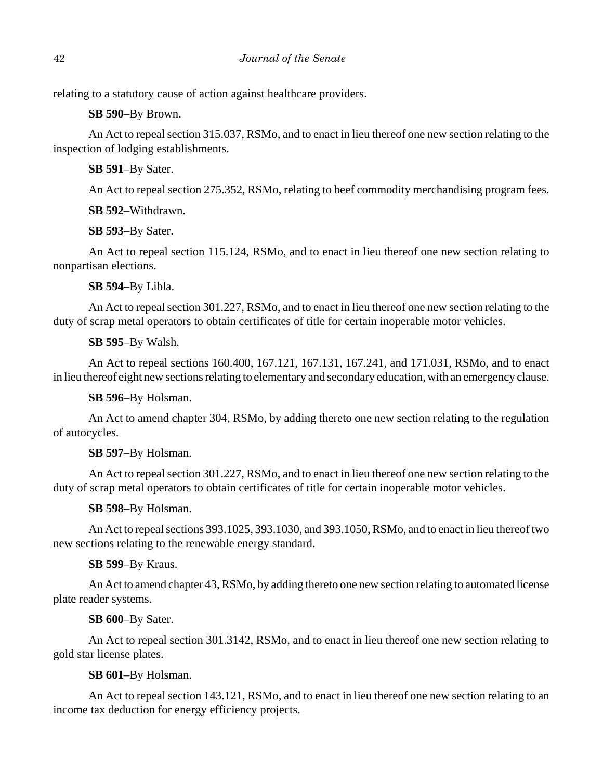relating to a statutory cause of action against healthcare providers.

**SB 590**–By Brown.

An Act to repeal section 315.037, RSMo, and to enact in lieu thereof one new section relating to the inspection of lodging establishments.

**SB 591**–By Sater.

An Act to repeal section 275.352, RSMo, relating to beef commodity merchandising program fees.

**SB 592**–Withdrawn.

**SB 593**–By Sater.

An Act to repeal section 115.124, RSMo, and to enact in lieu thereof one new section relating to nonpartisan elections.

**SB 594**–By Libla.

An Act to repeal section 301.227, RSMo, and to enact in lieu thereof one new section relating to the duty of scrap metal operators to obtain certificates of title for certain inoperable motor vehicles.

**SB 595**–By Walsh.

An Act to repeal sections 160.400, 167.121, 167.131, 167.241, and 171.031, RSMo, and to enact in lieu thereof eight new sections relating to elementary and secondary education, with an emergency clause.

**SB 596**–By Holsman.

An Act to amend chapter 304, RSMo, by adding thereto one new section relating to the regulation of autocycles.

**SB 597**–By Holsman.

An Act to repeal section 301.227, RSMo, and to enact in lieu thereof one new section relating to the duty of scrap metal operators to obtain certificates of title for certain inoperable motor vehicles.

**SB 598**–By Holsman.

An Act to repeal sections 393.1025, 393.1030, and 393.1050, RSMo, and to enact in lieu thereof two new sections relating to the renewable energy standard.

**SB 599**–By Kraus.

An Act to amend chapter 43, RSMo, by adding thereto one new section relating to automated license plate reader systems.

**SB 600**–By Sater.

An Act to repeal section 301.3142, RSMo, and to enact in lieu thereof one new section relating to gold star license plates.

**SB 601**–By Holsman.

An Act to repeal section 143.121, RSMo, and to enact in lieu thereof one new section relating to an income tax deduction for energy efficiency projects.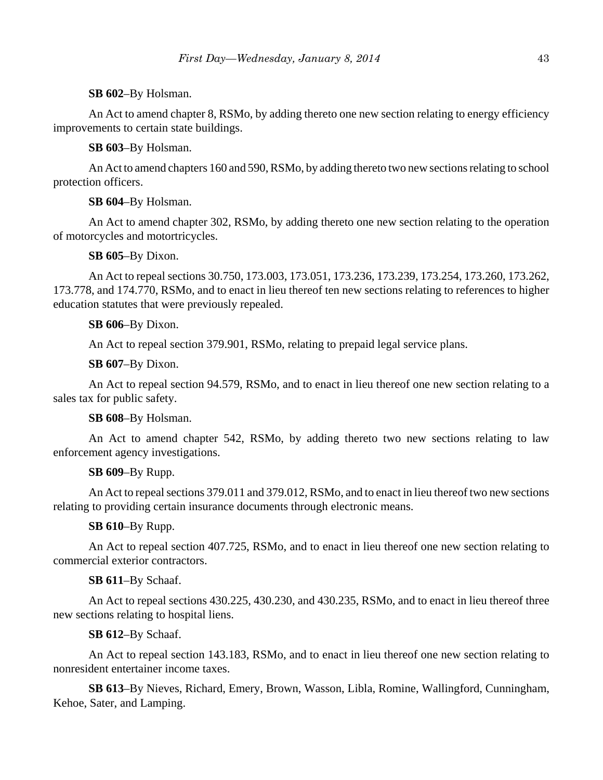# **SB 602**–By Holsman.

An Act to amend chapter 8, RSMo, by adding thereto one new section relating to energy efficiency improvements to certain state buildings.

**SB 603**–By Holsman.

An Act to amend chapters 160 and 590, RSMo, by adding thereto two new sections relating to school protection officers.

# **SB 604**–By Holsman.

An Act to amend chapter 302, RSMo, by adding thereto one new section relating to the operation of motorcycles and motortricycles.

# **SB 605**–By Dixon.

An Act to repeal sections 30.750, 173.003, 173.051, 173.236, 173.239, 173.254, 173.260, 173.262, 173.778, and 174.770, RSMo, and to enact in lieu thereof ten new sections relating to references to higher education statutes that were previously repealed.

# **SB 606**–By Dixon.

An Act to repeal section 379.901, RSMo, relating to prepaid legal service plans.

**SB 607**–By Dixon.

An Act to repeal section 94.579, RSMo, and to enact in lieu thereof one new section relating to a sales tax for public safety.

# **SB 608**–By Holsman.

An Act to amend chapter 542, RSMo, by adding thereto two new sections relating to law enforcement agency investigations.

# **SB 609**–By Rupp.

An Act to repeal sections 379.011 and 379.012, RSMo, and to enact in lieu thereof two new sections relating to providing certain insurance documents through electronic means.

# **SB 610**–By Rupp.

An Act to repeal section 407.725, RSMo, and to enact in lieu thereof one new section relating to commercial exterior contractors.

# **SB 611**–By Schaaf.

An Act to repeal sections 430.225, 430.230, and 430.235, RSMo, and to enact in lieu thereof three new sections relating to hospital liens.

# **SB 612**–By Schaaf.

An Act to repeal section 143.183, RSMo, and to enact in lieu thereof one new section relating to nonresident entertainer income taxes.

**SB 613**–By Nieves, Richard, Emery, Brown, Wasson, Libla, Romine, Wallingford, Cunningham, Kehoe, Sater, and Lamping.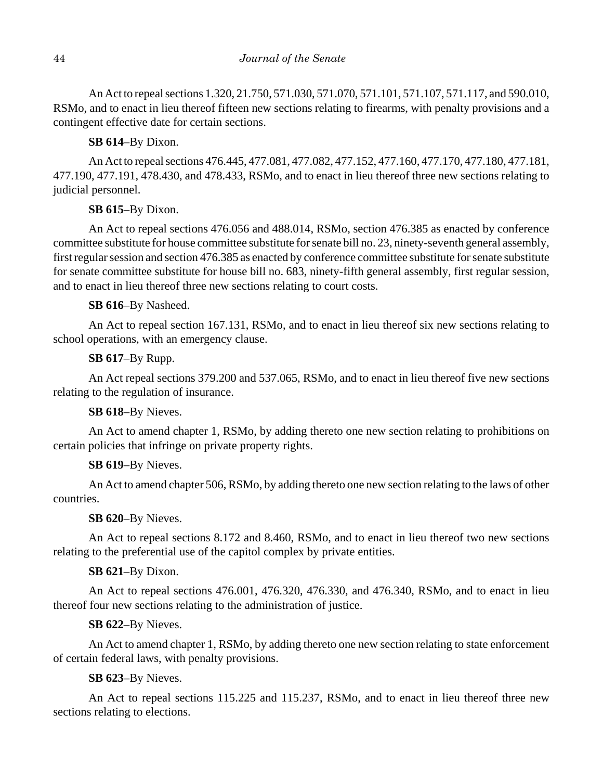An Act to repeal sections 1.320, 21.750, 571.030, 571.070, 571.101, 571.107, 571.117, and 590.010, RSMo, and to enact in lieu thereof fifteen new sections relating to firearms, with penalty provisions and a contingent effective date for certain sections.

# **SB 614**–By Dixon.

An Act to repeal sections 476.445, 477.081, 477.082, 477.152, 477.160, 477.170, 477.180, 477.181, 477.190, 477.191, 478.430, and 478.433, RSMo, and to enact in lieu thereof three new sections relating to judicial personnel.

# **SB 615**–By Dixon.

An Act to repeal sections 476.056 and 488.014, RSMo, section 476.385 as enacted by conference committee substitute for house committee substitute for senate bill no. 23, ninety-seventh general assembly, first regular session and section 476.385 as enacted by conference committee substitute for senate substitute for senate committee substitute for house bill no. 683, ninety-fifth general assembly, first regular session, and to enact in lieu thereof three new sections relating to court costs.

# **SB 616**–By Nasheed.

An Act to repeal section 167.131, RSMo, and to enact in lieu thereof six new sections relating to school operations, with an emergency clause.

# **SB 617**–By Rupp.

An Act repeal sections 379.200 and 537.065, RSMo, and to enact in lieu thereof five new sections relating to the regulation of insurance.

# **SB 618**–By Nieves.

An Act to amend chapter 1, RSMo, by adding thereto one new section relating to prohibitions on certain policies that infringe on private property rights.

# **SB 619**–By Nieves.

An Act to amend chapter 506, RSMo, by adding thereto one new section relating to the laws of other countries.

# **SB 620**–By Nieves.

An Act to repeal sections 8.172 and 8.460, RSMo, and to enact in lieu thereof two new sections relating to the preferential use of the capitol complex by private entities.

# **SB 621**–By Dixon.

An Act to repeal sections 476.001, 476.320, 476.330, and 476.340, RSMo, and to enact in lieu thereof four new sections relating to the administration of justice.

# **SB 622**–By Nieves.

An Act to amend chapter 1, RSMo, by adding thereto one new section relating to state enforcement of certain federal laws, with penalty provisions.

# **SB 623**–By Nieves.

An Act to repeal sections 115.225 and 115.237, RSMo, and to enact in lieu thereof three new sections relating to elections.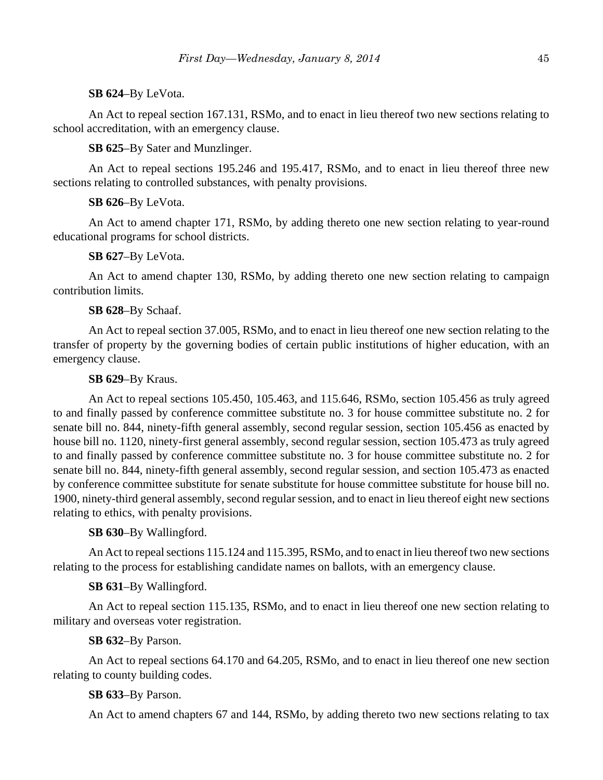# **SB 624**–By LeVota.

An Act to repeal section 167.131, RSMo, and to enact in lieu thereof two new sections relating to school accreditation, with an emergency clause.

**SB 625**–By Sater and Munzlinger.

An Act to repeal sections 195.246 and 195.417, RSMo, and to enact in lieu thereof three new sections relating to controlled substances, with penalty provisions.

# **SB 626**–By LeVota.

An Act to amend chapter 171, RSMo, by adding thereto one new section relating to year-round educational programs for school districts.

# **SB 627**–By LeVota.

An Act to amend chapter 130, RSMo, by adding thereto one new section relating to campaign contribution limits.

# **SB 628**–By Schaaf.

An Act to repeal section 37.005, RSMo, and to enact in lieu thereof one new section relating to the transfer of property by the governing bodies of certain public institutions of higher education, with an emergency clause.

# **SB 629**–By Kraus.

An Act to repeal sections 105.450, 105.463, and 115.646, RSMo, section 105.456 as truly agreed to and finally passed by conference committee substitute no. 3 for house committee substitute no. 2 for senate bill no. 844, ninety-fifth general assembly, second regular session, section 105.456 as enacted by house bill no. 1120, ninety-first general assembly, second regular session, section 105.473 as truly agreed to and finally passed by conference committee substitute no. 3 for house committee substitute no. 2 for senate bill no. 844, ninety-fifth general assembly, second regular session, and section 105.473 as enacted by conference committee substitute for senate substitute for house committee substitute for house bill no. 1900, ninety-third general assembly, second regular session, and to enact in lieu thereof eight new sections relating to ethics, with penalty provisions.

# **SB 630**–By Wallingford.

An Act to repeal sections 115.124 and 115.395, RSMo, and to enact in lieu thereof two new sections relating to the process for establishing candidate names on ballots, with an emergency clause.

# **SB 631**–By Wallingford.

An Act to repeal section 115.135, RSMo, and to enact in lieu thereof one new section relating to military and overseas voter registration.

# **SB 632**–By Parson.

An Act to repeal sections 64.170 and 64.205, RSMo, and to enact in lieu thereof one new section relating to county building codes.

# **SB 633**–By Parson.

An Act to amend chapters 67 and 144, RSMo, by adding thereto two new sections relating to tax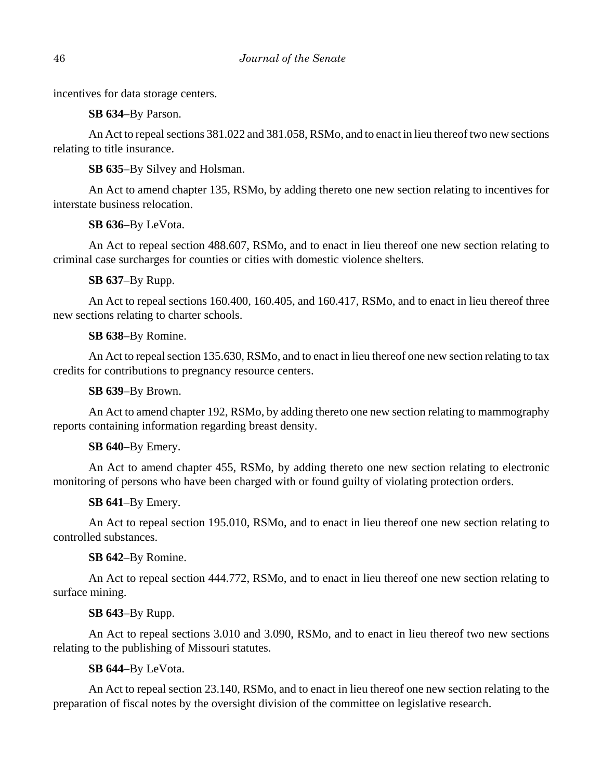incentives for data storage centers.

**SB 634**–By Parson.

An Act to repeal sections 381.022 and 381.058, RSMo, and to enact in lieu thereof two new sections relating to title insurance.

**SB 635**–By Silvey and Holsman.

An Act to amend chapter 135, RSMo, by adding thereto one new section relating to incentives for interstate business relocation.

**SB 636**–By LeVota.

An Act to repeal section 488.607, RSMo, and to enact in lieu thereof one new section relating to criminal case surcharges for counties or cities with domestic violence shelters.

**SB 637**–By Rupp.

An Act to repeal sections 160.400, 160.405, and 160.417, RSMo, and to enact in lieu thereof three new sections relating to charter schools.

**SB 638**–By Romine.

An Act to repeal section 135.630, RSMo, and to enact in lieu thereof one new section relating to tax credits for contributions to pregnancy resource centers.

**SB 639**–By Brown.

An Act to amend chapter 192, RSMo, by adding thereto one new section relating to mammography reports containing information regarding breast density.

**SB 640**–By Emery.

An Act to amend chapter 455, RSMo, by adding thereto one new section relating to electronic monitoring of persons who have been charged with or found guilty of violating protection orders.

**SB 641**–By Emery.

An Act to repeal section 195.010, RSMo, and to enact in lieu thereof one new section relating to controlled substances.

**SB 642**–By Romine.

An Act to repeal section 444.772, RSMo, and to enact in lieu thereof one new section relating to surface mining.

# **SB 643**–By Rupp.

An Act to repeal sections 3.010 and 3.090, RSMo, and to enact in lieu thereof two new sections relating to the publishing of Missouri statutes.

**SB 644**–By LeVota.

An Act to repeal section 23.140, RSMo, and to enact in lieu thereof one new section relating to the preparation of fiscal notes by the oversight division of the committee on legislative research.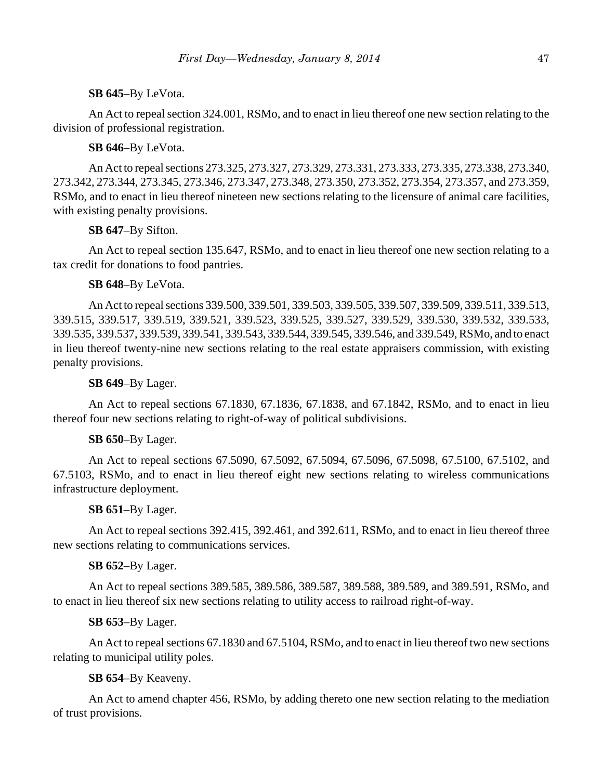# **SB 645**–By LeVota.

An Act to repeal section 324.001, RSMo, and to enact in lieu thereof one new section relating to the division of professional registration.

**SB 646**–By LeVota.

An Act to repeal sections 273.325, 273.327, 273.329, 273.331, 273.333, 273.335, 273.338, 273.340, 273.342, 273.344, 273.345, 273.346, 273.347, 273.348, 273.350, 273.352, 273.354, 273.357, and 273.359, RSMo, and to enact in lieu thereof nineteen new sections relating to the licensure of animal care facilities, with existing penalty provisions.

**SB 647**–By Sifton.

An Act to repeal section 135.647, RSMo, and to enact in lieu thereof one new section relating to a tax credit for donations to food pantries.

# **SB 648**–By LeVota.

An Act to repeal sections 339.500, 339.501, 339.503, 339.505, 339.507, 339.509, 339.511, 339.513, 339.515, 339.517, 339.519, 339.521, 339.523, 339.525, 339.527, 339.529, 339.530, 339.532, 339.533, 339.535, 339.537, 339.539, 339.541, 339.543, 339.544, 339.545, 339.546, and 339.549, RSMo, and to enact in lieu thereof twenty-nine new sections relating to the real estate appraisers commission, with existing penalty provisions.

# **SB 649**–By Lager.

An Act to repeal sections 67.1830, 67.1836, 67.1838, and 67.1842, RSMo, and to enact in lieu thereof four new sections relating to right-of-way of political subdivisions.

# **SB 650**–By Lager.

An Act to repeal sections 67.5090, 67.5092, 67.5094, 67.5096, 67.5098, 67.5100, 67.5102, and 67.5103, RSMo, and to enact in lieu thereof eight new sections relating to wireless communications infrastructure deployment.

# **SB 651**–By Lager.

An Act to repeal sections 392.415, 392.461, and 392.611, RSMo, and to enact in lieu thereof three new sections relating to communications services.

# **SB 652**–By Lager.

An Act to repeal sections 389.585, 389.586, 389.587, 389.588, 389.589, and 389.591, RSMo, and to enact in lieu thereof six new sections relating to utility access to railroad right-of-way.

# **SB 653**–By Lager.

An Act to repeal sections 67.1830 and 67.5104, RSMo, and to enact in lieu thereof two new sections relating to municipal utility poles.

**SB 654**–By Keaveny.

An Act to amend chapter 456, RSMo, by adding thereto one new section relating to the mediation of trust provisions.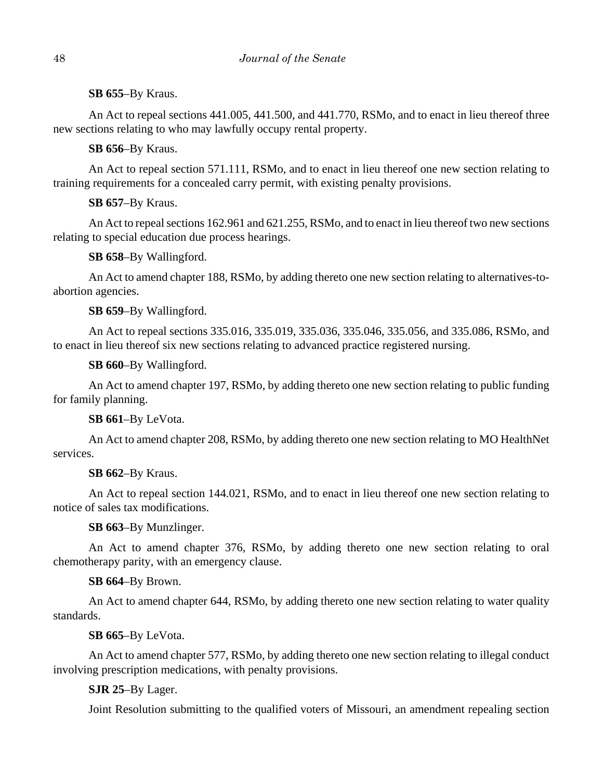**SB 655**–By Kraus.

An Act to repeal sections 441.005, 441.500, and 441.770, RSMo, and to enact in lieu thereof three new sections relating to who may lawfully occupy rental property.

**SB 656**–By Kraus.

An Act to repeal section 571.111, RSMo, and to enact in lieu thereof one new section relating to training requirements for a concealed carry permit, with existing penalty provisions.

**SB 657**–By Kraus.

An Act to repeal sections 162.961 and 621.255, RSMo, and to enact in lieu thereof two new sections relating to special education due process hearings.

**SB 658**–By Wallingford.

An Act to amend chapter 188, RSMo, by adding thereto one new section relating to alternatives-toabortion agencies.

**SB 659**–By Wallingford.

An Act to repeal sections 335.016, 335.019, 335.036, 335.046, 335.056, and 335.086, RSMo, and to enact in lieu thereof six new sections relating to advanced practice registered nursing.

**SB 660**–By Wallingford.

An Act to amend chapter 197, RSMo, by adding thereto one new section relating to public funding for family planning.

**SB 661**–By LeVota.

An Act to amend chapter 208, RSMo, by adding thereto one new section relating to MO HealthNet services.

**SB 662**–By Kraus.

An Act to repeal section 144.021, RSMo, and to enact in lieu thereof one new section relating to notice of sales tax modifications.

**SB 663**–By Munzlinger.

An Act to amend chapter 376, RSMo, by adding thereto one new section relating to oral chemotherapy parity, with an emergency clause.

**SB 664**–By Brown.

An Act to amend chapter 644, RSMo, by adding thereto one new section relating to water quality standards.

**SB 665**–By LeVota.

An Act to amend chapter 577, RSMo, by adding thereto one new section relating to illegal conduct involving prescription medications, with penalty provisions.

**SJR 25**–By Lager.

Joint Resolution submitting to the qualified voters of Missouri, an amendment repealing section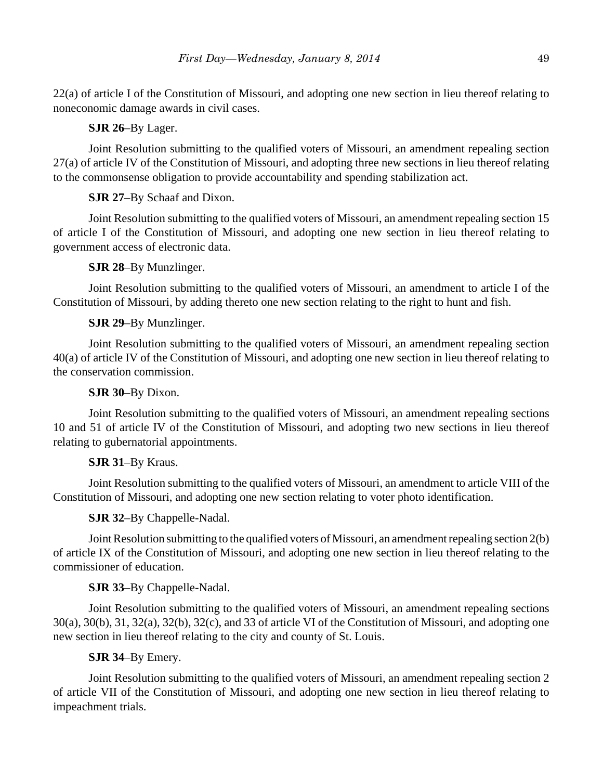22(a) of article I of the Constitution of Missouri, and adopting one new section in lieu thereof relating to noneconomic damage awards in civil cases.

**SJR 26**–By Lager.

Joint Resolution submitting to the qualified voters of Missouri, an amendment repealing section 27(a) of article IV of the Constitution of Missouri, and adopting three new sections in lieu thereof relating to the commonsense obligation to provide accountability and spending stabilization act.

**SJR 27**–By Schaaf and Dixon.

Joint Resolution submitting to the qualified voters of Missouri, an amendment repealing section 15 of article I of the Constitution of Missouri, and adopting one new section in lieu thereof relating to government access of electronic data.

**SJR 28**–By Munzlinger.

Joint Resolution submitting to the qualified voters of Missouri, an amendment to article I of the Constitution of Missouri, by adding thereto one new section relating to the right to hunt and fish.

**SJR 29**–By Munzlinger.

Joint Resolution submitting to the qualified voters of Missouri, an amendment repealing section 40(a) of article IV of the Constitution of Missouri, and adopting one new section in lieu thereof relating to the conservation commission.

**SJR 30**–By Dixon.

Joint Resolution submitting to the qualified voters of Missouri, an amendment repealing sections 10 and 51 of article IV of the Constitution of Missouri, and adopting two new sections in lieu thereof relating to gubernatorial appointments.

# **SJR 31**–By Kraus.

Joint Resolution submitting to the qualified voters of Missouri, an amendment to article VIII of the Constitution of Missouri, and adopting one new section relating to voter photo identification.

**SJR 32**–By Chappelle-Nadal.

Joint Resolution submitting to the qualified voters of Missouri, an amendment repealing section 2(b) of article IX of the Constitution of Missouri, and adopting one new section in lieu thereof relating to the commissioner of education.

# **SJR 33**–By Chappelle-Nadal.

Joint Resolution submitting to the qualified voters of Missouri, an amendment repealing sections 30(a), 30(b), 31, 32(a), 32(b), 32(c), and 33 of article VI of the Constitution of Missouri, and adopting one new section in lieu thereof relating to the city and county of St. Louis.

# **SJR 34**–By Emery.

Joint Resolution submitting to the qualified voters of Missouri, an amendment repealing section 2 of article VII of the Constitution of Missouri, and adopting one new section in lieu thereof relating to impeachment trials.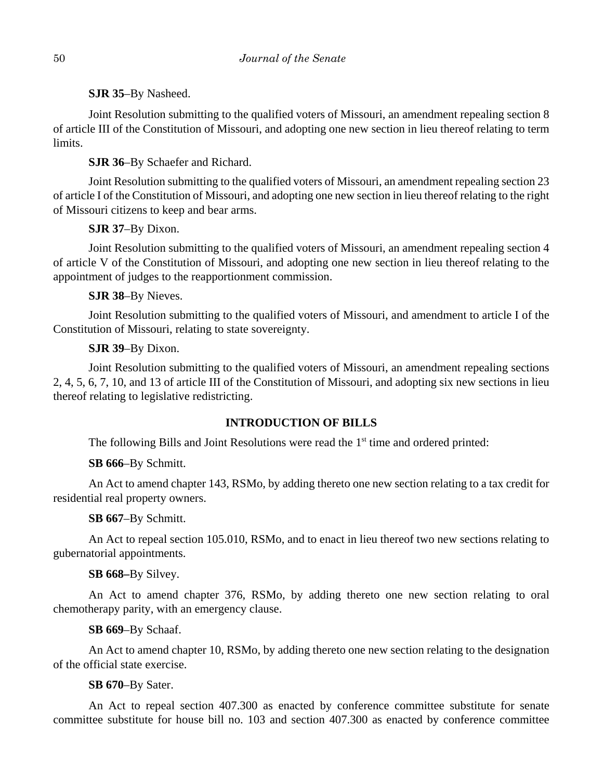**SJR 35**–By Nasheed.

Joint Resolution submitting to the qualified voters of Missouri, an amendment repealing section 8 of article III of the Constitution of Missouri, and adopting one new section in lieu thereof relating to term limits.

**SJR 36**–By Schaefer and Richard.

Joint Resolution submitting to the qualified voters of Missouri, an amendment repealing section 23 of article I of the Constitution of Missouri, and adopting one new section in lieu thereof relating to the right of Missouri citizens to keep and bear arms.

**SJR 37**–By Dixon.

Joint Resolution submitting to the qualified voters of Missouri, an amendment repealing section 4 of article V of the Constitution of Missouri, and adopting one new section in lieu thereof relating to the appointment of judges to the reapportionment commission.

**SJR 38**–By Nieves.

Joint Resolution submitting to the qualified voters of Missouri, and amendment to article I of the Constitution of Missouri, relating to state sovereignty.

# **SJR 39**–By Dixon.

Joint Resolution submitting to the qualified voters of Missouri, an amendment repealing sections 2, 4, 5, 6, 7, 10, and 13 of article III of the Constitution of Missouri, and adopting six new sections in lieu thereof relating to legislative redistricting.

# **INTRODUCTION OF BILLS**

The following Bills and Joint Resolutions were read the  $1<sup>st</sup>$  time and ordered printed:

**SB 666**–By Schmitt.

An Act to amend chapter 143, RSMo, by adding thereto one new section relating to a tax credit for residential real property owners.

**SB 667**–By Schmitt.

An Act to repeal section 105.010, RSMo, and to enact in lieu thereof two new sections relating to gubernatorial appointments.

**SB 668–**By Silvey.

An Act to amend chapter 376, RSMo, by adding thereto one new section relating to oral chemotherapy parity, with an emergency clause.

**SB 669**–By Schaaf.

An Act to amend chapter 10, RSMo, by adding thereto one new section relating to the designation of the official state exercise.

**SB 670**–By Sater.

An Act to repeal section 407.300 as enacted by conference committee substitute for senate committee substitute for house bill no. 103 and section 407.300 as enacted by conference committee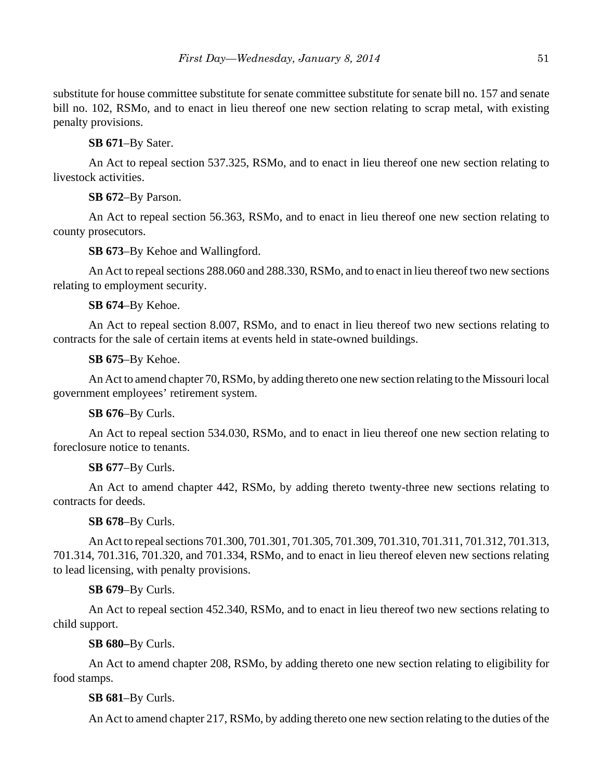substitute for house committee substitute for senate committee substitute for senate bill no. 157 and senate bill no. 102, RSMo, and to enact in lieu thereof one new section relating to scrap metal, with existing penalty provisions.

**SB 671**–By Sater.

An Act to repeal section 537.325, RSMo, and to enact in lieu thereof one new section relating to livestock activities.

**SB 672**–By Parson.

An Act to repeal section 56.363, RSMo, and to enact in lieu thereof one new section relating to county prosecutors.

**SB 673**–By Kehoe and Wallingford.

An Act to repeal sections 288.060 and 288.330, RSMo, and to enact in lieu thereof two new sections relating to employment security.

**SB 674**–By Kehoe.

An Act to repeal section 8.007, RSMo, and to enact in lieu thereof two new sections relating to contracts for the sale of certain items at events held in state-owned buildings.

**SB 675**–By Kehoe.

An Act to amend chapter 70, RSMo, by adding thereto one new section relating to the Missouri local government employees' retirement system.

**SB 676**–By Curls.

An Act to repeal section 534.030, RSMo, and to enact in lieu thereof one new section relating to foreclosure notice to tenants.

**SB 677**–By Curls.

An Act to amend chapter 442, RSMo, by adding thereto twenty-three new sections relating to contracts for deeds.

**SB 678**–By Curls.

An Act to repeal sections 701.300, 701.301, 701.305, 701.309, 701.310, 701.311, 701.312, 701.313, 701.314, 701.316, 701.320, and 701.334, RSMo, and to enact in lieu thereof eleven new sections relating to lead licensing, with penalty provisions.

**SB 679**–By Curls.

An Act to repeal section 452.340, RSMo, and to enact in lieu thereof two new sections relating to child support.

**SB 680–**By Curls.

An Act to amend chapter 208, RSMo, by adding thereto one new section relating to eligibility for food stamps.

**SB 681**–By Curls.

An Act to amend chapter 217, RSMo, by adding thereto one new section relating to the duties of the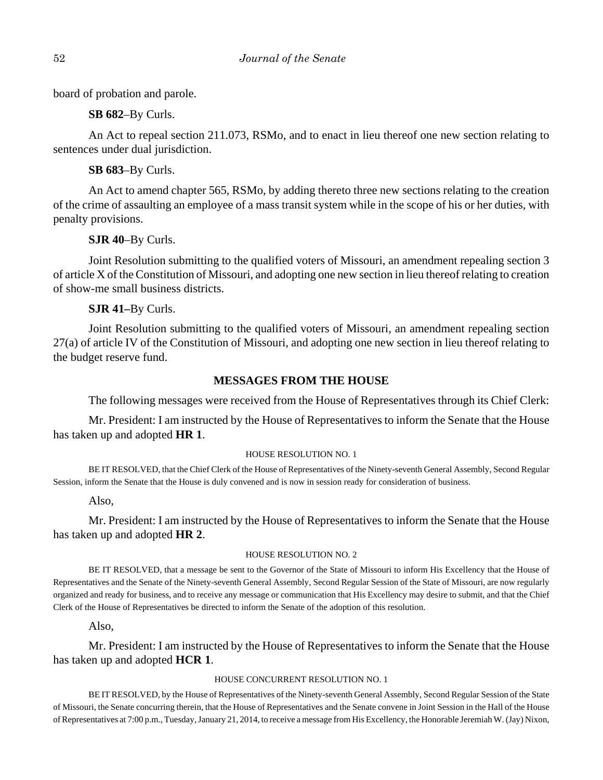board of probation and parole.

**SB 682**–By Curls.

An Act to repeal section 211.073, RSMo, and to enact in lieu thereof one new section relating to sentences under dual jurisdiction.

**SB 683**–By Curls.

An Act to amend chapter 565, RSMo, by adding thereto three new sections relating to the creation of the crime of assaulting an employee of a mass transit system while in the scope of his or her duties, with penalty provisions.

**SJR 40**–By Curls.

Joint Resolution submitting to the qualified voters of Missouri, an amendment repealing section 3 of article X of the Constitution of Missouri, and adopting one new section in lieu thereof relating to creation of show-me small business districts.

**SJR 41–**By Curls.

Joint Resolution submitting to the qualified voters of Missouri, an amendment repealing section 27(a) of article IV of the Constitution of Missouri, and adopting one new section in lieu thereof relating to the budget reserve fund.

# **MESSAGES FROM THE HOUSE**

The following messages were received from the House of Representatives through its Chief Clerk:

Mr. President: I am instructed by the House of Representatives to inform the Senate that the House has taken up and adopted **HR 1**.

### HOUSE RESOLUTION NO. 1

BE IT RESOLVED, that the Chief Clerk of the House of Representatives of the Ninety-seventh General Assembly, Second Regular Session, inform the Senate that the House is duly convened and is now in session ready for consideration of business.

Also,

Mr. President: I am instructed by the House of Representatives to inform the Senate that the House has taken up and adopted **HR 2**.

### HOUSE RESOLUTION NO. 2

BE IT RESOLVED, that a message be sent to the Governor of the State of Missouri to inform His Excellency that the House of Representatives and the Senate of the Ninety-seventh General Assembly, Second Regular Session of the State of Missouri, are now regularly organized and ready for business, and to receive any message or communication that His Excellency may desire to submit, and that the Chief Clerk of the House of Representatives be directed to inform the Senate of the adoption of this resolution.

Also,

Mr. President: I am instructed by the House of Representatives to inform the Senate that the House has taken up and adopted **HCR 1**.

### HOUSE CONCURRENT RESOLUTION NO. 1

BE IT RESOLVED, by the House of Representatives of the Ninety-seventh General Assembly, Second Regular Session of the State of Missouri, the Senate concurring therein, that the House of Representatives and the Senate convene in Joint Session in the Hall of the House of Representatives at 7:00 p.m., Tuesday, January 21, 2014, to receive a message from His Excellency, the Honorable Jeremiah W. (Jay) Nixon,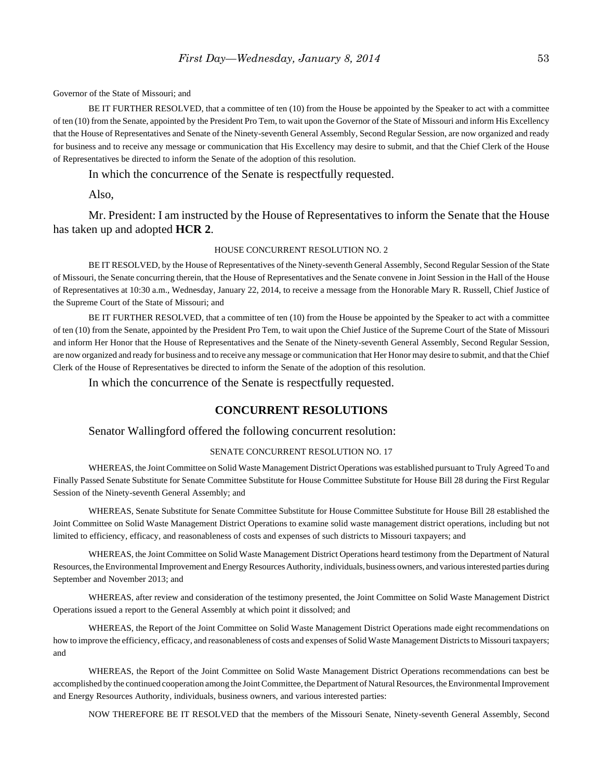Governor of the State of Missouri; and

BE IT FURTHER RESOLVED, that a committee of ten (10) from the House be appointed by the Speaker to act with a committee of ten (10) from the Senate, appointed by the President Pro Tem, to wait upon the Governor of the State of Missouri and inform His Excellency that the House of Representatives and Senate of the Ninety-seventh General Assembly, Second Regular Session, are now organized and ready for business and to receive any message or communication that His Excellency may desire to submit, and that the Chief Clerk of the House of Representatives be directed to inform the Senate of the adoption of this resolution.

In which the concurrence of the Senate is respectfully requested.

Also,

Mr. President: I am instructed by the House of Representatives to inform the Senate that the House has taken up and adopted **HCR 2**.

#### HOUSE CONCURRENT RESOLUTION NO. 2

BE IT RESOLVED, by the House of Representatives of the Ninety-seventh General Assembly, Second Regular Session of the State of Missouri, the Senate concurring therein, that the House of Representatives and the Senate convene in Joint Session in the Hall of the House of Representatives at 10:30 a.m., Wednesday, January 22, 2014, to receive a message from the Honorable Mary R. Russell, Chief Justice of the Supreme Court of the State of Missouri; and

BE IT FURTHER RESOLVED, that a committee of ten (10) from the House be appointed by the Speaker to act with a committee of ten (10) from the Senate, appointed by the President Pro Tem, to wait upon the Chief Justice of the Supreme Court of the State of Missouri and inform Her Honor that the House of Representatives and the Senate of the Ninety-seventh General Assembly, Second Regular Session, are now organized and ready for business and to receive any message or communication that Her Honor may desire to submit, and that the Chief Clerk of the House of Representatives be directed to inform the Senate of the adoption of this resolution.

In which the concurrence of the Senate is respectfully requested.

### **CONCURRENT RESOLUTIONS**

#### Senator Wallingford offered the following concurrent resolution:

#### SENATE CONCURRENT RESOLUTION NO. 17

WHEREAS, the Joint Committee on Solid Waste Management District Operations was established pursuant to Truly Agreed To and Finally Passed Senate Substitute for Senate Committee Substitute for House Committee Substitute for House Bill 28 during the First Regular Session of the Ninety-seventh General Assembly; and

WHEREAS, Senate Substitute for Senate Committee Substitute for House Committee Substitute for House Bill 28 established the Joint Committee on Solid Waste Management District Operations to examine solid waste management district operations, including but not limited to efficiency, efficacy, and reasonableness of costs and expenses of such districts to Missouri taxpayers; and

WHEREAS, the Joint Committee on Solid Waste Management District Operations heard testimony from the Department of Natural Resources, the Environmental Improvement and Energy Resources Authority, individuals, business owners, and various interested parties during September and November 2013; and

WHEREAS, after review and consideration of the testimony presented, the Joint Committee on Solid Waste Management District Operations issued a report to the General Assembly at which point it dissolved; and

WHEREAS, the Report of the Joint Committee on Solid Waste Management District Operations made eight recommendations on how to improve the efficiency, efficacy, and reasonableness of costs and expenses of Solid Waste Management Districts to Missouri taxpayers; and

WHEREAS, the Report of the Joint Committee on Solid Waste Management District Operations recommendations can best be accomplished by the continued cooperation among the Joint Committee, the Department of Natural Resources, the Environmental Improvement and Energy Resources Authority, individuals, business owners, and various interested parties:

NOW THEREFORE BE IT RESOLVED that the members of the Missouri Senate, Ninety-seventh General Assembly, Second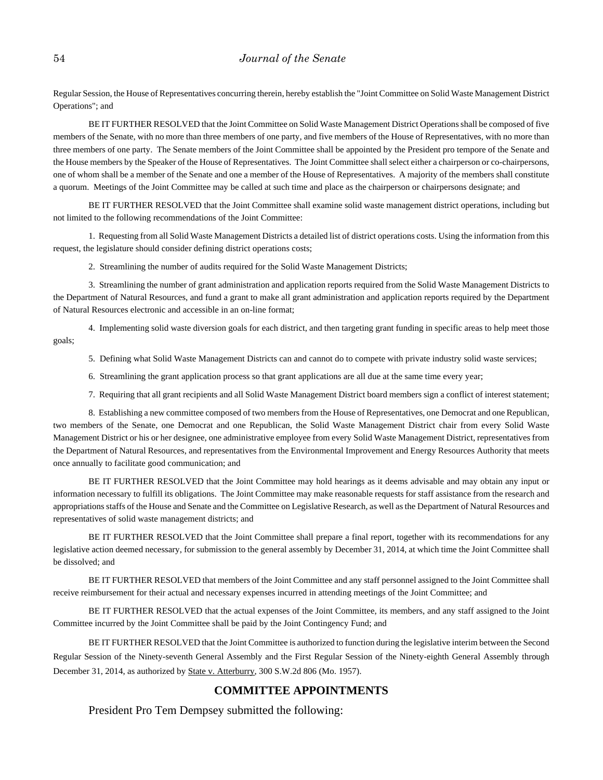Regular Session, the House of Representatives concurring therein, hereby establish the "Joint Committee on Solid Waste Management District Operations"; and

BE IT FURTHER RESOLVED that the Joint Committee on Solid Waste Management District Operations shall be composed of five members of the Senate, with no more than three members of one party, and five members of the House of Representatives, with no more than three members of one party. The Senate members of the Joint Committee shall be appointed by the President pro tempore of the Senate and the House members by the Speaker of the House of Representatives. The Joint Committee shall select either a chairperson or co-chairpersons, one of whom shall be a member of the Senate and one a member of the House of Representatives. A majority of the members shall constitute a quorum. Meetings of the Joint Committee may be called at such time and place as the chairperson or chairpersons designate; and

BE IT FURTHER RESOLVED that the Joint Committee shall examine solid waste management district operations, including but not limited to the following recommendations of the Joint Committee:

1. Requesting from all Solid Waste Management Districts a detailed list of district operations costs. Using the information from this request, the legislature should consider defining district operations costs;

2. Streamlining the number of audits required for the Solid Waste Management Districts;

3. Streamlining the number of grant administration and application reports required from the Solid Waste Management Districts to the Department of Natural Resources, and fund a grant to make all grant administration and application reports required by the Department of Natural Resources electronic and accessible in an on-line format;

4. Implementing solid waste diversion goals for each district, and then targeting grant funding in specific areas to help meet those goals;

5. Defining what Solid Waste Management Districts can and cannot do to compete with private industry solid waste services;

6. Streamlining the grant application process so that grant applications are all due at the same time every year;

7. Requiring that all grant recipients and all Solid Waste Management District board members sign a conflict of interest statement;

8. Establishing a new committee composed of two members from the House of Representatives, one Democrat and one Republican, two members of the Senate, one Democrat and one Republican, the Solid Waste Management District chair from every Solid Waste Management District or his or her designee, one administrative employee from every Solid Waste Management District, representatives from the Department of Natural Resources, and representatives from the Environmental Improvement and Energy Resources Authority that meets once annually to facilitate good communication; and

BE IT FURTHER RESOLVED that the Joint Committee may hold hearings as it deems advisable and may obtain any input or information necessary to fulfill its obligations. The Joint Committee may make reasonable requests for staff assistance from the research and appropriations staffs of the House and Senate and the Committee on Legislative Research, as well as the Department of Natural Resources and representatives of solid waste management districts; and

BE IT FURTHER RESOLVED that the Joint Committee shall prepare a final report, together with its recommendations for any legislative action deemed necessary, for submission to the general assembly by December 31, 2014, at which time the Joint Committee shall be dissolved; and

BE IT FURTHER RESOLVED that members of the Joint Committee and any staff personnel assigned to the Joint Committee shall receive reimbursement for their actual and necessary expenses incurred in attending meetings of the Joint Committee; and

BE IT FURTHER RESOLVED that the actual expenses of the Joint Committee, its members, and any staff assigned to the Joint Committee incurred by the Joint Committee shall be paid by the Joint Contingency Fund; and

BE IT FURTHER RESOLVED that the Joint Committee is authorized to function during the legislative interim between the Second Regular Session of the Ninety-seventh General Assembly and the First Regular Session of the Ninety-eighth General Assembly through December 31, 2014, as authorized by State v. Atterburry, 300 S.W.2d 806 (Mo. 1957).

# **COMMITTEE APPOINTMENTS**

President Pro Tem Dempsey submitted the following: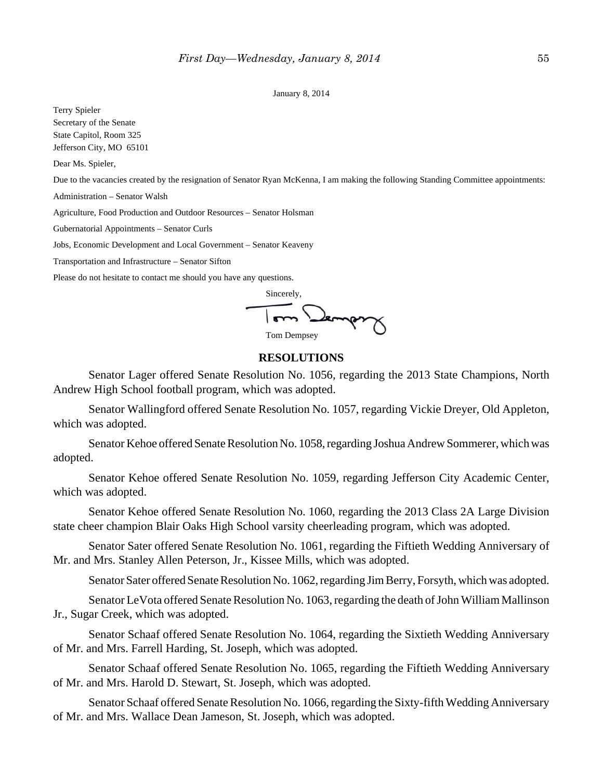#### January 8, 2014

Terry Spieler Secretary of the Senate State Capitol, Room 325 Jefferson City, MO 65101

Dear Ms. Spieler,

Due to the vacancies created by the resignation of Senator Ryan McKenna, I am making the following Standing Committee appointments:

Administration – Senator Walsh

Agriculture, Food Production and Outdoor Resources – Senator Holsman

Gubernatorial Appointments – Senator Curls

Jobs, Economic Development and Local Government – Senator Keaveny

Transportation and Infrastructure – Senator Sifton

Please do not hesitate to contact me should you have any questions.

Sincerely,

Tom Dempsey

# **RESOLUTIONS**

Senator Lager offered Senate Resolution No. 1056, regarding the 2013 State Champions, North Andrew High School football program, which was adopted.

Senator Wallingford offered Senate Resolution No. 1057, regarding Vickie Dreyer, Old Appleton, which was adopted.

Senator Kehoe offered Senate Resolution No. 1058, regarding Joshua Andrew Sommerer, which was adopted.

Senator Kehoe offered Senate Resolution No. 1059, regarding Jefferson City Academic Center, which was adopted.

Senator Kehoe offered Senate Resolution No. 1060, regarding the 2013 Class 2A Large Division state cheer champion Blair Oaks High School varsity cheerleading program, which was adopted.

Senator Sater offered Senate Resolution No. 1061, regarding the Fiftieth Wedding Anniversary of Mr. and Mrs. Stanley Allen Peterson, Jr., Kissee Mills, which was adopted.

Senator Sater offered Senate Resolution No. 1062, regarding Jim Berry, Forsyth, which was adopted.

Senator LeVota offered Senate Resolution No. 1063, regarding the death of John William Mallinson Jr., Sugar Creek, which was adopted.

Senator Schaaf offered Senate Resolution No. 1064, regarding the Sixtieth Wedding Anniversary of Mr. and Mrs. Farrell Harding, St. Joseph, which was adopted.

Senator Schaaf offered Senate Resolution No. 1065, regarding the Fiftieth Wedding Anniversary of Mr. and Mrs. Harold D. Stewart, St. Joseph, which was adopted.

Senator Schaaf offered Senate Resolution No. 1066, regarding the Sixty-fifth Wedding Anniversary of Mr. and Mrs. Wallace Dean Jameson, St. Joseph, which was adopted.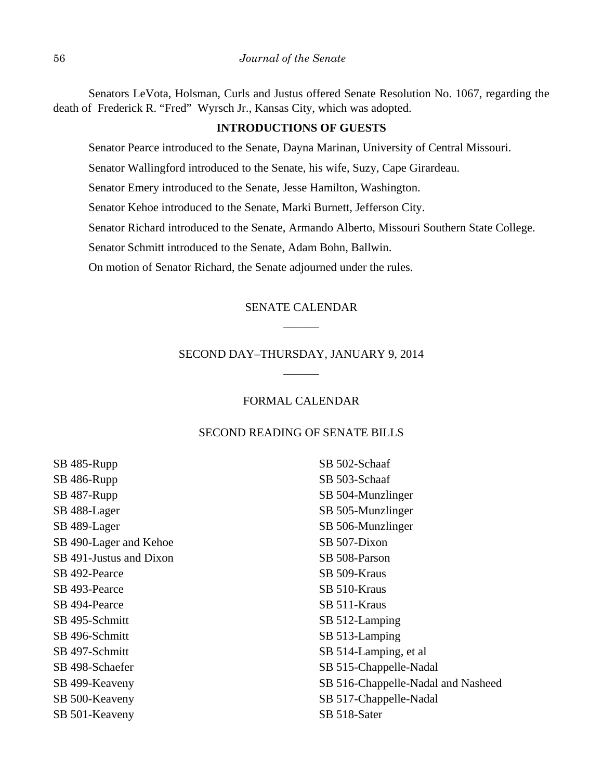Senators LeVota, Holsman, Curls and Justus offered Senate Resolution No. 1067, regarding the death of Frederick R. "Fred" Wyrsch Jr., Kansas City, which was adopted.

### **INTRODUCTIONS OF GUESTS**

Senator Pearce introduced to the Senate, Dayna Marinan, University of Central Missouri.

Senator Wallingford introduced to the Senate, his wife, Suzy, Cape Girardeau.

Senator Emery introduced to the Senate, Jesse Hamilton, Washington.

Senator Kehoe introduced to the Senate, Marki Burnett, Jefferson City.

Senator Richard introduced to the Senate, Armando Alberto, Missouri Southern State College.

Senator Schmitt introduced to the Senate, Adam Bohn, Ballwin.

On motion of Senator Richard, the Senate adjourned under the rules.

# SENATE CALENDAR \_\_\_\_\_\_

# SECOND DAY–THURSDAY, JANUARY 9, 2014 \_\_\_\_\_\_

## FORMAL CALENDAR

### SECOND READING OF SENATE BILLS

SB 485-Rupp SB 486-Rupp SB 487-Rupp SB 488-Lager SB 489-Lager SB 490-Lager and Kehoe SB 491-Justus and Dixon SB 492-Pearce SB 493-Pearce SB 494-Pearce SB 495-Schmitt SB 496-Schmitt SB 497-Schmitt SB 498-Schaefer SB 499-Keaveny SB 500-Keaveny SB 501-Keaveny

SB 502-Schaaf SB 503-Schaaf SB 504-Munzlinger SB 505-Munzlinger SB 506-Munzlinger SB 507-Dixon SB 508-Parson SB 509-Kraus SB 510-Kraus SB 511-Kraus SB 512-Lamping SB 513-Lamping SB 514-Lamping, et al SB 515-Chappelle-Nadal SB 516-Chappelle-Nadal and Nasheed SB 517-Chappelle-Nadal SB 518-Sater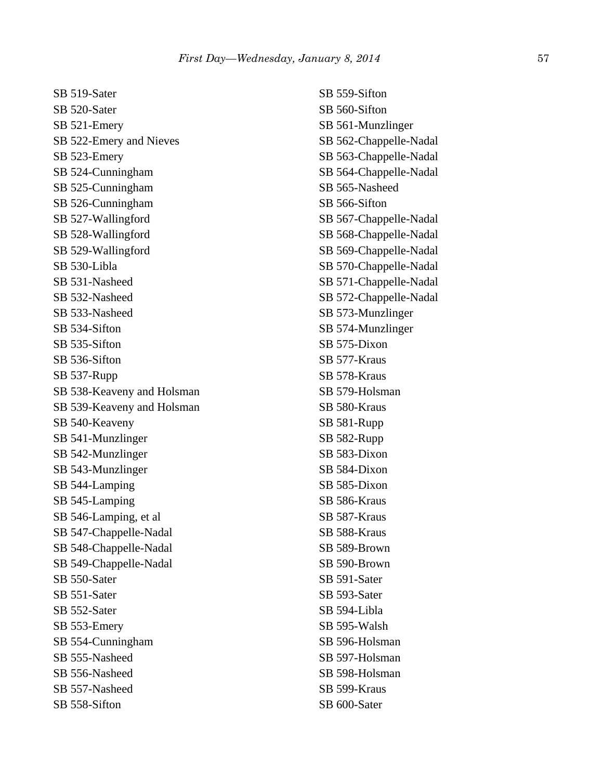SB 519-Sater SB 520-Sater SB 521-Emery SB 522-Emery and Nieves SB 523-Emery SB 524-Cunningham SB 525-Cunningham SB 526-Cunningham SB 527-Wallingford SB 528-Wallingford SB 529-Wallingford SB 530-Libla SB 531-Nasheed SB 532-Nasheed SB 533-Nasheed SB 534-Sifton SB 535-Sifton SB 536-Sifton SB 537-Rupp SB 538-Keaveny and Holsman SB 539-Keaveny and Holsman SB 540-Keaveny SB 541-Munzlinger SB 542-Munzlinger SB 543-Munzlinger SB 544-Lamping SB 545-Lamping SB 546-Lamping, et al SB 547-Chappelle-Nadal SB 548-Chappelle-Nadal SB 549-Chappelle-Nadal SB 550-Sater SB 551-Sater SB 552-Sater SB 553-Emery SB 554-Cunningham SB 555-Nasheed SB 556-Nasheed SB 557-Nasheed SB 558-Sifton

SB 559-Sifton SB 560-Sifton SB 561-Munzlinger SB 562-Chappelle-Nadal SB 563-Chappelle-Nadal SB 564-Chappelle-Nadal SB 565-Nasheed SB 566-Sifton SB 567-Chappelle-Nadal SB 568-Chappelle-Nadal SB 569-Chappelle-Nadal SB 570-Chappelle-Nadal SB 571-Chappelle-Nadal SB 572-Chappelle-Nadal SB 573-Munzlinger SB 574-Munzlinger SB 575-Dixon SB 577-Kraus SB 578-Kraus SB 579-Holsman SB 580-Kraus SB 581-Rupp SB 582-Rupp SB 583-Dixon SB 584-Dixon SB 585-Dixon SB 586-Kraus SB 587-Kraus SB 588-Kraus SB 589-Brown SB 590-Brown SB 591-Sater SB 593-Sater SB 594-Libla SB 595-Walsh SB 596-Holsman SB 597-Holsman SB 598-Holsman SB 599-Kraus SB 600-Sater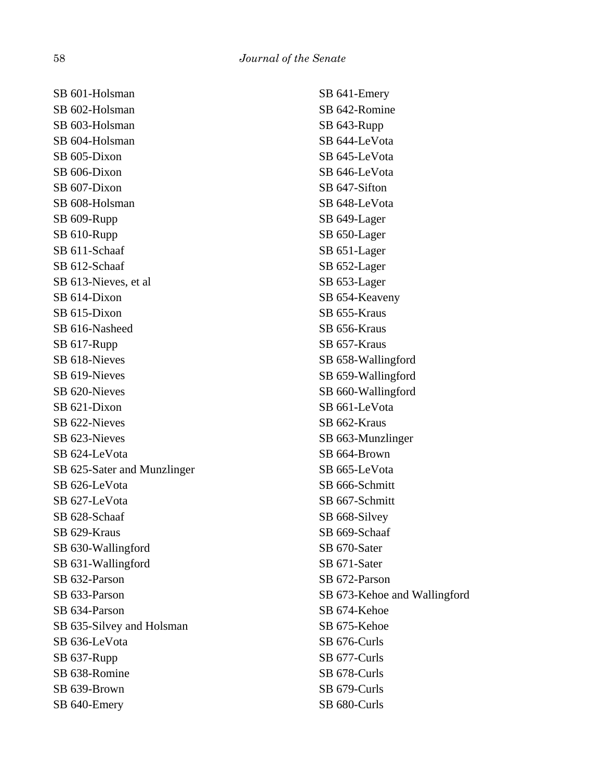SB 601-Holsman SB 602-Holsman SB 603-Holsman SB 604-Holsman SB 605-Dixon SB 606-Dixon SB 607-Dixon SB 608-Holsman SB 609-Rupp SB 610-Rupp SB 611-Schaaf SB 612-Schaaf SB 613-Nieves, et al SB 614-Dixon SB 615-Dixon SB 616-Nasheed SB 617-Rupp SB 618-Nieves SB 619-Nieves SB 620-Nieves SB 621-Dixon SB 622-Nieves SB 623-Nieves SB 624-LeVota SB 625-Sater and Munzlinger SB 626-LeVota SB 627-LeVota SB 628-Schaaf SB 629-Kraus SB 630-Wallingford SB 631-Wallingford SB 632-Parson SB 633-Parson SB 634-Parson SB 635-Silvey and Holsman SB 636-LeVota SB 637-Rupp SB 638-Romine SB 639-Brown SB 640-Emery

SB 641-Emery SB 642-Romine SB 643-Rupp SB 644-LeVota SB 645-LeVota SB 646-LeVota SB 647-Sifton SB 648-LeVota SB 649-Lager SB 650-Lager SB 651-Lager SB 652-Lager SB 653-Lager SB 654-Keaveny SB 655-Kraus SB 656-Kraus SB 657-Kraus SB 658-Wallingford SB 659-Wallingford SB 660-Wallingford SB 661-LeVota SB 662-Kraus SB 663-Munzlinger SB 664-Brown SB 665-LeVota SB 666-Schmitt SB 667-Schmitt SB 668-Silvey SB 669-Schaaf SB 670-Sater SB 671-Sater SB 672-Parson SB 673-Kehoe and Wallingford SB 674-Kehoe SB 675-Kehoe SB 676-Curls SB 677-Curls SB 678-Curls SB 679-Curls SB 680-Curls